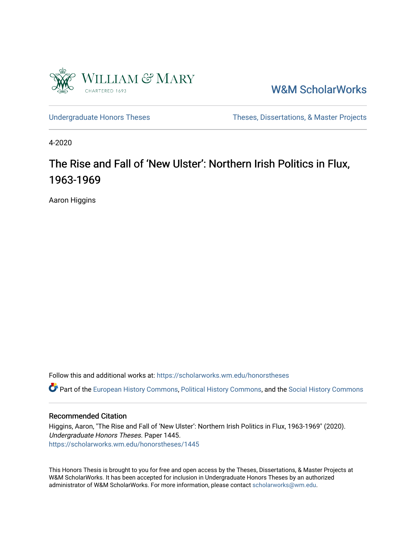

[W&M ScholarWorks](https://scholarworks.wm.edu/) 

[Undergraduate Honors Theses](https://scholarworks.wm.edu/honorstheses) Theses Theses, Dissertations, & Master Projects

4-2020

# The Rise and Fall of 'New Ulster': Northern Irish Politics in Flux, 1963-1969

Aaron Higgins

Follow this and additional works at: [https://scholarworks.wm.edu/honorstheses](https://scholarworks.wm.edu/honorstheses?utm_source=scholarworks.wm.edu%2Fhonorstheses%2F1445&utm_medium=PDF&utm_campaign=PDFCoverPages) 

Part of the [European History Commons](http://network.bepress.com/hgg/discipline/492?utm_source=scholarworks.wm.edu%2Fhonorstheses%2F1445&utm_medium=PDF&utm_campaign=PDFCoverPages), [Political History Commons,](http://network.bepress.com/hgg/discipline/505?utm_source=scholarworks.wm.edu%2Fhonorstheses%2F1445&utm_medium=PDF&utm_campaign=PDFCoverPages) and the [Social History Commons](http://network.bepress.com/hgg/discipline/506?utm_source=scholarworks.wm.edu%2Fhonorstheses%2F1445&utm_medium=PDF&utm_campaign=PDFCoverPages) 

#### Recommended Citation

Higgins, Aaron, "The Rise and Fall of 'New Ulster': Northern Irish Politics in Flux, 1963-1969" (2020). Undergraduate Honors Theses. Paper 1445. [https://scholarworks.wm.edu/honorstheses/1445](https://scholarworks.wm.edu/honorstheses/1445?utm_source=scholarworks.wm.edu%2Fhonorstheses%2F1445&utm_medium=PDF&utm_campaign=PDFCoverPages)

This Honors Thesis is brought to you for free and open access by the Theses, Dissertations, & Master Projects at W&M ScholarWorks. It has been accepted for inclusion in Undergraduate Honors Theses by an authorized administrator of W&M ScholarWorks. For more information, please contact [scholarworks@wm.edu.](mailto:scholarworks@wm.edu)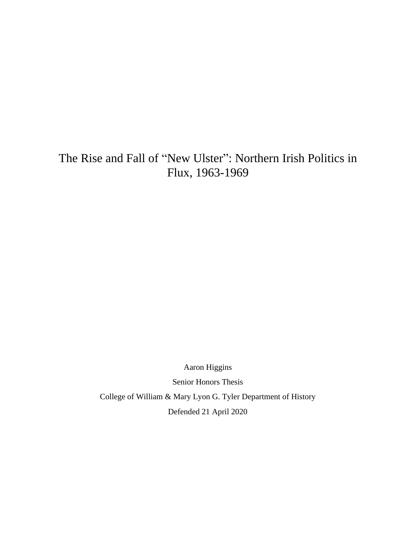## The Rise and Fall of "New Ulster": Northern Irish Politics in Flux, 1963-1969

Aaron Higgins Senior Honors Thesis College of William & Mary Lyon G. Tyler Department of History Defended 21 April 2020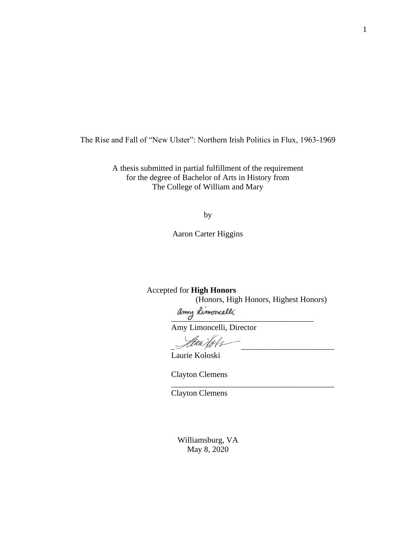The Rise and Fall of "New Ulster": Northern Irish Politics in Flux, 1963-1969

A thesis submitted in partial fulfillment of the requirement for the degree of Bachelor of Arts in History from The College of William and Mary

by

Aaron Carter Higgins

Accepted for **High Honors** (Honors, High Honors, Highest Honors) amy Limoncelli

\_\_\_\_\_\_\_\_\_\_\_\_\_\_\_\_\_\_\_\_\_\_\_\_\_\_\_\_\_\_\_\_\_\_\_\_\_\_\_\_

Amy Limoncelli, Director

 $\mathscr{A}^{true}$  port

Laurie Koloski

Clayton Clemens

Clayton Clemens

Williamsburg, VA May 8, 2020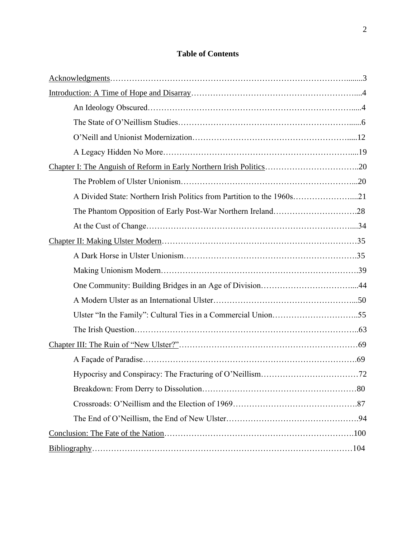## **Table of Contents**

| A Divided State: Northern Irish Politics from Partition to the 1960s21 |  |
|------------------------------------------------------------------------|--|
|                                                                        |  |
|                                                                        |  |
|                                                                        |  |
|                                                                        |  |
|                                                                        |  |
|                                                                        |  |
|                                                                        |  |
|                                                                        |  |
|                                                                        |  |
|                                                                        |  |
|                                                                        |  |
|                                                                        |  |
|                                                                        |  |
|                                                                        |  |
|                                                                        |  |
|                                                                        |  |
|                                                                        |  |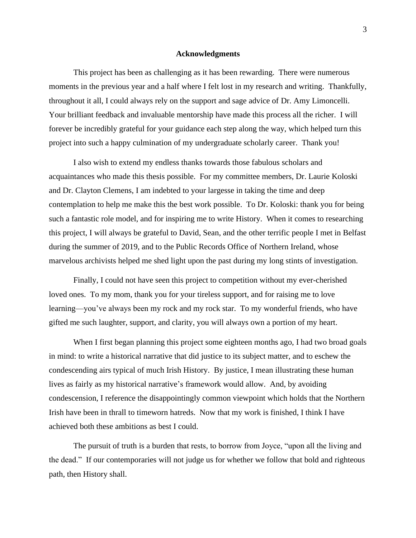#### **Acknowledgments**

This project has been as challenging as it has been rewarding. There were numerous moments in the previous year and a half where I felt lost in my research and writing. Thankfully, throughout it all, I could always rely on the support and sage advice of Dr. Amy Limoncelli. Your brilliant feedback and invaluable mentorship have made this process all the richer. I will forever be incredibly grateful for your guidance each step along the way, which helped turn this project into such a happy culmination of my undergraduate scholarly career. Thank you!

I also wish to extend my endless thanks towards those fabulous scholars and acquaintances who made this thesis possible. For my committee members, Dr. Laurie Koloski and Dr. Clayton Clemens, I am indebted to your largesse in taking the time and deep contemplation to help me make this the best work possible. To Dr. Koloski: thank you for being such a fantastic role model, and for inspiring me to write History. When it comes to researching this project, I will always be grateful to David, Sean, and the other terrific people I met in Belfast during the summer of 2019, and to the Public Records Office of Northern Ireland, whose marvelous archivists helped me shed light upon the past during my long stints of investigation.

Finally, I could not have seen this project to competition without my ever-cherished loved ones. To my mom, thank you for your tireless support, and for raising me to love learning—you've always been my rock and my rock star. To my wonderful friends, who have gifted me such laughter, support, and clarity, you will always own a portion of my heart.

When I first began planning this project some eighteen months ago, I had two broad goals in mind: to write a historical narrative that did justice to its subject matter, and to eschew the condescending airs typical of much Irish History. By justice, I mean illustrating these human lives as fairly as my historical narrative's framework would allow. And, by avoiding condescension, I reference the disappointingly common viewpoint which holds that the Northern Irish have been in thrall to timeworn hatreds. Now that my work is finished, I think I have achieved both these ambitions as best I could.

The pursuit of truth is a burden that rests, to borrow from Joyce, "upon all the living and the dead." If our contemporaries will not judge us for whether we follow that bold and righteous path, then History shall.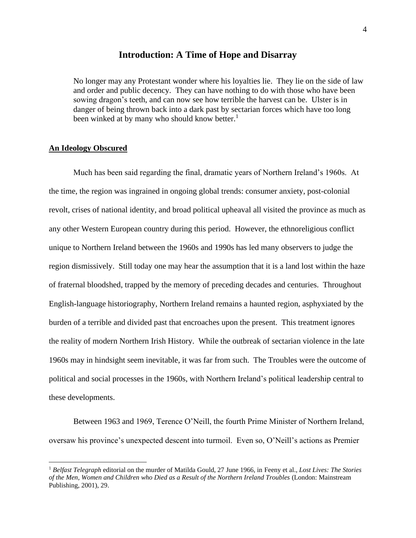#### **Introduction: A Time of Hope and Disarray**

No longer may any Protestant wonder where his loyalties lie. They lie on the side of law and order and public decency. They can have nothing to do with those who have been sowing dragon's teeth, and can now see how terrible the harvest can be. Ulster is in danger of being thrown back into a dark past by sectarian forces which have too long been winked at by many who should know better.<sup>1</sup>

#### **An Ideology Obscured**

Much has been said regarding the final, dramatic years of Northern Ireland's 1960s. At the time, the region was ingrained in ongoing global trends: consumer anxiety, post-colonial revolt, crises of national identity, and broad political upheaval all visited the province as much as any other Western European country during this period. However, the ethnoreligious conflict unique to Northern Ireland between the 1960s and 1990s has led many observers to judge the region dismissively. Still today one may hear the assumption that it is a land lost within the haze of fraternal bloodshed, trapped by the memory of preceding decades and centuries. Throughout English-language historiography, Northern Ireland remains a haunted region, asphyxiated by the burden of a terrible and divided past that encroaches upon the present. This treatment ignores the reality of modern Northern Irish History. While the outbreak of sectarian violence in the late 1960s may in hindsight seem inevitable, it was far from such. The Troubles were the outcome of political and social processes in the 1960s, with Northern Ireland's political leadership central to these developments.

Between 1963 and 1969, Terence O'Neill, the fourth Prime Minister of Northern Ireland, oversaw his province's unexpected descent into turmoil. Even so, O'Neill's actions as Premier

<sup>1</sup> *Belfast Telegraph* editorial on the murder of Matilda Gould, 27 June 1966, in Feeny et al., *Lost Lives: The Stories of the Men, Women and Children who Died as a Result of the Northern Ireland Troubles* (London: Mainstream Publishing, 2001), 29.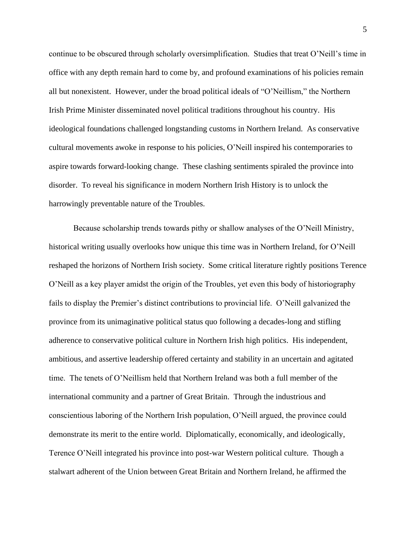continue to be obscured through scholarly oversimplification. Studies that treat O'Neill's time in office with any depth remain hard to come by, and profound examinations of his policies remain all but nonexistent. However, under the broad political ideals of "O'Neillism," the Northern Irish Prime Minister disseminated novel political traditions throughout his country. His ideological foundations challenged longstanding customs in Northern Ireland. As conservative cultural movements awoke in response to his policies, O'Neill inspired his contemporaries to aspire towards forward-looking change. These clashing sentiments spiraled the province into disorder. To reveal his significance in modern Northern Irish History is to unlock the harrowingly preventable nature of the Troubles.

Because scholarship trends towards pithy or shallow analyses of the O'Neill Ministry, historical writing usually overlooks how unique this time was in Northern Ireland, for O'Neill reshaped the horizons of Northern Irish society. Some critical literature rightly positions Terence O'Neill as a key player amidst the origin of the Troubles, yet even this body of historiography fails to display the Premier's distinct contributions to provincial life. O'Neill galvanized the province from its unimaginative political status quo following a decades-long and stifling adherence to conservative political culture in Northern Irish high politics. His independent, ambitious, and assertive leadership offered certainty and stability in an uncertain and agitated time. The tenets of O'Neillism held that Northern Ireland was both a full member of the international community and a partner of Great Britain. Through the industrious and conscientious laboring of the Northern Irish population, O'Neill argued, the province could demonstrate its merit to the entire world. Diplomatically, economically, and ideologically, Terence O'Neill integrated his province into post-war Western political culture. Though a stalwart adherent of the Union between Great Britain and Northern Ireland, he affirmed the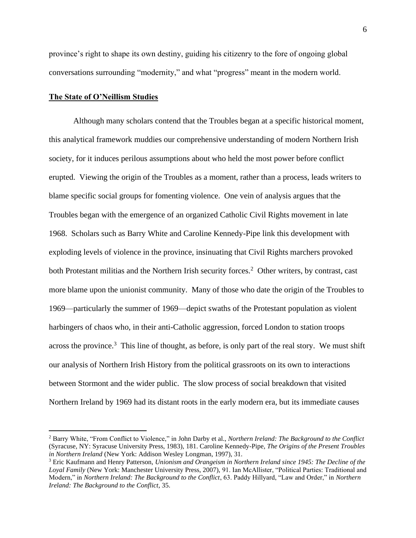province's right to shape its own destiny, guiding his citizenry to the fore of ongoing global conversations surrounding "modernity," and what "progress" meant in the modern world.

#### **The State of O'Neillism Studies**

Although many scholars contend that the Troubles began at a specific historical moment, this analytical framework muddies our comprehensive understanding of modern Northern Irish society, for it induces perilous assumptions about who held the most power before conflict erupted. Viewing the origin of the Troubles as a moment, rather than a process, leads writers to blame specific social groups for fomenting violence. One vein of analysis argues that the Troubles began with the emergence of an organized Catholic Civil Rights movement in late 1968. Scholars such as Barry White and Caroline Kennedy-Pipe link this development with exploding levels of violence in the province, insinuating that Civil Rights marchers provoked both Protestant militias and the Northern Irish security forces.<sup>2</sup> Other writers, by contrast, cast more blame upon the unionist community. Many of those who date the origin of the Troubles to 1969—particularly the summer of 1969—depict swaths of the Protestant population as violent harbingers of chaos who, in their anti-Catholic aggression, forced London to station troops across the province.<sup>3</sup> This line of thought, as before, is only part of the real story. We must shift our analysis of Northern Irish History from the political grassroots on its own to interactions between Stormont and the wider public. The slow process of social breakdown that visited Northern Ireland by 1969 had its distant roots in the early modern era, but its immediate causes

<sup>2</sup> Barry White, "From Conflict to Violence," in John Darby et al., *Northern Ireland: The Background to the Conflict* (Syracuse, NY: Syracuse University Press, 1983), 181. Caroline Kennedy-Pipe, *The Origins of the Present Troubles in Northern Ireland* (New York: Addison Wesley Longman, 1997), 31.

<sup>3</sup> Eric Kaufmann and Henry Patterson, *Unionism and Orangeism in Northern Ireland since 1945: The Decline of the Loyal Family* (New York: Manchester University Press, 2007), 91. Ian McAllister, "Political Parties: Traditional and Modern," in *Northern Ireland: The Background to the Conflict*, 63. Paddy Hillyard, "Law and Order," in *Northern Ireland: The Background to the Conflict*, 35.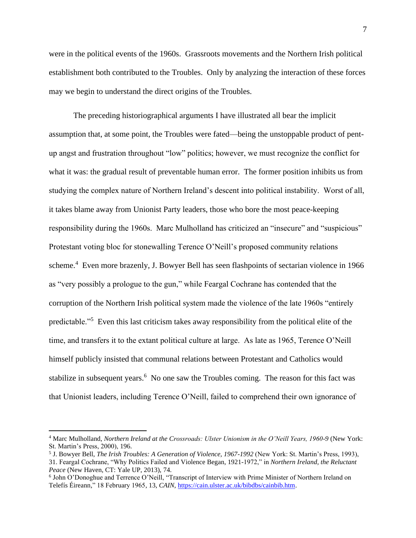were in the political events of the 1960s. Grassroots movements and the Northern Irish political establishment both contributed to the Troubles. Only by analyzing the interaction of these forces may we begin to understand the direct origins of the Troubles.

The preceding historiographical arguments I have illustrated all bear the implicit assumption that, at some point, the Troubles were fated—being the unstoppable product of pentup angst and frustration throughout "low" politics; however, we must recognize the conflict for what it was: the gradual result of preventable human error. The former position inhibits us from studying the complex nature of Northern Ireland's descent into political instability. Worst of all, it takes blame away from Unionist Party leaders, those who bore the most peace-keeping responsibility during the 1960s. Marc Mulholland has criticized an "insecure" and "suspicious" Protestant voting bloc for stonewalling Terence O'Neill's proposed community relations scheme.<sup>4</sup> Even more brazenly, J. Bowyer Bell has seen flashpoints of sectarian violence in 1966 as "very possibly a prologue to the gun," while Feargal Cochrane has contended that the corruption of the Northern Irish political system made the violence of the late 1960s "entirely predictable."<sup>5</sup> Even this last criticism takes away responsibility from the political elite of the time, and transfers it to the extant political culture at large. As late as 1965, Terence O'Neill himself publicly insisted that communal relations between Protestant and Catholics would stabilize in subsequent years.<sup>6</sup> No one saw the Troubles coming. The reason for this fact was that Unionist leaders, including Terence O'Neill, failed to comprehend their own ignorance of

<sup>4</sup> Marc Mulholland, *Northern Ireland at the Crossroads: Ulster Unionism in the O'Neill Years, 1960-9* (New York: St. Martin's Press, 2000), 196.

<sup>5</sup> J. Bowyer Bell, *The Irish Troubles: A Generation of Violence, 1967-1992* (New York: St. Martin's Press, 1993), 31. Feargal Cochrane, "Why Politics Failed and Violence Began, 1921-1972," in *Northern Ireland, the Reluctant Peace* (New Haven, CT: Yale UP, 2013), 74.

<sup>6</sup> John O'Donoghue and Terrence O'Neill, "Transcript of Interview with Prime Minister of Northern Ireland on Telefís Éireann," 18 February 1965, 13, *CAIN*[, https://cain.ulster.ac.uk/bibdbs/cainbib.htm.](https://cain.ulster.ac.uk/bibdbs/cainbib.htm)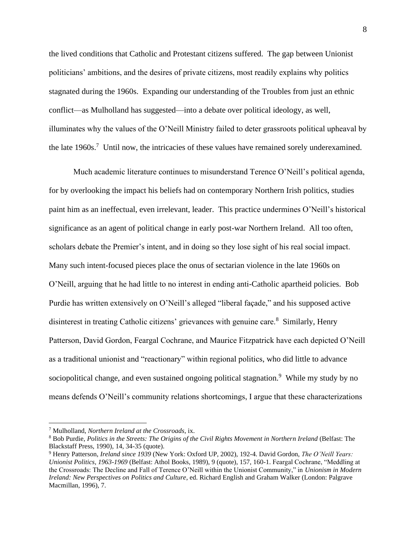the lived conditions that Catholic and Protestant citizens suffered. The gap between Unionist politicians' ambitions, and the desires of private citizens, most readily explains why politics stagnated during the 1960s. Expanding our understanding of the Troubles from just an ethnic conflict—as Mulholland has suggested—into a debate over political ideology, as well, illuminates why the values of the O'Neill Ministry failed to deter grassroots political upheaval by the late  $1960s$ .<sup>7</sup> Until now, the intricacies of these values have remained sorely underexamined.

Much academic literature continues to misunderstand Terence O'Neill's political agenda, for by overlooking the impact his beliefs had on contemporary Northern Irish politics, studies paint him as an ineffectual, even irrelevant, leader. This practice undermines O'Neill's historical significance as an agent of political change in early post-war Northern Ireland. All too often, scholars debate the Premier's intent, and in doing so they lose sight of his real social impact. Many such intent-focused pieces place the onus of sectarian violence in the late 1960s on O'Neill, arguing that he had little to no interest in ending anti-Catholic apartheid policies. Bob Purdie has written extensively on O'Neill's alleged "liberal façade," and his supposed active disinterest in treating Catholic citizens' grievances with genuine care.<sup>8</sup> Similarly, Henry Patterson, David Gordon, Feargal Cochrane, and Maurice Fitzpatrick have each depicted O'Neill as a traditional unionist and "reactionary" within regional politics, who did little to advance sociopolitical change, and even sustained ongoing political stagnation.<sup>9</sup> While my study by no means defends O'Neill's community relations shortcomings, I argue that these characterizations

<sup>7</sup> Mulholland, *Northern Ireland at the Crossroads*, ix.

<sup>8</sup> Bob Purdie, *Politics in the Streets: The Origins of the Civil Rights Movement in Northern Ireland* (Belfast: The Blackstaff Press, 1990), 14, 34-35 (quote).

<sup>9</sup> Henry Patterson, *Ireland since 1939* (New York: Oxford UP, 2002), 192-4. David Gordon, *The O'Neill Years: Unionist Politics, 1963-1969* (Belfast: Athol Books, 1989), 9 (quote), 157, 160-1. Feargal Cochrane, "Meddling at the Crossroads: The Decline and Fall of Terence O'Neill within the Unionist Community," in *Unionism in Modern Ireland: New Perspectives on Politics and Culture*, ed. Richard English and Graham Walker (London: Palgrave Macmillan, 1996), 7.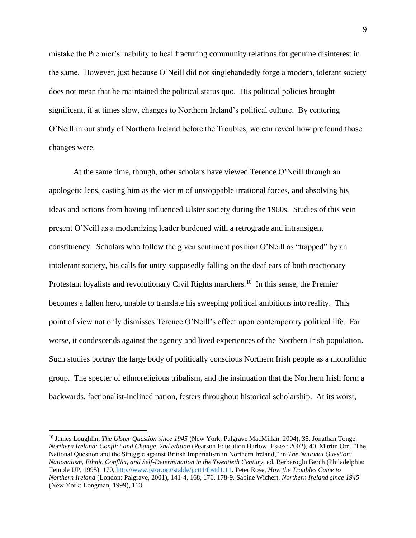mistake the Premier's inability to heal fracturing community relations for genuine disinterest in the same. However, just because O'Neill did not singlehandedly forge a modern, tolerant society does not mean that he maintained the political status quo. His political policies brought significant, if at times slow, changes to Northern Ireland's political culture. By centering O'Neill in our study of Northern Ireland before the Troubles, we can reveal how profound those changes were.

At the same time, though, other scholars have viewed Terence O'Neill through an apologetic lens, casting him as the victim of unstoppable irrational forces, and absolving his ideas and actions from having influenced Ulster society during the 1960s. Studies of this vein present O'Neill as a modernizing leader burdened with a retrograde and intransigent constituency. Scholars who follow the given sentiment position O'Neill as "trapped" by an intolerant society, his calls for unity supposedly falling on the deaf ears of both reactionary Protestant loyalists and revolutionary Civil Rights marchers.<sup>10</sup> In this sense, the Premier becomes a fallen hero, unable to translate his sweeping political ambitions into reality. This point of view not only dismisses Terence O'Neill's effect upon contemporary political life. Far worse, it condescends against the agency and lived experiences of the Northern Irish population. Such studies portray the large body of politically conscious Northern Irish people as a monolithic group. The specter of ethnoreligious tribalism, and the insinuation that the Northern Irish form a backwards, factionalist-inclined nation, festers throughout historical scholarship. At its worst,

<sup>10</sup> James Loughlin, *The Ulster Question since 1945* (New York: Palgrave MacMillan, 2004), 35. Jonathan Tonge, *Northern Ireland: Conflict and Change. 2nd edition* (Pearson Education Harlow, Essex: 2002), 40. Martin Orr, "The National Question and the Struggle against British Imperialism in Northern Ireland," in *The National Question: Nationalism, Ethnic Conflict, and Self-Determination in the Twentieth Century*, ed. Berberoglu Berch (Philadelphia: Temple UP, 1995), 170, [http://www.jstor.org/stable/j.ctt14bstd1.11.](http://www.jstor.org/stable/j.ctt14bstd1.11) Peter Rose, *How the Troubles Came to Northern Ireland* (London: Palgrave, 2001), 141-4, 168, 176, 178-9. Sabine Wichert, *Northern Ireland since 1945*  (New York: Longman, 1999), 113.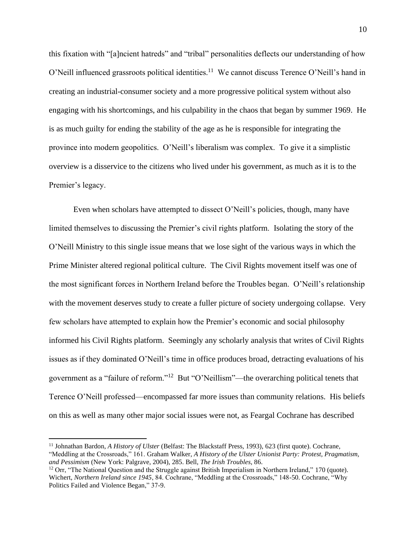this fixation with "[a]ncient hatreds" and "tribal" personalities deflects our understanding of how O'Neill influenced grassroots political identities.<sup>11</sup> We cannot discuss Terence O'Neill's hand in creating an industrial-consumer society and a more progressive political system without also engaging with his shortcomings, and his culpability in the chaos that began by summer 1969. He is as much guilty for ending the stability of the age as he is responsible for integrating the province into modern geopolitics. O'Neill's liberalism was complex. To give it a simplistic overview is a disservice to the citizens who lived under his government, as much as it is to the Premier's legacy.

Even when scholars have attempted to dissect O'Neill's policies, though, many have limited themselves to discussing the Premier's civil rights platform. Isolating the story of the O'Neill Ministry to this single issue means that we lose sight of the various ways in which the Prime Minister altered regional political culture. The Civil Rights movement itself was one of the most significant forces in Northern Ireland before the Troubles began. O'Neill's relationship with the movement deserves study to create a fuller picture of society undergoing collapse. Very few scholars have attempted to explain how the Premier's economic and social philosophy informed his Civil Rights platform. Seemingly any scholarly analysis that writes of Civil Rights issues as if they dominated O'Neill's time in office produces broad, detracting evaluations of his government as a "failure of reform."<sup>12</sup> But "O'Neillism"—the overarching political tenets that Terence O'Neill professed—encompassed far more issues than community relations. His beliefs on this as well as many other major social issues were not, as Feargal Cochrane has described

<sup>&</sup>lt;sup>11</sup> Johnathan Bardon, *A History of Ulster* (Belfast: The Blackstaff Press, 1993), 623 (first quote). Cochrane, "Meddling at the Crossroads," 161. Graham Walker, *A History of the Ulster Unionist Party: Protest, Pragmatism, and Pessimism* (New York: Palgrave, 2004), 285. Bell, *The Irish Troubles*, 86.

<sup>&</sup>lt;sup>12</sup> Orr, "The National Question and the Struggle against British Imperialism in Northern Ireland," 170 (quote). Wichert, *Northern Ireland since 1945*, 84. Cochrane, "Meddling at the Crossroads," 148-50. Cochrane, "Why Politics Failed and Violence Began," 37-9.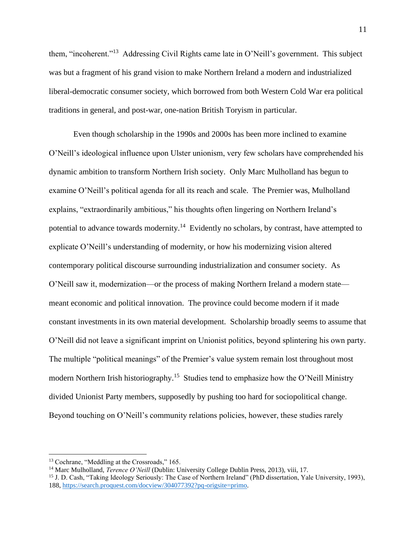them, "incoherent."<sup>13</sup> Addressing Civil Rights came late in O'Neill's government. This subject was but a fragment of his grand vision to make Northern Ireland a modern and industrialized liberal-democratic consumer society, which borrowed from both Western Cold War era political traditions in general, and post-war, one-nation British Toryism in particular.

Even though scholarship in the 1990s and 2000s has been more inclined to examine O'Neill's ideological influence upon Ulster unionism, very few scholars have comprehended his dynamic ambition to transform Northern Irish society. Only Marc Mulholland has begun to examine O'Neill's political agenda for all its reach and scale. The Premier was, Mulholland explains, "extraordinarily ambitious," his thoughts often lingering on Northern Ireland's potential to advance towards modernity.<sup>14</sup> Evidently no scholars, by contrast, have attempted to explicate O'Neill's understanding of modernity, or how his modernizing vision altered contemporary political discourse surrounding industrialization and consumer society. As O'Neill saw it, modernization—or the process of making Northern Ireland a modern state meant economic and political innovation. The province could become modern if it made constant investments in its own material development. Scholarship broadly seems to assume that O'Neill did not leave a significant imprint on Unionist politics, beyond splintering his own party. The multiple "political meanings" of the Premier's value system remain lost throughout most modern Northern Irish historiography.<sup>15</sup> Studies tend to emphasize how the O'Neill Ministry divided Unionist Party members, supposedly by pushing too hard for sociopolitical change. Beyond touching on O'Neill's community relations policies, however, these studies rarely

<sup>&</sup>lt;sup>13</sup> Cochrane, "Meddling at the Crossroads," 165.

<sup>14</sup> Marc Mulholland, *Terence O'Neill* (Dublin: University College Dublin Press, 2013), viii, 17.

<sup>&</sup>lt;sup>15</sup> J. D. Cash, "Taking Ideology Seriously: The Case of Northern Ireland" (PhD dissertation, Yale University, 1993), 188, [https://search.proquest.com/docview/304077392?pq-origsite=primo.](https://search.proquest.com/docview/304077392?pq-origsite=primo)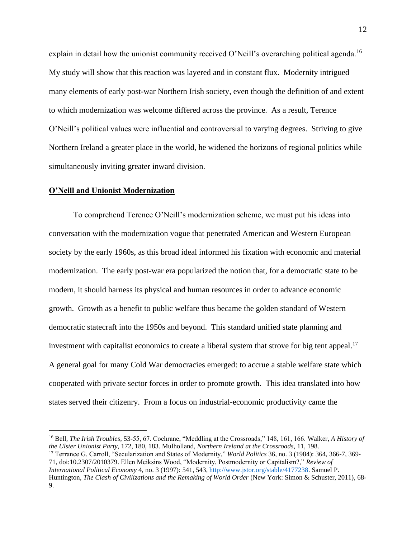explain in detail how the unionist community received O'Neill's overarching political agenda.<sup>16</sup> My study will show that this reaction was layered and in constant flux. Modernity intrigued many elements of early post-war Northern Irish society, even though the definition of and extent to which modernization was welcome differed across the province. As a result, Terence O'Neill's political values were influential and controversial to varying degrees. Striving to give Northern Ireland a greater place in the world, he widened the horizons of regional politics while simultaneously inviting greater inward division.

#### **O'Neill and Unionist Modernization**

To comprehend Terence O'Neill's modernization scheme, we must put his ideas into conversation with the modernization vogue that penetrated American and Western European society by the early 1960s, as this broad ideal informed his fixation with economic and material modernization. The early post-war era popularized the notion that, for a democratic state to be modern, it should harness its physical and human resources in order to advance economic growth. Growth as a benefit to public welfare thus became the golden standard of Western democratic statecraft into the 1950s and beyond. This standard unified state planning and investment with capitalist economics to create a liberal system that strove for big tent appeal.<sup>17</sup> A general goal for many Cold War democracies emerged: to accrue a stable welfare state which cooperated with private sector forces in order to promote growth. This idea translated into how states served their citizenry. From a focus on industrial-economic productivity came the

<sup>16</sup> Bell, *The Irish Troubles*, 53-55, 67. Cochrane, "Meddling at the Crossroads," 148, 161, 166. Walker, *A History of the Ulster Unionist Party*, 172, 180, 183. Mulholland, *Northern Ireland at the Crossroads*, 11, 198.

<sup>17</sup> Terrance G. Carroll, "Secularization and States of Modernity," *World Politics* 36, no. 3 (1984): 364, 366-7, 369- 71, doi:10.2307/2010379. Ellen Meiksins Wood, "Modernity, Postmodernity or Capitalism?," *Review of International Political Economy* 4, no. 3 (1997): 541, 543[, http://www.jstor.org/stable/4177238.](http://www.jstor.org/stable/4177238) Samuel P. Huntington, *The Clash of Civilizations and the Remaking of World Order* (New York: Simon & Schuster, 2011), 68- 9.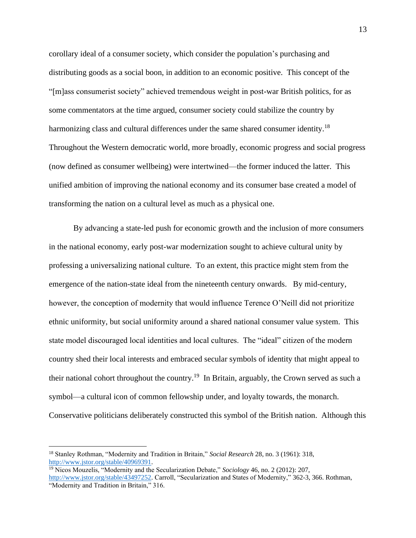corollary ideal of a consumer society, which consider the population's purchasing and distributing goods as a social boon, in addition to an economic positive. This concept of the "[m]ass consumerist society" achieved tremendous weight in post-war British politics, for as some commentators at the time argued, consumer society could stabilize the country by harmonizing class and cultural differences under the same shared consumer identity.<sup>18</sup> Throughout the Western democratic world, more broadly, economic progress and social progress (now defined as consumer wellbeing) were intertwined—the former induced the latter. This unified ambition of improving the national economy and its consumer base created a model of transforming the nation on a cultural level as much as a physical one.

By advancing a state-led push for economic growth and the inclusion of more consumers in the national economy, early post-war modernization sought to achieve cultural unity by professing a universalizing national culture. To an extent, this practice might stem from the emergence of the nation-state ideal from the nineteenth century onwards. By mid-century, however, the conception of modernity that would influence Terence O'Neill did not prioritize ethnic uniformity, but social uniformity around a shared national consumer value system. This state model discouraged local identities and local cultures. The "ideal" citizen of the modern country shed their local interests and embraced secular symbols of identity that might appeal to their national cohort throughout the country.<sup>19</sup> In Britain, arguably, the Crown served as such a symbol—a cultural icon of common fellowship under, and loyalty towards, the monarch. Conservative politicians deliberately constructed this symbol of the British nation. Although this

<sup>18</sup> Stanley Rothman, "Modernity and Tradition in Britain," *Social Research* 28, no. 3 (1961): 318, [http://www.jstor.org/stable/40969391.](http://www.jstor.org/stable/40969391)

<sup>19</sup> Nicos Mouzelis, "Modernity and the Secularization Debate," *Sociology* 46, no. 2 (2012): 207, [http://www.jstor.org/stable/43497252.](http://www.jstor.org/stable/43497252) Carroll, "Secularization and States of Modernity," 362-3, 366. Rothman, "Modernity and Tradition in Britain," 316.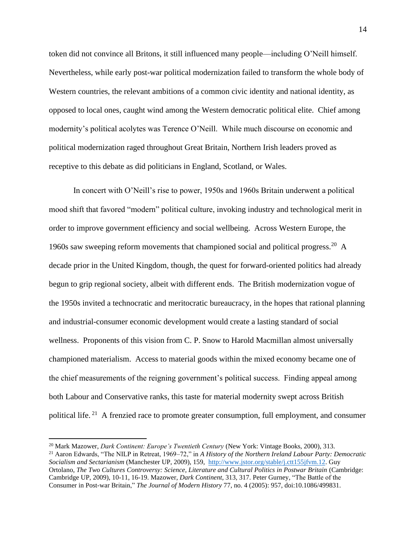token did not convince all Britons, it still influenced many people—including O'Neill himself. Nevertheless, while early post-war political modernization failed to transform the whole body of Western countries, the relevant ambitions of a common civic identity and national identity, as opposed to local ones, caught wind among the Western democratic political elite. Chief among modernity's political acolytes was Terence O'Neill. While much discourse on economic and political modernization raged throughout Great Britain, Northern Irish leaders proved as receptive to this debate as did politicians in England, Scotland, or Wales.

In concert with O'Neill's rise to power, 1950s and 1960s Britain underwent a political mood shift that favored "modern" political culture, invoking industry and technological merit in order to improve government efficiency and social wellbeing. Across Western Europe, the 1960s saw sweeping reform movements that championed social and political progress.<sup>20</sup> A decade prior in the United Kingdom, though, the quest for forward-oriented politics had already begun to grip regional society, albeit with different ends. The British modernization vogue of the 1950s invited a technocratic and meritocratic bureaucracy, in the hopes that rational planning and industrial-consumer economic development would create a lasting standard of social wellness. Proponents of this vision from C. P. Snow to Harold Macmillan almost universally championed materialism. Access to material goods within the mixed economy became one of the chief measurements of the reigning government's political success. Finding appeal among both Labour and Conservative ranks, this taste for material modernity swept across British political life.<sup>21</sup> A frenzied race to promote greater consumption, full employment, and consumer

<sup>20</sup> Mark Mazower, *Dark Continent: Europe's Twentieth Century* (New York: Vintage Books, 2000), 313.

<sup>21</sup> Aaron Edwards, "The NILP in Retreat, 1969–72," in *A History of the Northern Ireland Labour Party: Democratic Socialism and Sectarianism* (Manchester UP, 2009), 159, [http://www.jstor.org/stable/j.ctt155jfvm.12.](http://www.jstor.org/stable/j.ctt155jfvm.12) Guy Ortolano, *The Two Cultures Controversy: Science, Literature and Cultural Politics in Postwar Britain* (Cambridge: Cambridge UP, 2009), 10-11, 16-19. Mazower, *Dark Continent*, 313, 317. Peter Gurney, "The Battle of the Consumer in Post-war Britain," *The Journal of Modern History* 77, no. 4 (2005): 957, doi:10.1086/499831.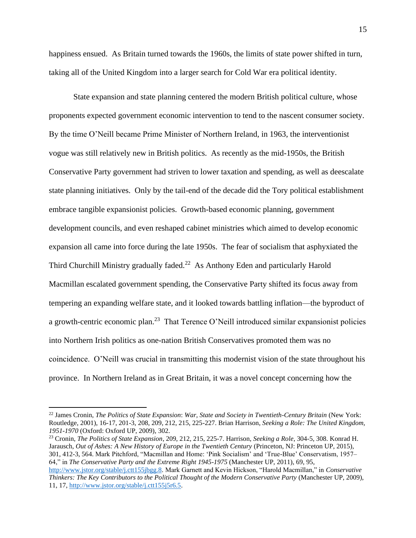happiness ensued. As Britain turned towards the 1960s, the limits of state power shifted in turn, taking all of the United Kingdom into a larger search for Cold War era political identity.

State expansion and state planning centered the modern British political culture, whose proponents expected government economic intervention to tend to the nascent consumer society. By the time O'Neill became Prime Minister of Northern Ireland, in 1963, the interventionist vogue was still relatively new in British politics. As recently as the mid-1950s, the British Conservative Party government had striven to lower taxation and spending, as well as deescalate state planning initiatives. Only by the tail-end of the decade did the Tory political establishment embrace tangible expansionist policies. Growth-based economic planning, government development councils, and even reshaped cabinet ministries which aimed to develop economic expansion all came into force during the late 1950s. The fear of socialism that asphyxiated the Third Churchill Ministry gradually faded. $22$  As Anthony Eden and particularly Harold Macmillan escalated government spending, the Conservative Party shifted its focus away from tempering an expanding welfare state, and it looked towards battling inflation—the byproduct of a growth-centric economic plan.<sup>23</sup> That Terence O'Neill introduced similar expansionist policies into Northern Irish politics as one-nation British Conservatives promoted them was no coincidence. O'Neill was crucial in transmitting this modernist vision of the state throughout his province. In Northern Ireland as in Great Britain, it was a novel concept concerning how the

<sup>23</sup> Cronin, *The Politics of State Expansion*, 209, 212, 215, 225-7. Harrison, *Seeking a Role*, 304-5, 308. Konrad H. Jarausch, *Out of Ashes: A New History of Europe in the Twentieth Century* (Princeton, NJ: Princeton UP, 2015), 301, 412-3, 564. Mark Pitchford, "Macmillan and Home: 'Pink Socialism' and 'True-Blue' Conservatism, 1957– 64," in *The Conservative Party and the Extreme Right 1945-1975* (Manchester UP, 2011), 69, 95,

<sup>22</sup> James Cronin, *The Politics of State Expansion*: *War, State and Society in Twentieth-Century Britain* (New York: Routledge, 2001), 16-17, 201-3, 208, 209, 212, 215, 225-227. Brian Harrison, *Seeking a Role: The United Kingdom, 1951-1970* (Oxford: Oxford UP, 2009), 302.

[http://www.jstor.org/stable/j.ctt155jbgg.8.](http://www.jstor.org/stable/j.ctt155jbgg.8) Mark Garnett and Kevin Hickson, "Harold Macmillan," in *Conservative Thinkers: The Key Contributors to the Political Thought of the Modern Conservative Party* (Manchester UP, 2009), 11, 17, [http://www.jstor.org/stable/j.ctt155j5r6.5.](http://www.jstor.org/stable/j.ctt155j5r6.5)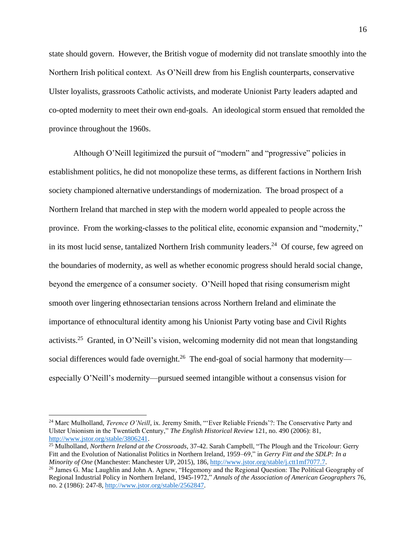state should govern. However, the British vogue of modernity did not translate smoothly into the Northern Irish political context. As O'Neill drew from his English counterparts, conservative Ulster loyalists, grassroots Catholic activists, and moderate Unionist Party leaders adapted and co-opted modernity to meet their own end-goals. An ideological storm ensued that remolded the province throughout the 1960s.

Although O'Neill legitimized the pursuit of "modern" and "progressive" policies in establishment politics, he did not monopolize these terms, as different factions in Northern Irish society championed alternative understandings of modernization. The broad prospect of a Northern Ireland that marched in step with the modern world appealed to people across the province. From the working-classes to the political elite, economic expansion and "modernity," in its most lucid sense, tantalized Northern Irish community leaders.<sup>24</sup> Of course, few agreed on the boundaries of modernity, as well as whether economic progress should herald social change, beyond the emergence of a consumer society. O'Neill hoped that rising consumerism might smooth over lingering ethnosectarian tensions across Northern Ireland and eliminate the importance of ethnocultural identity among his Unionist Party voting base and Civil Rights activists.<sup>25</sup> Granted, in O'Neill's vision, welcoming modernity did not mean that longstanding social differences would fade overnight.<sup>26</sup> The end-goal of social harmony that modernity especially O'Neill's modernity—pursued seemed intangible without a consensus vision for

<sup>&</sup>lt;sup>24</sup> Marc Mulholland, *Terence O'Neill*, ix. Jeremy Smith, "'Ever Reliable Friends'?: The Conservative Party and Ulster Unionism in the Twentieth Century," *The English Historical Review* 121, no. 490 (2006): 81, [http://www.jstor.org/stable/3806241.](http://www.jstor.org/stable/3806241)

<sup>25</sup> Mulholland, *Northern Ireland at the Crossroads*, 37-42. Sarah Campbell, "The Plough and the Tricolour: Gerry Fitt and the Evolution of Nationalist Politics in Northern Ireland, 1959–69," in *Gerry Fitt and the SDLP: In a Minority of One* (Manchester: Manchester UP, 2015), 186[, http://www.jstor.org/stable/j.ctt1mf7077.7.](http://www.jstor.org/stable/j.ctt1mf7077.7)

<sup>&</sup>lt;sup>26</sup> James G. Mac Laughlin and John A. Agnew, "Hegemony and the Regional Question: The Political Geography of Regional Industrial Policy in Northern Ireland, 1945-1972," *Annals of the Association of American Geographers* 76, no. 2 (1986): 247-8, [http://www.jstor.org/stable/2562847.](http://www.jstor.org/stable/2562847)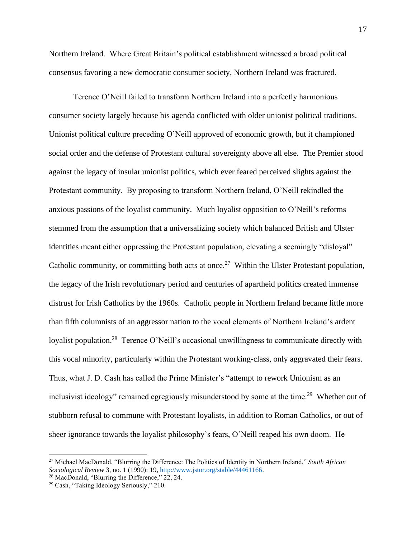Northern Ireland. Where Great Britain's political establishment witnessed a broad political consensus favoring a new democratic consumer society, Northern Ireland was fractured.

Terence O'Neill failed to transform Northern Ireland into a perfectly harmonious consumer society largely because his agenda conflicted with older unionist political traditions. Unionist political culture preceding O'Neill approved of economic growth, but it championed social order and the defense of Protestant cultural sovereignty above all else. The Premier stood against the legacy of insular unionist politics, which ever feared perceived slights against the Protestant community. By proposing to transform Northern Ireland, O'Neill rekindled the anxious passions of the loyalist community. Much loyalist opposition to O'Neill's reforms stemmed from the assumption that a universalizing society which balanced British and Ulster identities meant either oppressing the Protestant population, elevating a seemingly "disloyal" Catholic community, or committing both acts at once.<sup>27</sup> Within the Ulster Protestant population, the legacy of the Irish revolutionary period and centuries of apartheid politics created immense distrust for Irish Catholics by the 1960s. Catholic people in Northern Ireland became little more than fifth columnists of an aggressor nation to the vocal elements of Northern Ireland's ardent loyalist population.<sup>28</sup> Terence O'Neill's occasional unwillingness to communicate directly with this vocal minority, particularly within the Protestant working-class, only aggravated their fears. Thus, what J. D. Cash has called the Prime Minister's "attempt to rework Unionism as an inclusivist ideology" remained egregiously misunderstood by some at the time.<sup>29</sup> Whether out of stubborn refusal to commune with Protestant loyalists, in addition to Roman Catholics, or out of sheer ignorance towards the loyalist philosophy's fears, O'Neill reaped his own doom. He

<sup>27</sup> Michael MacDonald, "Blurring the Difference: The Politics of Identity in Northern Ireland," *South African Sociological Review* 3, no. 1 (1990): 19[, http://www.jstor.org/stable/44461166.](http://www.jstor.org/stable/44461166)

<sup>&</sup>lt;sup>28</sup> MacDonald, "Blurring the Difference," 22, 24.

<sup>29</sup> Cash, "Taking Ideology Seriously," 210.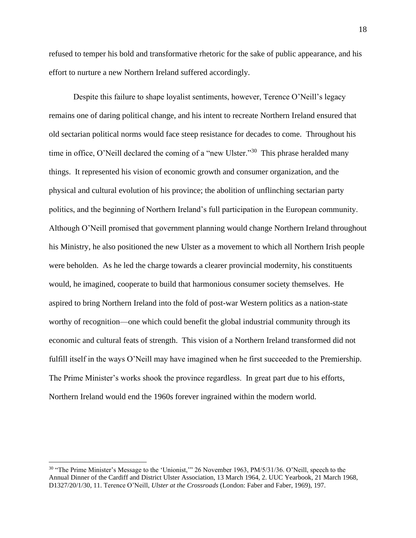refused to temper his bold and transformative rhetoric for the sake of public appearance, and his effort to nurture a new Northern Ireland suffered accordingly.

Despite this failure to shape loyalist sentiments, however, Terence O'Neill's legacy remains one of daring political change, and his intent to recreate Northern Ireland ensured that old sectarian political norms would face steep resistance for decades to come. Throughout his time in office, O'Neill declared the coming of a "new Ulster."<sup>30</sup> This phrase heralded many things. It represented his vision of economic growth and consumer organization, and the physical and cultural evolution of his province; the abolition of unflinching sectarian party politics, and the beginning of Northern Ireland's full participation in the European community. Although O'Neill promised that government planning would change Northern Ireland throughout his Ministry, he also positioned the new Ulster as a movement to which all Northern Irish people were beholden. As he led the charge towards a clearer provincial modernity, his constituents would, he imagined, cooperate to build that harmonious consumer society themselves. He aspired to bring Northern Ireland into the fold of post-war Western politics as a nation-state worthy of recognition—one which could benefit the global industrial community through its economic and cultural feats of strength. This vision of a Northern Ireland transformed did not fulfill itself in the ways O'Neill may have imagined when he first succeeded to the Premiership. The Prime Minister's works shook the province regardless. In great part due to his efforts, Northern Ireland would end the 1960s forever ingrained within the modern world.

<sup>&</sup>lt;sup>30</sup> "The Prime Minister's Message to the 'Unionist,'" 26 November 1963, PM/5/31/36. O'Neill, speech to the Annual Dinner of the Cardiff and District Ulster Association, 13 March 1964, 2. UUC Yearbook, 21 March 1968, D1327/20/1/30, 11. Terence O'Neill, *Ulster at the Crossroads* (London: Faber and Faber, 1969), 197.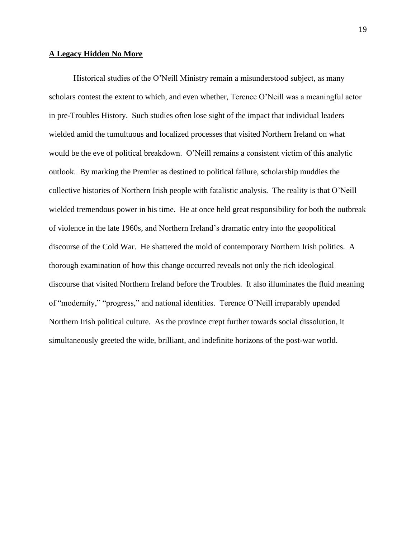#### **A Legacy Hidden No More**

Historical studies of the O'Neill Ministry remain a misunderstood subject, as many scholars contest the extent to which, and even whether, Terence O'Neill was a meaningful actor in pre-Troubles History. Such studies often lose sight of the impact that individual leaders wielded amid the tumultuous and localized processes that visited Northern Ireland on what would be the eve of political breakdown. O'Neill remains a consistent victim of this analytic outlook. By marking the Premier as destined to political failure, scholarship muddies the collective histories of Northern Irish people with fatalistic analysis. The reality is that O'Neill wielded tremendous power in his time. He at once held great responsibility for both the outbreak of violence in the late 1960s, and Northern Ireland's dramatic entry into the geopolitical discourse of the Cold War. He shattered the mold of contemporary Northern Irish politics. A thorough examination of how this change occurred reveals not only the rich ideological discourse that visited Northern Ireland before the Troubles. It also illuminates the fluid meaning of "modernity," "progress," and national identities. Terence O'Neill irreparably upended Northern Irish political culture. As the province crept further towards social dissolution, it simultaneously greeted the wide, brilliant, and indefinite horizons of the post-war world.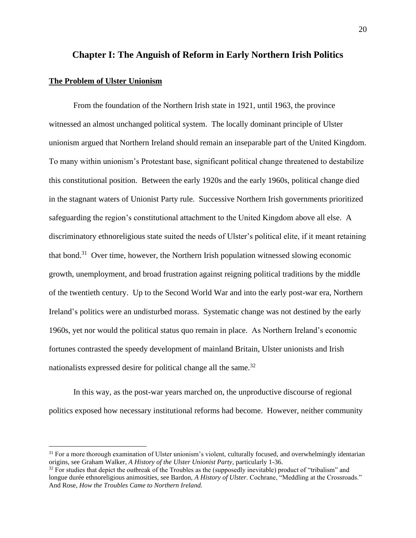# **Chapter I: The Anguish of Reform in Early Northern Irish Politics**

### **The Problem of Ulster Unionism**

From the foundation of the Northern Irish state in 1921, until 1963, the province witnessed an almost unchanged political system. The locally dominant principle of Ulster unionism argued that Northern Ireland should remain an inseparable part of the United Kingdom. To many within unionism's Protestant base, significant political change threatened to destabilize this constitutional position.Between the early 1920s and the early 1960s, political change died in the stagnant waters of Unionist Party rule. Successive Northern Irish governments prioritized safeguarding the region's constitutional attachment to the United Kingdom above all else. A discriminatory ethnoreligious state suited the needs of Ulster's political elite, if it meant retaining that bond.<sup>31</sup> Over time, however, the Northern Irish population witnessed slowing economic growth, unemployment, and broad frustration against reigning political traditions by the middle of the twentieth century. Up to the Second World War and into the early post-war era, Northern Ireland's politics were an undisturbed morass. Systematic change was not destined by the early 1960s, yet nor would the political status quo remain in place. As Northern Ireland's economic fortunes contrasted the speedy development of mainland Britain, Ulster unionists and Irish nationalists expressed desire for political change all the same.<sup>32</sup>

In this way, as the post-war years marched on, the unproductive discourse of regional politics exposed how necessary institutional reforms had become. However, neither community

<sup>&</sup>lt;sup>31</sup> For a more thorough examination of Ulster unionism's violent, culturally focused, and overwhelmingly identarian origins, see Graham Walker, *A History of the Ulster Unionist Party*, particularly 1-36.

 $32$  For studies that depict the outbreak of the Troubles as the (supposedly inevitable) product of "tribalism" and longue durée ethnoreligious animosities, see Bardon, *A History of Ulster*. Cochrane, "Meddling at the Crossroads." And Rose, *How the Troubles Came to Northern Ireland.*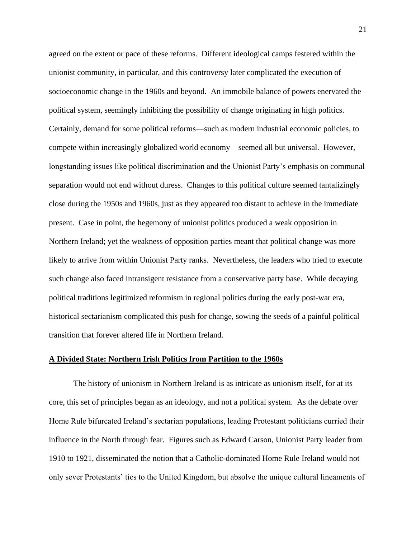agreed on the extent or pace of these reforms. Different ideological camps festered within the unionist community, in particular, and this controversy later complicated the execution of socioeconomic change in the 1960s and beyond. An immobile balance of powers enervated the political system, seemingly inhibiting the possibility of change originating in high politics. Certainly, demand for some political reforms—such as modern industrial economic policies, to compete within increasingly globalized world economy—seemed all but universal. However, longstanding issues like political discrimination and the Unionist Party's emphasis on communal separation would not end without duress. Changes to this political culture seemed tantalizingly close during the 1950s and 1960s, just as they appeared too distant to achieve in the immediate present. Case in point, the hegemony of unionist politics produced a weak opposition in Northern Ireland; yet the weakness of opposition parties meant that political change was more likely to arrive from within Unionist Party ranks. Nevertheless, the leaders who tried to execute such change also faced intransigent resistance from a conservative party base. While decaying political traditions legitimized reformism in regional politics during the early post-war era, historical sectarianism complicated this push for change, sowing the seeds of a painful political transition that forever altered life in Northern Ireland.

#### **A Divided State: Northern Irish Politics from Partition to the 1960s**

The history of unionism in Northern Ireland is as intricate as unionism itself, for at its core, this set of principles began as an ideology, and not a political system. As the debate over Home Rule bifurcated Ireland's sectarian populations, leading Protestant politicians curried their influence in the North through fear. Figures such as Edward Carson, Unionist Party leader from 1910 to 1921, disseminated the notion that a Catholic-dominated Home Rule Ireland would not only sever Protestants' ties to the United Kingdom, but absolve the unique cultural lineaments of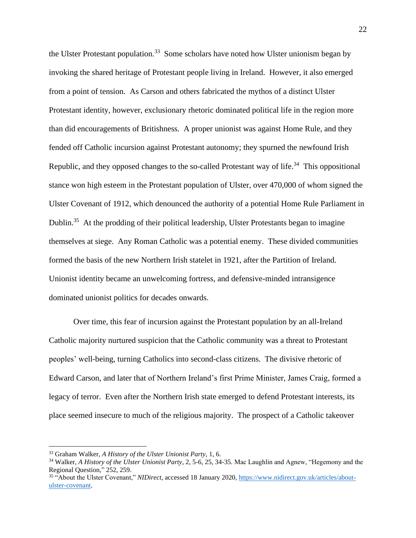the Ulster Protestant population.<sup>33</sup> Some scholars have noted how Ulster unionism began by invoking the shared heritage of Protestant people living in Ireland. However, it also emerged from a point of tension. As Carson and others fabricated the mythos of a distinct Ulster Protestant identity, however, exclusionary rhetoric dominated political life in the region more than did encouragements of Britishness. A proper unionist was against Home Rule, and they fended off Catholic incursion against Protestant autonomy; they spurned the newfound Irish Republic, and they opposed changes to the so-called Protestant way of life.<sup>34</sup> This oppositional stance won high esteem in the Protestant population of Ulster, over 470,000 of whom signed the Ulster Covenant of 1912, which denounced the authority of a potential Home Rule Parliament in Dublin.<sup>35</sup> At the prodding of their political leadership, Ulster Protestants began to imagine themselves at siege. Any Roman Catholic was a potential enemy. These divided communities formed the basis of the new Northern Irish statelet in 1921, after the Partition of Ireland. Unionist identity became an unwelcoming fortress, and defensive-minded intransigence dominated unionist politics for decades onwards.

Over time, this fear of incursion against the Protestant population by an all-Ireland Catholic majority nurtured suspicion that the Catholic community was a threat to Protestant peoples' well-being, turning Catholics into second-class citizens. The divisive rhetoric of Edward Carson, and later that of Northern Ireland's first Prime Minister, James Craig, formed a legacy of terror. Even after the Northern Irish state emerged to defend Protestant interests, its place seemed insecure to much of the religious majority. The prospect of a Catholic takeover

<sup>33</sup> Graham Walker, *A History of the Ulster Unionist Party*, 1, 6.

<sup>34</sup> Walker, *A History of the Ulster Unionist Party*, 2, 5-6, 25, 34-35. Mac Laughlin and Agnew, "Hegemony and the Regional Question," 252, 259.

<sup>35</sup> "About the Ulster Covenant," *NIDirect*, accessed 18 January 2020, [https://www.nidirect.gov.uk/articles/about](https://www.nidirect.gov.uk/articles/about-ulster-covenant)[ulster-covenant.](https://www.nidirect.gov.uk/articles/about-ulster-covenant)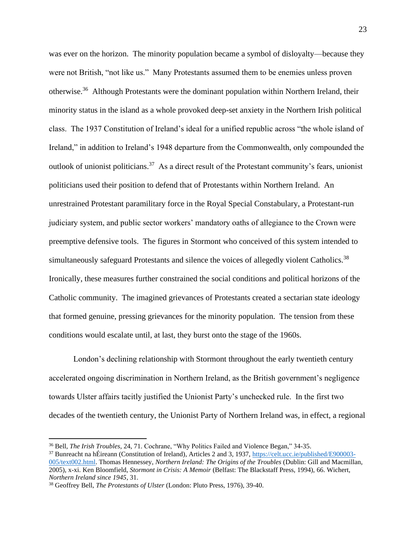was ever on the horizon. The minority population became a symbol of disloyalty—because they were not British, "not like us." Many Protestants assumed them to be enemies unless proven otherwise.<sup>36</sup> Although Protestants were the dominant population within Northern Ireland, their minority status in the island as a whole provoked deep-set anxiety in the Northern Irish political class. The 1937 Constitution of Ireland's ideal for a unified republic across "the whole island of Ireland," in addition to Ireland's 1948 departure from the Commonwealth, only compounded the outlook of unionist politicians.<sup>37</sup> As a direct result of the Protestant community's fears, unionist politicians used their position to defend that of Protestants within Northern Ireland. An unrestrained Protestant paramilitary force in the Royal Special Constabulary, a Protestant-run judiciary system, and public sector workers' mandatory oaths of allegiance to the Crown were preemptive defensive tools. The figures in Stormont who conceived of this system intended to simultaneously safeguard Protestants and silence the voices of allegedly violent Catholics.<sup>38</sup> Ironically, these measures further constrained the social conditions and political horizons of the Catholic community. The imagined grievances of Protestants created a sectarian state ideology that formed genuine, pressing grievances for the minority population. The tension from these conditions would escalate until, at last, they burst onto the stage of the 1960s.

London's declining relationship with Stormont throughout the early twentieth century accelerated ongoing discrimination in Northern Ireland, as the British government's negligence towards Ulster affairs tacitly justified the Unionist Party's unchecked rule. In the first two decades of the twentieth century, the Unionist Party of Northern Ireland was, in effect, a regional

<sup>36</sup> Bell, *The Irish Troubles*, 24, 71. Cochrane, "Why Politics Failed and Violence Began," 34-35.

<sup>37</sup> Bunreacht na hÉireann (Constitution of Ireland), Articles 2 and 3, 1937, [https://celt.ucc.ie/published/E900003-](https://celt.ucc.ie/published/E900003-005/text002.html) [005/text002.html.](https://celt.ucc.ie/published/E900003-005/text002.html) Thomas Hennessey, *Northern Ireland: The Origins of the Troubles* (Dublin: Gill and Macmillan, 2005), x-xi. Ken Bloomfield, *Stormont in Crisis: A Memoir* (Belfast: The Blackstaff Press, 1994), 66. Wichert, *Northern Ireland since 1945*, 31.

<sup>38</sup> Geoffrey Bell, *The Protestants of Ulster* (London: Pluto Press, 1976), 39-40.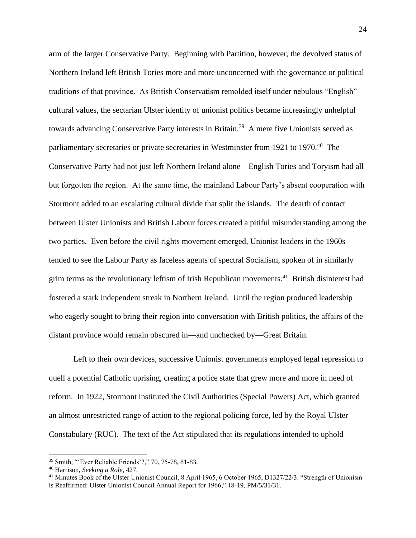arm of the larger Conservative Party. Beginning with Partition, however, the devolved status of Northern Ireland left British Tories more and more unconcerned with the governance or political traditions of that province. As British Conservatism remolded itself under nebulous "English" cultural values, the sectarian Ulster identity of unionist politics became increasingly unhelpful towards advancing Conservative Party interests in Britain.<sup>39</sup> A mere five Unionists served as parliamentary secretaries or private secretaries in Westminster from 1921 to 1970.<sup>40</sup> The Conservative Party had not just left Northern Ireland alone—English Tories and Toryism had all but forgotten the region. At the same time, the mainland Labour Party's absent cooperation with Stormont added to an escalating cultural divide that split the islands. The dearth of contact between Ulster Unionists and British Labour forces created a pitiful misunderstanding among the two parties. Even before the civil rights movement emerged, Unionist leaders in the 1960s tended to see the Labour Party as faceless agents of spectral Socialism, spoken of in similarly grim terms as the revolutionary leftism of Irish Republican movements.<sup>41</sup> British disinterest had fostered a stark independent streak in Northern Ireland. Until the region produced leadership who eagerly sought to bring their region into conversation with British politics, the affairs of the distant province would remain obscured in—and unchecked by—Great Britain.

Left to their own devices, successive Unionist governments employed legal repression to quell a potential Catholic uprising, creating a police state that grew more and more in need of reform. In 1922, Stormont instituted the Civil Authorities (Special Powers) Act, which granted an almost unrestricted range of action to the regional policing force, led by the Royal Ulster Constabulary (RUC). The text of the Act stipulated that its regulations intended to uphold

<sup>39</sup> Smith, "'Ever Reliable Friends'?," 70, 75-78, 81-83.

<sup>40</sup> Harrison, *Seeking a Role*, 427.

<sup>&</sup>lt;sup>41</sup> Minutes Book of the Ulster Unionist Council, 8 April 1965, 6 October 1965, D1327/22/3. "Strength of Unionism is Reaffirmed: Ulster Unionist Council Annual Report for 1966," 18-19, PM/5/31/31.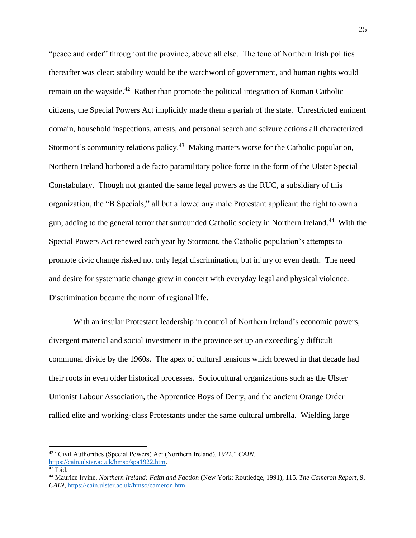"peace and order" throughout the province, above all else. The tone of Northern Irish politics thereafter was clear: stability would be the watchword of government, and human rights would remain on the wayside.<sup>42</sup> Rather than promote the political integration of Roman Catholic citizens, the Special Powers Act implicitly made them a pariah of the state. Unrestricted eminent domain, household inspections, arrests, and personal search and seizure actions all characterized Stormont's community relations policy.<sup>43</sup> Making matters worse for the Catholic population, Northern Ireland harbored a de facto paramilitary police force in the form of the Ulster Special Constabulary. Though not granted the same legal powers as the RUC, a subsidiary of this organization, the "B Specials," all but allowed any male Protestant applicant the right to own a gun, adding to the general terror that surrounded Catholic society in Northern Ireland.<sup>44</sup> With the Special Powers Act renewed each year by Stormont, the Catholic population's attempts to promote civic change risked not only legal discrimination, but injury or even death. The need and desire for systematic change grew in concert with everyday legal and physical violence. Discrimination became the norm of regional life.

With an insular Protestant leadership in control of Northern Ireland's economic powers, divergent material and social investment in the province set up an exceedingly difficult communal divide by the 1960s. The apex of cultural tensions which brewed in that decade had their roots in even older historical processes. Sociocultural organizations such as the Ulster Unionist Labour Association, the Apprentice Boys of Derry, and the ancient Orange Order rallied elite and working-class Protestants under the same cultural umbrella. Wielding large

<sup>42</sup> "Civil Authorities (Special Powers) Act (Northern Ireland), 1922," *CAIN*, [https://cain.ulster.ac.uk/hmso/spa1922.htm.](https://cain.ulster.ac.uk/hmso/spa1922.htm)

 $43$  Ibid.

<sup>44</sup> Maurice Irvine, *Northern Ireland: Faith and Faction* (New York: Routledge, 1991), 115. *The Cameron Report*, 9, *CAIN*, [https://cain.ulster.ac.uk/hmso/cameron.htm.](https://cain.ulster.ac.uk/hmso/cameron.htm)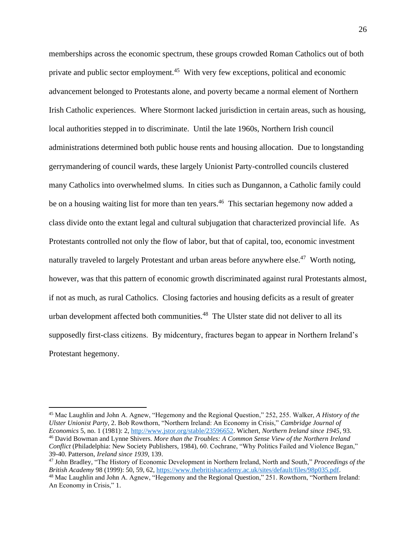memberships across the economic spectrum, these groups crowded Roman Catholics out of both private and public sector employment.<sup>45</sup> With very few exceptions, political and economic advancement belonged to Protestants alone, and poverty became a normal element of Northern Irish Catholic experiences. Where Stormont lacked jurisdiction in certain areas, such as housing, local authorities stepped in to discriminate. Until the late 1960s, Northern Irish council administrations determined both public house rents and housing allocation. Due to longstanding gerrymandering of council wards, these largely Unionist Party-controlled councils clustered many Catholics into overwhelmed slums. In cities such as Dungannon, a Catholic family could be on a housing waiting list for more than ten years.<sup>46</sup> This sectarian hegemony now added a class divide onto the extant legal and cultural subjugation that characterized provincial life. As Protestants controlled not only the flow of labor, but that of capital, too, economic investment naturally traveled to largely Protestant and urban areas before anywhere else.<sup>47</sup> Worth noting, however, was that this pattern of economic growth discriminated against rural Protestants almost, if not as much, as rural Catholics. Closing factories and housing deficits as a result of greater urban development affected both communities.<sup>48</sup> The Ulster state did not deliver to all its supposedly first-class citizens. By midcentury, fractures began to appear in Northern Ireland's Protestant hegemony.

<sup>45</sup> Mac Laughlin and John A. Agnew, "Hegemony and the Regional Question," 252, 255. Walker, *A History of the Ulster Unionist Party*, 2. Bob Rowthorn, "Northern Ireland: An Economy in Crisis," *Cambridge Journal of Economics* 5, no. 1 (1981): 2, [http://www.jstor.org/stable/23596652.](http://www.jstor.org/stable/23596652) Wichert, *Northern Ireland since 1945*, 93. <sup>46</sup> David Bowman and Lynne Shivers. *More than the Troubles: A Common Sense View of the Northern Ireland Conflict* (Philadelphia: New Society Publishers, 1984), 60. Cochrane, "Why Politics Failed and Violence Began," 39-40. Patterson, *Ireland since 1939*, 139.

<sup>47</sup> John Bradley, "The History of Economic Development in Northern Ireland, North and South," *Proceedings of the British Academy* 98 (1999): 50, 59, 62, [https://www.thebritishacademy.ac.uk/sites/default/files/98p035.pdf.](https://www.thebritishacademy.ac.uk/sites/default/files/98p035.pdf)

<sup>48</sup> Mac Laughlin and John A. Agnew, "Hegemony and the Regional Question," 251. Rowthorn, "Northern Ireland: An Economy in Crisis," 1.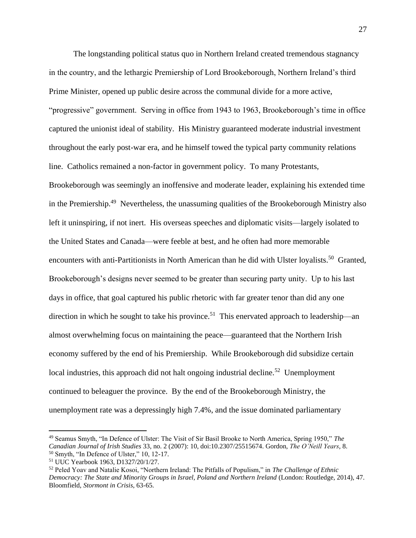The longstanding political status quo in Northern Ireland created tremendous stagnancy in the country, and the lethargic Premiership of Lord Brookeborough, Northern Ireland's third Prime Minister, opened up public desire across the communal divide for a more active, "progressive" government. Serving in office from 1943 to 1963, Brookeborough's time in office captured the unionist ideal of stability. His Ministry guaranteed moderate industrial investment throughout the early post-war era, and he himself towed the typical party community relations line. Catholics remained a non-factor in government policy. To many Protestants, Brookeborough was seemingly an inoffensive and moderate leader, explaining his extended time in the Premiership.<sup>49</sup> Nevertheless, the unassuming qualities of the Brookeborough Ministry also left it uninspiring, if not inert. His overseas speeches and diplomatic visits—largely isolated to the United States and Canada—were feeble at best, and he often had more memorable encounters with anti-Partitionists in North American than he did with Ulster loyalists.<sup>50</sup> Granted, Brookeborough's designs never seemed to be greater than securing party unity. Up to his last days in office, that goal captured his public rhetoric with far greater tenor than did any one direction in which he sought to take his province.<sup>51</sup> This enervated approach to leadership—an almost overwhelming focus on maintaining the peace—guaranteed that the Northern Irish economy suffered by the end of his Premiership. While Brookeborough did subsidize certain local industries, this approach did not halt ongoing industrial decline.<sup>52</sup> Unemployment continued to beleaguer the province. By the end of the Brookeborough Ministry, the unemployment rate was a depressingly high 7.4%, and the issue dominated parliamentary

<sup>49</sup> Seamus Smyth, "In Defence of Ulster: The Visit of Sir Basil Brooke to North America, Spring 1950," *The Canadian Journal of Irish Studies* 33, no. 2 (2007): 10, doi:10.2307/25515674. Gordon, *The O'Neill Years*, 8.  $50$  Smyth, "In Defence of Ulster," 10, 12-17.

<sup>51</sup> UUC Yearbook 1963, D1327/20/1/27.

<sup>52</sup> Peled Yoav and Natalie Kosoi, "Northern Ireland: The Pitfalls of Populism," in *The Challenge of Ethnic Democracy: The State and Minority Groups in Israel, Poland and Northern Ireland* (London: Routledge, 2014), 47. Bloomfield, *Stormont in Crisis*, 63-65.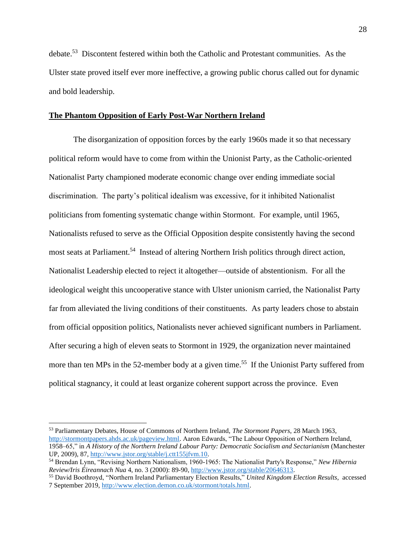debate.<sup>53</sup> Discontent festered within both the Catholic and Protestant communities. As the Ulster state proved itself ever more ineffective, a growing public chorus called out for dynamic and bold leadership.

#### **The Phantom Opposition of Early Post-War Northern Ireland**

The disorganization of opposition forces by the early 1960s made it so that necessary political reform would have to come from within the Unionist Party, as the Catholic-oriented Nationalist Party championed moderate economic change over ending immediate social discrimination. The party's political idealism was excessive, for it inhibited Nationalist politicians from fomenting systematic change within Stormont. For example, until 1965, Nationalists refused to serve as the Official Opposition despite consistently having the second most seats at Parliament.<sup>54</sup> Instead of altering Northern Irish politics through direct action, Nationalist Leadership elected to reject it altogether—outside of abstentionism. For all the ideological weight this uncooperative stance with Ulster unionism carried, the Nationalist Party far from alleviated the living conditions of their constituents. As party leaders chose to abstain from official opposition politics, Nationalists never achieved significant numbers in Parliament. After securing a high of eleven seats to Stormont in 1929, the organization never maintained more than ten MPs in the 52-member body at a given time.<sup>55</sup> If the Unionist Party suffered from political stagnancy, it could at least organize coherent support across the province. Even

<sup>53</sup> Parliamentary Debates, House of Commons of Northern Ireland, *The Stormont Papers*, 28 March 1963, [http://stormontpapers.ahds.ac.uk/pageview.html.](http://stormontpapers.ahds.ac.uk/pageview.html) Aaron Edwards, "The Labour Opposition of Northern Ireland, 1958–65," in *A History of the Northern Ireland Labour Party: Democratic Socialism and Sectarianism* (Manchester UP, 2009), 87, [http://www.jstor.org/stable/j.ctt155jfvm.10.](http://www.jstor.org/stable/j.ctt155jfvm.10)

<sup>54</sup> Brendan Lynn, "Revising Northern Nationalism, 1960-1965: The Nationalist Party's Response," *New Hibernia Review/Iris Éireannach Nua* 4, no. 3 (2000): 89-90, [http://www.jstor.org/stable/20646313.](http://www.jstor.org/stable/20646313)

<sup>55</sup> David Boothroyd, "Northern Ireland Parliamentary Election Results," *United Kingdom Election Results*, accessed 7 September 2019, [http://www.election.demon.co.uk/stormont/totals.html.](http://www.election.demon.co.uk/stormont/totals.html)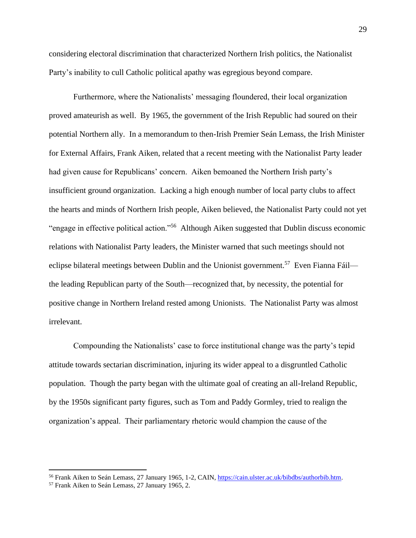considering electoral discrimination that characterized Northern Irish politics, the Nationalist Party's inability to cull Catholic political apathy was egregious beyond compare.

Furthermore, where the Nationalists' messaging floundered, their local organization proved amateurish as well. By 1965, the government of the Irish Republic had soured on their potential Northern ally. In a memorandum to then-Irish Premier Seán Lemass, the Irish Minister for External Affairs, Frank Aiken, related that a recent meeting with the Nationalist Party leader had given cause for Republicans' concern. Aiken bemoaned the Northern Irish party's insufficient ground organization. Lacking a high enough number of local party clubs to affect the hearts and minds of Northern Irish people, Aiken believed, the Nationalist Party could not yet "engage in effective political action."<sup>56</sup> Although Aiken suggested that Dublin discuss economic relations with Nationalist Party leaders, the Minister warned that such meetings should not eclipse bilateral meetings between Dublin and the Unionist government.<sup>57</sup> Even Fianna Fáil the leading Republican party of the South—recognized that, by necessity, the potential for positive change in Northern Ireland rested among Unionists. The Nationalist Party was almost irrelevant.

Compounding the Nationalists' case to force institutional change was the party's tepid attitude towards sectarian discrimination, injuring its wider appeal to a disgruntled Catholic population. Though the party began with the ultimate goal of creating an all-Ireland Republic, by the 1950s significant party figures, such as Tom and Paddy Gormley, tried to realign the organization's appeal. Their parliamentary rhetoric would champion the cause of the

<sup>&</sup>lt;sup>56</sup> Frank Aiken to Seán Lemass, 27 January 1965, 1-2, CAIN, [https://cain.ulster.ac.uk/bibdbs/authorbib.htm.](https://cain.ulster.ac.uk/bibdbs/authorbib.htm)

<sup>57</sup> Frank Aiken to Seán Lemass, 27 January 1965, 2.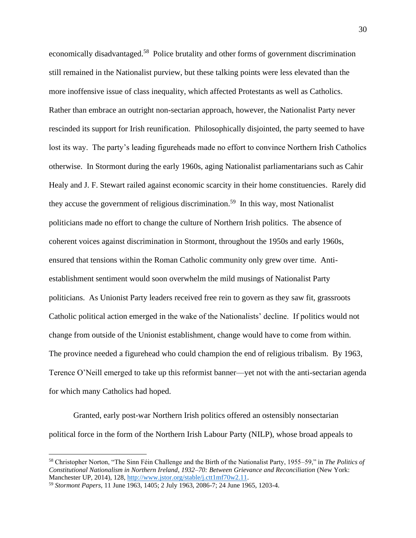economically disadvantaged.<sup>58</sup> Police brutality and other forms of government discrimination still remained in the Nationalist purview, but these talking points were less elevated than the more inoffensive issue of class inequality, which affected Protestants as well as Catholics. Rather than embrace an outright non-sectarian approach, however, the Nationalist Party never rescinded its support for Irish reunification. Philosophically disjointed, the party seemed to have lost its way. The party's leading figureheads made no effort to convince Northern Irish Catholics otherwise. In Stormont during the early 1960s, aging Nationalist parliamentarians such as Cahir Healy and J. F. Stewart railed against economic scarcity in their home constituencies. Rarely did they accuse the government of religious discrimination.<sup>59</sup> In this way, most Nationalist politicians made no effort to change the culture of Northern Irish politics. The absence of coherent voices against discrimination in Stormont, throughout the 1950s and early 1960s, ensured that tensions within the Roman Catholic community only grew over time. Antiestablishment sentiment would soon overwhelm the mild musings of Nationalist Party politicians. As Unionist Party leaders received free rein to govern as they saw fit, grassroots Catholic political action emerged in the wake of the Nationalists' decline. If politics would not change from outside of the Unionist establishment, change would have to come from within. The province needed a figurehead who could champion the end of religious tribalism. By 1963, Terence O'Neill emerged to take up this reformist banner—yet not with the anti-sectarian agenda for which many Catholics had hoped.

Granted, early post-war Northern Irish politics offered an ostensibly nonsectarian political force in the form of the Northern Irish Labour Party (NILP), whose broad appeals to

<sup>58</sup> Christopher Norton, "The Sinn Féin Challenge and the Birth of the Nationalist Party, 1955–59," in *The Politics of Constitutional Nationalism in Northern Ireland, 1932–70: Between Grievance and Reconciliation* (New York: Manchester UP, 2014), 128, [http://www.jstor.org/stable/j.ctt1mf70w2.11.](http://www.jstor.org/stable/j.ctt1mf70w2.11)

<sup>59</sup> *Stormont Papers*, 11 June 1963, 1405; 2 July 1963, 2086-7; 24 June 1965, 1203-4.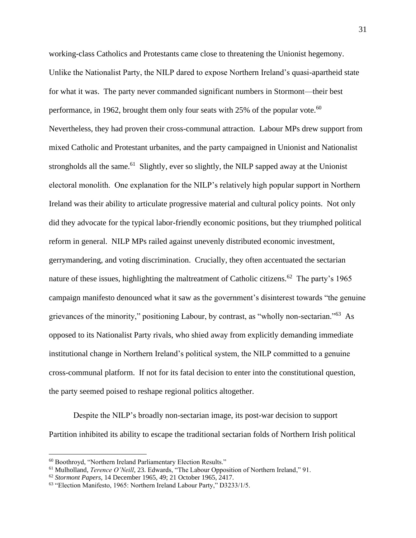working-class Catholics and Protestants came close to threatening the Unionist hegemony. Unlike the Nationalist Party, the NILP dared to expose Northern Ireland's quasi-apartheid state for what it was. The party never commanded significant numbers in Stormont—their best performance, in 1962, brought them only four seats with 25% of the popular vote.<sup>60</sup> Nevertheless, they had proven their cross-communal attraction. Labour MPs drew support from mixed Catholic and Protestant urbanites, and the party campaigned in Unionist and Nationalist strongholds all the same.<sup>61</sup> Slightly, ever so slightly, the NILP sapped away at the Unionist electoral monolith. One explanation for the NILP's relatively high popular support in Northern Ireland was their ability to articulate progressive material and cultural policy points. Not only did they advocate for the typical labor-friendly economic positions, but they triumphed political reform in general. NILP MPs railed against unevenly distributed economic investment, gerrymandering, and voting discrimination. Crucially, they often accentuated the sectarian nature of these issues, highlighting the maltreatment of Catholic citizens.<sup>62</sup> The party's 1965 campaign manifesto denounced what it saw as the government's disinterest towards "the genuine grievances of the minority," positioning Labour, by contrast, as "wholly non-sectarian."<sup>63</sup> As opposed to its Nationalist Party rivals, who shied away from explicitly demanding immediate institutional change in Northern Ireland's political system, the NILP committed to a genuine cross-communal platform. If not for its fatal decision to enter into the constitutional question, the party seemed poised to reshape regional politics altogether.

Despite the NILP's broadly non-sectarian image, its post-war decision to support Partition inhibited its ability to escape the traditional sectarian folds of Northern Irish political

<sup>60</sup> Boothroyd, "Northern Ireland Parliamentary Election Results."

<sup>&</sup>lt;sup>61</sup> Mulholland, *Terence O'Neill*, 23. Edwards, "The Labour Opposition of Northern Ireland," 91.

<sup>62</sup> *Stormont Papers*, 14 December 1965, 49; 21 October 1965, 2417.

<sup>63</sup> "Election Manifesto, 1965: Northern Ireland Labour Party," D3233/1/5.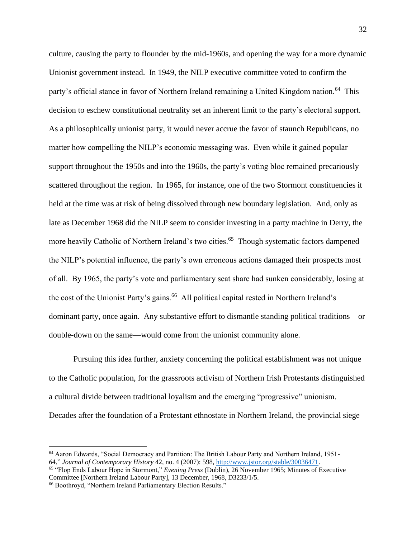culture, causing the party to flounder by the mid-1960s, and opening the way for a more dynamic Unionist government instead. In 1949, the NILP executive committee voted to confirm the party's official stance in favor of Northern Ireland remaining a United Kingdom nation.<sup>64</sup> This decision to eschew constitutional neutrality set an inherent limit to the party's electoral support. As a philosophically unionist party, it would never accrue the favor of staunch Republicans, no matter how compelling the NILP's economic messaging was. Even while it gained popular support throughout the 1950s and into the 1960s, the party's voting bloc remained precariously scattered throughout the region. In 1965, for instance, one of the two Stormont constituencies it held at the time was at risk of being dissolved through new boundary legislation. And, only as late as December 1968 did the NILP seem to consider investing in a party machine in Derry, the more heavily Catholic of Northern Ireland's two cities.<sup>65</sup> Though systematic factors dampened the NILP's potential influence, the party's own erroneous actions damaged their prospects most of all. By 1965, the party's vote and parliamentary seat share had sunken considerably, losing at the cost of the Unionist Party's gains.<sup>66</sup> All political capital rested in Northern Ireland's dominant party, once again. Any substantive effort to dismantle standing political traditions—or double-down on the same—would come from the unionist community alone.

Pursuing this idea further, anxiety concerning the political establishment was not unique to the Catholic population, for the grassroots activism of Northern Irish Protestants distinguished a cultural divide between traditional loyalism and the emerging "progressive" unionism. Decades after the foundation of a Protestant ethnostate in Northern Ireland, the provincial siege

<sup>64</sup> Aaron Edwards, "Social Democracy and Partition: The British Labour Party and Northern Ireland, 1951- 64," *Journal of Contemporary History* 42, no. 4 (2007): 598, [http://www.jstor.org/stable/30036471.](http://www.jstor.org/stable/30036471)

<sup>65</sup> "Flop Ends Labour Hope in Stormont," *Evening Press* (Dublin), 26 November 1965; Minutes of Executive Committee [Northern Ireland Labour Party], 13 December, 1968, D3233/1/5.

<sup>66</sup> Boothroyd, "Northern Ireland Parliamentary Election Results."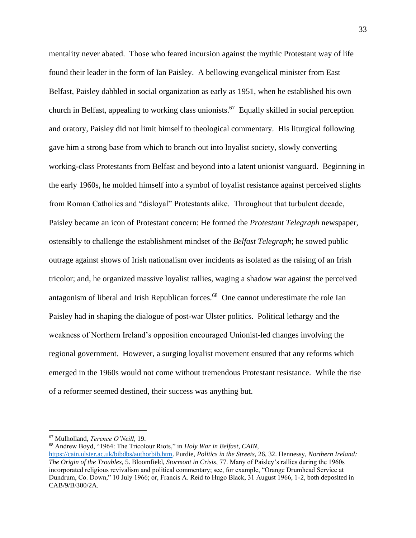mentality never abated. Those who feared incursion against the mythic Protestant way of life found their leader in the form of Ian Paisley. A bellowing evangelical minister from East Belfast, Paisley dabbled in social organization as early as 1951, when he established his own church in Belfast, appealing to working class unionists.<sup>67</sup> Equally skilled in social perception and oratory, Paisley did not limit himself to theological commentary. His liturgical following gave him a strong base from which to branch out into loyalist society, slowly converting working-class Protestants from Belfast and beyond into a latent unionist vanguard. Beginning in the early 1960s, he molded himself into a symbol of loyalist resistance against perceived slights from Roman Catholics and "disloyal" Protestants alike. Throughout that turbulent decade, Paisley became an icon of Protestant concern: He formed the *Protestant Telegraph* newspaper, ostensibly to challenge the establishment mindset of the *Belfast Telegraph*; he sowed public outrage against shows of Irish nationalism over incidents as isolated as the raising of an Irish tricolor; and, he organized massive loyalist rallies, waging a shadow war against the perceived antagonism of liberal and Irish Republican forces.<sup>68</sup> One cannot underestimate the role Ian Paisley had in shaping the dialogue of post-war Ulster politics. Political lethargy and the weakness of Northern Ireland's opposition encouraged Unionist-led changes involving the regional government. However, a surging loyalist movement ensured that any reforms which emerged in the 1960s would not come without tremendous Protestant resistance. While the rise of a reformer seemed destined, their success was anything but.

<sup>68</sup> Andrew Boyd, "1964: The Tricolour Riots," in *Holy War in Belfast*, *CAIN*,

<sup>67</sup> Mulholland, *Terence O'Neill*, 19.

[https://cain.ulster.ac.uk/bibdbs/authorbib.htm.](https://cain.ulster.ac.uk/bibdbs/authorbib.htm) Purdie, *Politics in the Streets*, 26, 32. Hennessy, *Northern Ireland: The Origin of the Troubles*, 5. Bloomfield, *Stormont in Crisis*, 77. Many of Paisley's rallies during the 1960s incorporated religious revivalism and political commentary; see, for example, "Orange Drumhead Service at Dundrum, Co. Down," 10 July 1966; or, Francis A. Reid to Hugo Black, 31 August 1966, 1-2, both deposited in CAB/9/B/300/2A.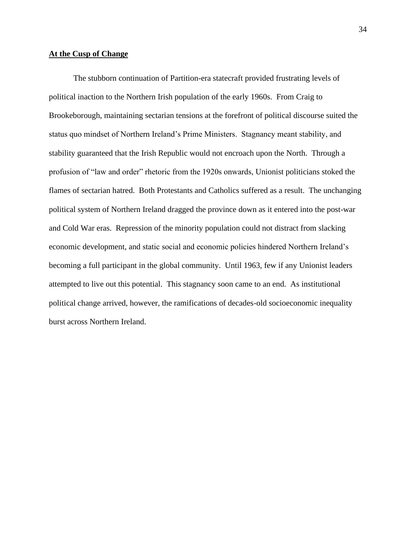#### **At the Cusp of Change**

The stubborn continuation of Partition-era statecraft provided frustrating levels of political inaction to the Northern Irish population of the early 1960s. From Craig to Brookeborough, maintaining sectarian tensions at the forefront of political discourse suited the status quo mindset of Northern Ireland's Prime Ministers. Stagnancy meant stability, and stability guaranteed that the Irish Republic would not encroach upon the North. Through a profusion of "law and order" rhetoric from the 1920s onwards, Unionist politicians stoked the flames of sectarian hatred. Both Protestants and Catholics suffered as a result. The unchanging political system of Northern Ireland dragged the province down as it entered into the post-war and Cold War eras. Repression of the minority population could not distract from slacking economic development, and static social and economic policies hindered Northern Ireland's becoming a full participant in the global community. Until 1963, few if any Unionist leaders attempted to live out this potential. This stagnancy soon came to an end. As institutional political change arrived, however, the ramifications of decades-old socioeconomic inequality burst across Northern Ireland.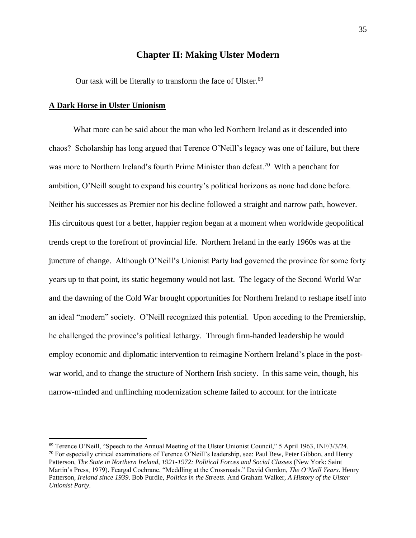# **Chapter II: Making Ulster Modern**

Our task will be literally to transform the face of Ulster.<sup>69</sup>

#### **A Dark Horse in Ulster Unionism**

What more can be said about the man who led Northern Ireland as it descended into chaos? Scholarship has long argued that Terence O'Neill's legacy was one of failure, but there was more to Northern Ireland's fourth Prime Minister than defeat.<sup>70</sup> With a penchant for ambition, O'Neill sought to expand his country's political horizons as none had done before. Neither his successes as Premier nor his decline followed a straight and narrow path, however. His circuitous quest for a better, happier region began at a moment when worldwide geopolitical trends crept to the forefront of provincial life. Northern Ireland in the early 1960s was at the juncture of change. Although O'Neill's Unionist Party had governed the province for some forty years up to that point, its static hegemony would not last. The legacy of the Second World War and the dawning of the Cold War brought opportunities for Northern Ireland to reshape itself into an ideal "modern" society. O'Neill recognized this potential. Upon acceding to the Premiership, he challenged the province's political lethargy. Through firm-handed leadership he would employ economic and diplomatic intervention to reimagine Northern Ireland's place in the postwar world, and to change the structure of Northern Irish society. In this same vein, though, his narrow-minded and unflinching modernization scheme failed to account for the intricate

<sup>69</sup> Terence O'Neill, "Speech to the Annual Meeting of the Ulster Unionist Council," 5 April 1963, INF/3/3/24.  $70$  For especially critical examinations of Terence O'Neill's leadership, see: Paul Bew, Peter Gibbon, and Henry Patterson, *The State in Northern Ireland, 1921-1972: Political Forces and Social Classes* (New York: Saint Martin's Press, 1979). Feargal Cochrane, "Meddling at the Crossroads." David Gordon, *The O'Neill Years*. Henry Patterson, *Ireland since 1939*. Bob Purdie, *Politics in the Streets*. And Graham Walker, *A History of the Ulster Unionist Party*.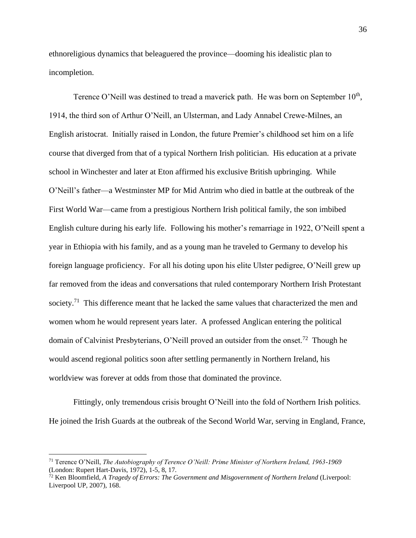ethnoreligious dynamics that beleaguered the province—dooming his idealistic plan to incompletion.

Terence O'Neill was destined to tread a maverick path. He was born on September  $10<sup>th</sup>$ , 1914, the third son of Arthur O'Neill, an Ulsterman, and Lady Annabel Crewe-Milnes, an English aristocrat. Initially raised in London, the future Premier's childhood set him on a life course that diverged from that of a typical Northern Irish politician. His education at a private school in Winchester and later at Eton affirmed his exclusive British upbringing. While O'Neill's father—a Westminster MP for Mid Antrim who died in battle at the outbreak of the First World War—came from a prestigious Northern Irish political family, the son imbibed English culture during his early life. Following his mother's remarriage in 1922, O'Neill spent a year in Ethiopia with his family, and as a young man he traveled to Germany to develop his foreign language proficiency. For all his doting upon his elite Ulster pedigree, O'Neill grew up far removed from the ideas and conversations that ruled contemporary Northern Irish Protestant society.<sup>71</sup> This difference meant that he lacked the same values that characterized the men and women whom he would represent years later. A professed Anglican entering the political domain of Calvinist Presbyterians, O'Neill proved an outsider from the onset.<sup>72</sup> Though he would ascend regional politics soon after settling permanently in Northern Ireland, his worldview was forever at odds from those that dominated the province.

Fittingly, only tremendous crisis brought O'Neill into the fold of Northern Irish politics. He joined the Irish Guards at the outbreak of the Second World War, serving in England, France,

<sup>71</sup> Terence O'Neill, *The Autobiography of Terence O'Neill: Prime Minister of Northern Ireland, 1963-1969* (London: Rupert Hart-Davis, 1972), 1-5, 8, 17.

<sup>72</sup> Ken Bloomfield, *A Tragedy of Errors: The Government and Misgovernment of Northern Ireland* (Liverpool: Liverpool UP, 2007), 168.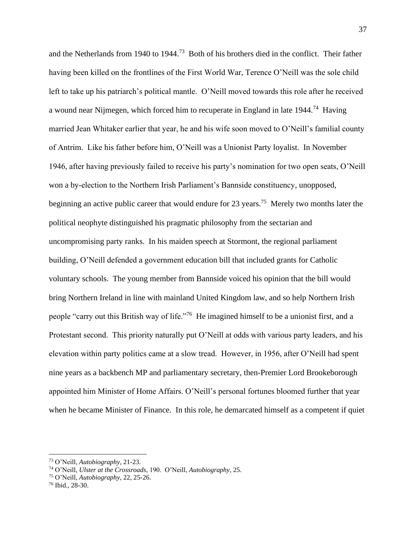and the Netherlands from 1940 to 1944.<sup>73</sup> Both of his brothers died in the conflict. Their father having been killed on the frontlines of the First World War, Terence O'Neill was the sole child left to take up his patriarch's political mantle. O'Neill moved towards this role after he received a wound near Nijmegen, which forced him to recuperate in England in late  $1944$ <sup>74</sup> Having married Jean Whitaker earlier that year, he and his wife soon moved to O'Neill's familial county of Antrim. Like his father before him, O'Neill was a Unionist Party loyalist. In November 1946, after having previously failed to receive his party's nomination for two open seats, O'Neill won a by-election to the Northern Irish Parliament's Bannside constituency, unopposed, beginning an active public career that would endure for 23 years.<sup>75</sup> Merely two months later the political neophyte distinguished his pragmatic philosophy from the sectarian and uncompromising party ranks. In his maiden speech at Stormont, the regional parliament building, O'Neill defended a government education bill that included grants for Catholic voluntary schools. The young member from Bannside voiced his opinion that the bill would bring Northern Ireland in line with mainland United Kingdom law, and so help Northern Irish people "carry out this British way of life."<sup>76</sup> He imagined himself to be a unionist first, and a Protestant second. This priority naturally put O'Neill at odds with various party leaders, and his elevation within party politics came at a slow tread. However, in 1956, after O'Neill had spent nine years as a backbench MP and parliamentary secretary, then-Premier Lord Brookeborough appointed him Minister of Home Affairs. O'Neill's personal fortunes bloomed further that year when he became Minister of Finance. In this role, he demarcated himself as a competent if quiet

<sup>73</sup> O'Neill, *Autobiography*, 21-23.

<sup>74</sup> O'Neill, *Ulster at the Crossroads*, 190. O'Neill, *Autobiography*, 25.

<sup>75</sup> O'Neill, *Autobiography*, 22, 25-26.

<sup>76</sup> Ibid., 28-30.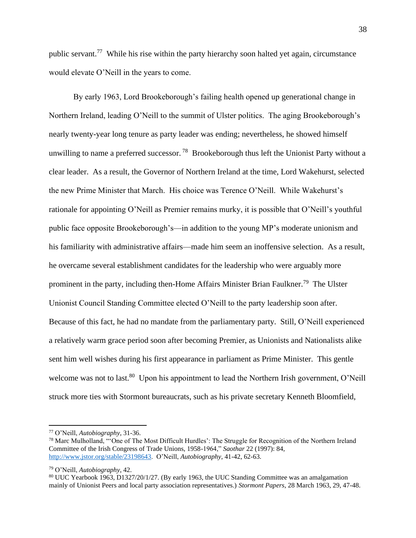public servant.<sup>77</sup> While his rise within the party hierarchy soon halted yet again, circumstance would elevate O'Neill in the years to come.

By early 1963, Lord Brookeborough's failing health opened up generational change in Northern Ireland, leading O'Neill to the summit of Ulster politics. The aging Brookeborough's nearly twenty-year long tenure as party leader was ending; nevertheless, he showed himself unwilling to name a preferred successor.<sup>78</sup> Brookeborough thus left the Unionist Party without a clear leader. As a result, the Governor of Northern Ireland at the time, Lord Wakehurst, selected the new Prime Minister that March. His choice was Terence O'Neill. While Wakehurst's rationale for appointing O'Neill as Premier remains murky, it is possible that O'Neill's youthful public face opposite Brookeborough's—in addition to the young MP's moderate unionism and his familiarity with administrative affairs—made him seem an inoffensive selection. As a result, he overcame several establishment candidates for the leadership who were arguably more prominent in the party, including then-Home Affairs Minister Brian Faulkner.<sup>79</sup> The Ulster Unionist Council Standing Committee elected O'Neill to the party leadership soon after. Because of this fact, he had no mandate from the parliamentary party. Still, O'Neill experienced a relatively warm grace period soon after becoming Premier, as Unionists and Nationalists alike sent him well wishes during his first appearance in parliament as Prime Minister. This gentle welcome was not to last.<sup>80</sup> Upon his appointment to lead the Northern Irish government, O'Neill struck more ties with Stormont bureaucrats, such as his private secretary Kenneth Bloomfield,

<sup>77</sup> O'Neill, *Autobiography*, 31-36.

<sup>78</sup> Marc Mulholland, "'One of The Most Difficult Hurdles': The Struggle for Recognition of the Northern Ireland Committee of the Irish Congress of Trade Unions, 1958-1964," *Saothar* 22 (1997): 84, [http://www.jstor.org/stable/23198643.](http://www.jstor.org/stable/23198643) O'Neill, *Autobiography*, 41-42, 62-63.

<sup>79</sup> O'Neill, *Autobiography*, 42.

<sup>80</sup> UUC Yearbook 1963, D1327/20/1/27. (By early 1963, the UUC Standing Committee was an amalgamation mainly of Unionist Peers and local party association representatives.) *Stormont Papers*, 28 March 1963, 29, 47-48.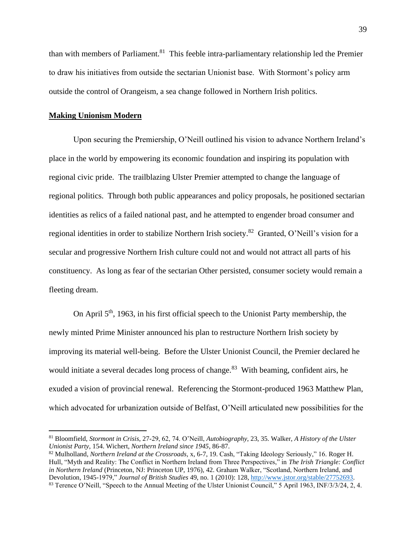than with members of Parliament.<sup>81</sup> This feeble intra-parliamentary relationship led the Premier to draw his initiatives from outside the sectarian Unionist base. With Stormont's policy arm outside the control of Orangeism, a sea change followed in Northern Irish politics.

## **Making Unionism Modern**

Upon securing the Premiership, O'Neill outlined his vision to advance Northern Ireland's place in the world by empowering its economic foundation and inspiring its population with regional civic pride. The trailblazing Ulster Premier attempted to change the language of regional politics. Through both public appearances and policy proposals, he positioned sectarian identities as relics of a failed national past, and he attempted to engender broad consumer and regional identities in order to stabilize Northern Irish society.<sup>82</sup> Granted, O'Neill's vision for a secular and progressive Northern Irish culture could not and would not attract all parts of his constituency. As long as fear of the sectarian Other persisted, consumer society would remain a fleeting dream.

On April 5th, 1963, in his first official speech to the Unionist Party membership, the newly minted Prime Minister announced his plan to restructure Northern Irish society by improving its material well-being. Before the Ulster Unionist Council, the Premier declared he would initiate a several decades long process of change.<sup>83</sup> With beaming, confident airs, he exuded a vision of provincial renewal. Referencing the Stormont-produced 1963 Matthew Plan, which advocated for urbanization outside of Belfast, O'Neill articulated new possibilities for the

<sup>81</sup> Bloomfield, *Stormont in Crisis*, 27-29, 62, 74. O'Neill, *Autobiography*, 23, 35. Walker, *A History of the Ulster Unionist Party*, 154. Wichert, *Northern Ireland since 1945*, 86-87.

<sup>82</sup> Mulholland, *Northern Ireland at the Crossroads,* x, 6-7, 19. Cash, "Taking Ideology Seriously," 16. Roger H. Hull, "Myth and Reality: The Conflict in Northern Ireland from Three Perspectives," in *The Irish Triangle: Conflict in Northern Ireland* (Princeton, NJ: Princeton UP, 1976), 42. Graham Walker, "Scotland, Northern Ireland, and Devolution, 1945-1979," *Journal of British Studies* 49, no. 1 (2010): 128, [http://www.jstor.org/stable/27752693.](http://www.jstor.org/stable/27752693) 83 Terence O'Neill, "Speech to the Annual Meeting of the Ulster Unionist Council," 5 April 1963, INF/3/3/24, 2, 4.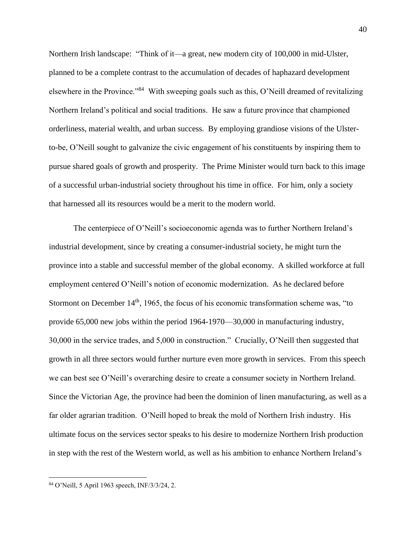Northern Irish landscape: "Think of it—a great, new modern city of 100,000 in mid-Ulster, planned to be a complete contrast to the accumulation of decades of haphazard development elsewhere in the Province."<sup>84</sup> With sweeping goals such as this, O'Neill dreamed of revitalizing Northern Ireland's political and social traditions. He saw a future province that championed orderliness, material wealth, and urban success. By employing grandiose visions of the Ulsterto-be, O'Neill sought to galvanize the civic engagement of his constituents by inspiring them to pursue shared goals of growth and prosperity. The Prime Minister would turn back to this image of a successful urban-industrial society throughout his time in office. For him, only a society that harnessed all its resources would be a merit to the modern world.

The centerpiece of O'Neill's socioeconomic agenda was to further Northern Ireland's industrial development, since by creating a consumer-industrial society, he might turn the province into a stable and successful member of the global economy. A skilled workforce at full employment centered O'Neill's notion of economic modernization. As he declared before Stormont on December  $14<sup>th</sup>$ , 1965, the focus of his economic transformation scheme was, "to provide 65,000 new jobs within the period 1964-1970—30,000 in manufacturing industry, 30,000 in the service trades, and 5,000 in construction." Crucially, O'Neill then suggested that growth in all three sectors would further nurture even more growth in services. From this speech we can best see O'Neill's overarching desire to create a consumer society in Northern Ireland. Since the Victorian Age, the province had been the dominion of linen manufacturing, as well as a far older agrarian tradition. O'Neill hoped to break the mold of Northern Irish industry. His ultimate focus on the services sector speaks to his desire to modernize Northern Irish production in step with the rest of the Western world, as well as his ambition to enhance Northern Ireland's

<sup>84</sup> O'Neill, 5 April 1963 speech, INF/3/3/24, 2.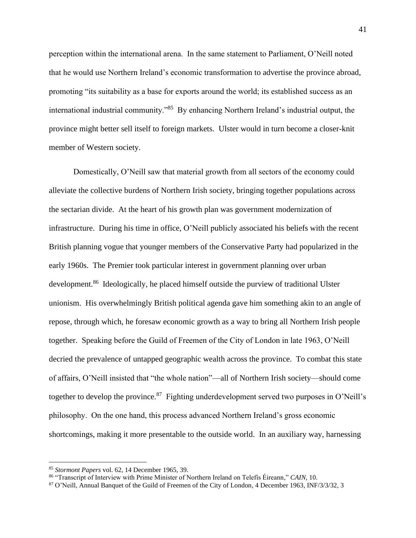perception within the international arena. In the same statement to Parliament, O'Neill noted that he would use Northern Ireland's economic transformation to advertise the province abroad, promoting "its suitability as a base for exports around the world; its established success as an international industrial community."<sup>85</sup> By enhancing Northern Ireland's industrial output, the province might better sell itself to foreign markets. Ulster would in turn become a closer-knit member of Western society.

Domestically, O'Neill saw that material growth from all sectors of the economy could alleviate the collective burdens of Northern Irish society, bringing together populations across the sectarian divide. At the heart of his growth plan was government modernization of infrastructure. During his time in office, O'Neill publicly associated his beliefs with the recent British planning vogue that younger members of the Conservative Party had popularized in the early 1960s. The Premier took particular interest in government planning over urban development.<sup>86</sup> Ideologically, he placed himself outside the purview of traditional Ulster unionism. His overwhelmingly British political agenda gave him something akin to an angle of repose, through which, he foresaw economic growth as a way to bring all Northern Irish people together. Speaking before the Guild of Freemen of the City of London in late 1963, O'Neill decried the prevalence of untapped geographic wealth across the province. To combat this state of affairs, O'Neill insisted that "the whole nation"—all of Northern Irish society—should come together to develop the province.<sup>87</sup> Fighting underdevelopment served two purposes in O'Neill's philosophy. On the one hand, this process advanced Northern Ireland's gross economic shortcomings, making it more presentable to the outside world. In an auxiliary way, harnessing

<sup>85</sup> *Stormont Papers* vol. 62, 14 December 1965, 39.

<sup>86</sup> "Transcript of Interview with Prime Minister of Northern Ireland on Telefís Éireann," *CAIN*, 10.

<sup>87</sup> O'Neill, Annual Banquet of the Guild of Freemen of the City of London, 4 December 1963, INF/3/3/32, 3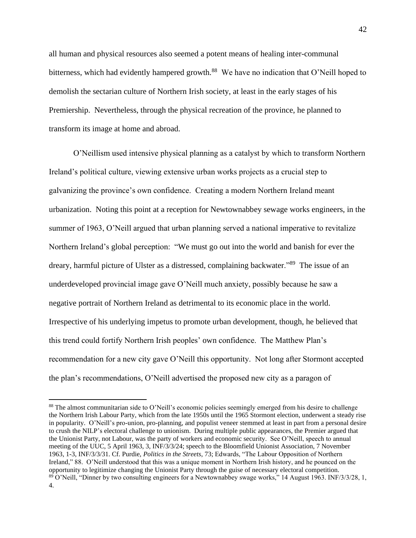all human and physical resources also seemed a potent means of healing inter-communal bitterness, which had evidently hampered growth.<sup>88</sup> We have no indication that O'Neill hoped to demolish the sectarian culture of Northern Irish society, at least in the early stages of his Premiership. Nevertheless, through the physical recreation of the province, he planned to transform its image at home and abroad.

O'Neillism used intensive physical planning as a catalyst by which to transform Northern Ireland's political culture, viewing extensive urban works projects as a crucial step to galvanizing the province's own confidence. Creating a modern Northern Ireland meant urbanization. Noting this point at a reception for Newtownabbey sewage works engineers, in the summer of 1963, O'Neill argued that urban planning served a national imperative to revitalize Northern Ireland's global perception: "We must go out into the world and banish for ever the dreary, harmful picture of Ulster as a distressed, complaining backwater."<sup>89</sup> The issue of an underdeveloped provincial image gave O'Neill much anxiety, possibly because he saw a negative portrait of Northern Ireland as detrimental to its economic place in the world. Irrespective of his underlying impetus to promote urban development, though, he believed that this trend could fortify Northern Irish peoples' own confidence. The Matthew Plan's recommendation for a new city gave O'Neill this opportunity. Not long after Stormont accepted the plan's recommendations, O'Neill advertised the proposed new city as a paragon of

<sup>88</sup> The almost communitarian side to O'Neill's economic policies seemingly emerged from his desire to challenge the Northern Irish Labour Party, which from the late 1950s until the 1965 Stormont election, underwent a steady rise in popularity. O'Neill's pro-union, pro-planning, and populist veneer stemmed at least in part from a personal desire to crush the NILP's electoral challenge to unionism. During multiple public appearances, the Premier argued that the Unionist Party, not Labour, was the party of workers and economic security. See O'Neill, speech to annual meeting of the UUC, 5 April 1963, 3, INF/3/3/24; speech to the Bloomfield Unionist Association, 7 November 1963, 1-3, INF/3/3/31. Cf. Purdie, *Politics in the Streets*, 73; Edwards, "The Labour Opposition of Northern Ireland," 88. O'Neill understood that this was a unique moment in Northern Irish history, and he pounced on the opportunity to legitimize changing the Unionist Party through the guise of necessary electoral competition. <sup>89</sup> O'Neill, "Dinner by two consulting engineers for a Newtownabbey swage works," 14 August 1963. INF/3/3/28, 1, 4.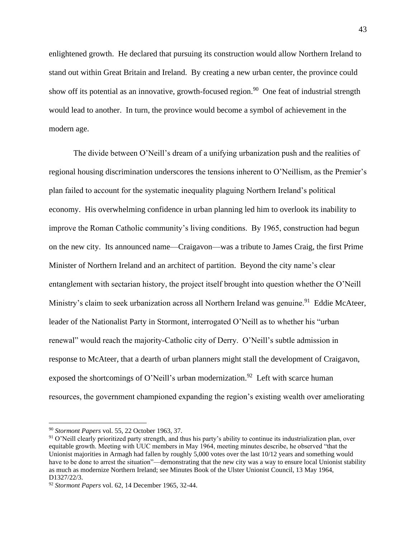enlightened growth. He declared that pursuing its construction would allow Northern Ireland to stand out within Great Britain and Ireland. By creating a new urban center, the province could show off its potential as an innovative, growth-focused region.<sup>90</sup> One feat of industrial strength would lead to another. In turn, the province would become a symbol of achievement in the modern age.

The divide between O'Neill's dream of a unifying urbanization push and the realities of regional housing discrimination underscores the tensions inherent to O'Neillism, as the Premier's plan failed to account for the systematic inequality plaguing Northern Ireland's political economy. His overwhelming confidence in urban planning led him to overlook its inability to improve the Roman Catholic community's living conditions. By 1965, construction had begun on the new city. Its announced name—Craigavon—was a tribute to James Craig, the first Prime Minister of Northern Ireland and an architect of partition. Beyond the city name's clear entanglement with sectarian history, the project itself brought into question whether the O'Neill Ministry's claim to seek urbanization across all Northern Ireland was genuine.<sup>91</sup> Eddie McAteer, leader of the Nationalist Party in Stormont, interrogated O'Neill as to whether his "urban renewal" would reach the majority-Catholic city of Derry. O'Neill's subtle admission in response to McAteer, that a dearth of urban planners might stall the development of Craigavon, exposed the shortcomings of O'Neill's urban modernization.<sup>92</sup> Left with scarce human resources, the government championed expanding the region's existing wealth over ameliorating

<sup>90</sup> *Stormont Papers* vol. 55, 22 October 1963, 37.

 $91$  O'Neill clearly prioritized party strength, and thus his party's ability to continue its industrialization plan, over equitable growth. Meeting with UUC members in May 1964, meeting minutes describe, he observed "that the Unionist majorities in Armagh had fallen by roughly 5,000 votes over the last 10/12 years and something would have to be done to arrest the situation"—demonstrating that the new city was a way to ensure local Unionist stability as much as modernize Northern Ireland; see Minutes Book of the Ulster Unionist Council, 13 May 1964, D1327/22/3.

<sup>92</sup> *Stormont Papers* vol. 62, 14 December 1965, 32-44.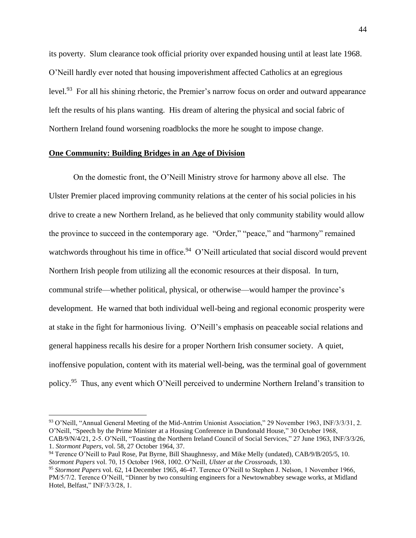its poverty. Slum clearance took official priority over expanded housing until at least late 1968. O'Neill hardly ever noted that housing impoverishment affected Catholics at an egregious level.<sup>93</sup> For all his shining rhetoric, the Premier's narrow focus on order and outward appearance left the results of his plans wanting. His dream of altering the physical and social fabric of Northern Ireland found worsening roadblocks the more he sought to impose change.

## **One Community: Building Bridges in an Age of Division**

On the domestic front, the O'Neill Ministry strove for harmony above all else. The Ulster Premier placed improving community relations at the center of his social policies in his drive to create a new Northern Ireland, as he believed that only community stability would allow the province to succeed in the contemporary age. "Order," "peace," and "harmony" remained watchwords throughout his time in office.<sup>94</sup> O'Neill articulated that social discord would prevent Northern Irish people from utilizing all the economic resources at their disposal. In turn, communal strife—whether political, physical, or otherwise—would hamper the province's development. He warned that both individual well-being and regional economic prosperity were at stake in the fight for harmonious living. O'Neill's emphasis on peaceable social relations and general happiness recalls his desire for a proper Northern Irish consumer society. A quiet, inoffensive population, content with its material well-being, was the terminal goal of government policy.<sup>95</sup> Thus, any event which O'Neill perceived to undermine Northern Ireland's transition to

<sup>93</sup> O'Neill, "Annual General Meeting of the Mid-Antrim Unionist Association," 29 November 1963, INF/3/3/31, 2. O'Neill, "Speech by the Prime Minister at a Housing Conference in Dundonald House," 30 October 1968, CAB/9/N/4/21, 2-5. O'Neill, "Toasting the Northern Ireland Council of Social Services," 27 June 1963, INF/3/3/26,

<sup>1.</sup> *Stormont Papers*, vol. 58, 27 October 1964, 37. <sup>94</sup> Terence O'Neill to Paul Rose, Pat Byrne, Bill Shaughnessy, and Mike Melly (undated), CAB/9/B/205/5, 10. *Stormont Papers* vol. 70, 15 October 1968, 1002. O'Neill, *Ulster at the Crossroads*, 130.

<sup>95</sup> *Stormont Papers* vol. 62, 14 December 1965, 46-47. Terence O'Neill to Stephen J. Nelson, 1 November 1966, PM/5/7/2. Terence O'Neill, "Dinner by two consulting engineers for a Newtownabbey sewage works, at Midland Hotel, Belfast," INF/3/3/28, 1.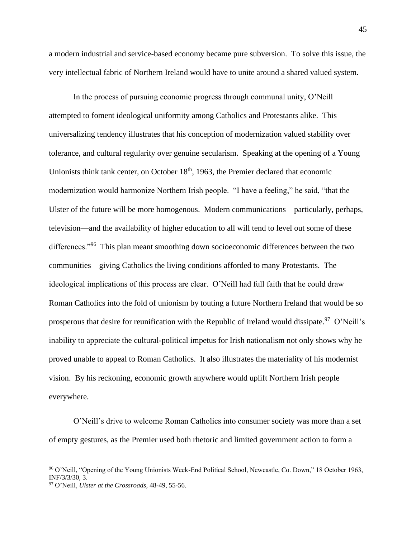a modern industrial and service-based economy became pure subversion. To solve this issue, the very intellectual fabric of Northern Ireland would have to unite around a shared valued system.

In the process of pursuing economic progress through communal unity, O'Neill attempted to foment ideological uniformity among Catholics and Protestants alike. This universalizing tendency illustrates that his conception of modernization valued stability over tolerance, and cultural regularity over genuine secularism. Speaking at the opening of a Young Unionists think tank center, on October  $18<sup>th</sup>$ , 1963, the Premier declared that economic modernization would harmonize Northern Irish people. "I have a feeling," he said, "that the Ulster of the future will be more homogenous. Modern communications—particularly, perhaps, television—and the availability of higher education to all will tend to level out some of these differences."<sup>96</sup> This plan meant smoothing down socioeconomic differences between the two communities—giving Catholics the living conditions afforded to many Protestants. The ideological implications of this process are clear. O'Neill had full faith that he could draw Roman Catholics into the fold of unionism by touting a future Northern Ireland that would be so prosperous that desire for reunification with the Republic of Ireland would dissipate.<sup>97</sup> O'Neill's inability to appreciate the cultural-political impetus for Irish nationalism not only shows why he proved unable to appeal to Roman Catholics. It also illustrates the materiality of his modernist vision. By his reckoning, economic growth anywhere would uplift Northern Irish people everywhere.

O'Neill's drive to welcome Roman Catholics into consumer society was more than a set of empty gestures, as the Premier used both rhetoric and limited government action to form a

<sup>96</sup> O'Neill, "Opening of the Young Unionists Week-End Political School, Newcastle, Co. Down," 18 October 1963, INF/3/3/30, 3.

<sup>97</sup> O'Neill, *Ulster at the Crossroads*, 48-49, 55-56.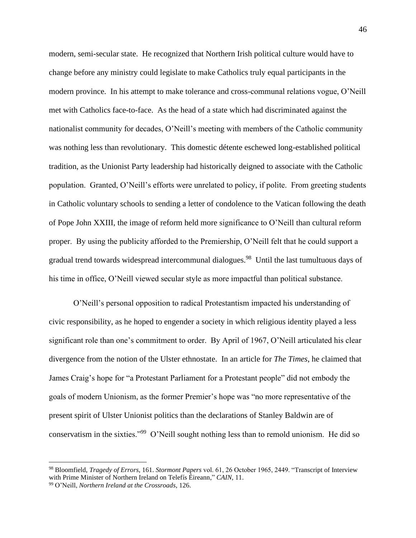modern, semi-secular state. He recognized that Northern Irish political culture would have to change before any ministry could legislate to make Catholics truly equal participants in the modern province. In his attempt to make tolerance and cross-communal relations vogue, O'Neill met with Catholics face-to-face. As the head of a state which had discriminated against the nationalist community for decades, O'Neill's meeting with members of the Catholic community was nothing less than revolutionary. This domestic détente eschewed long-established political tradition, as the Unionist Party leadership had historically deigned to associate with the Catholic population. Granted, O'Neill's efforts were unrelated to policy, if polite. From greeting students in Catholic voluntary schools to sending a letter of condolence to the Vatican following the death of Pope John XXIII, the image of reform held more significance to O'Neill than cultural reform proper. By using the publicity afforded to the Premiership, O'Neill felt that he could support a gradual trend towards widespread intercommunal dialogues.<sup>98</sup> Until the last tumultuous days of his time in office, O'Neill viewed secular style as more impactful than political substance.

O'Neill's personal opposition to radical Protestantism impacted his understanding of civic responsibility, as he hoped to engender a society in which religious identity played a less significant role than one's commitment to order. By April of 1967, O'Neill articulated his clear divergence from the notion of the Ulster ethnostate. In an article for *The Times*, he claimed that James Craig's hope for "a Protestant Parliament for a Protestant people" did not embody the goals of modern Unionism, as the former Premier's hope was "no more representative of the present spirit of Ulster Unionist politics than the declarations of Stanley Baldwin are of conservatism in the sixties."<sup>99</sup> O'Neill sought nothing less than to remold unionism. He did so

<sup>98</sup> Bloomfield, *Tragedy of Errors*, 161. *Stormont Papers* vol. 61, 26 October 1965, 2449. "Transcript of Interview with Prime Minister of Northern Ireland on Telefís Éireann," *CAIN*, 11.

<sup>99</sup> O'Neill, *Northern Ireland at the Crossroads*, 126.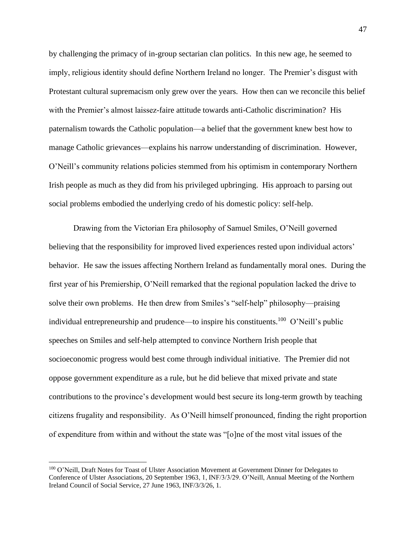by challenging the primacy of in-group sectarian clan politics. In this new age, he seemed to imply, religious identity should define Northern Ireland no longer. The Premier's disgust with Protestant cultural supremacism only grew over the years. How then can we reconcile this belief with the Premier's almost laissez-faire attitude towards anti-Catholic discrimination? His paternalism towards the Catholic population—a belief that the government knew best how to manage Catholic grievances—explains his narrow understanding of discrimination. However, O'Neill's community relations policies stemmed from his optimism in contemporary Northern Irish people as much as they did from his privileged upbringing. His approach to parsing out social problems embodied the underlying credo of his domestic policy: self-help.

Drawing from the Victorian Era philosophy of Samuel Smiles, O'Neill governed believing that the responsibility for improved lived experiences rested upon individual actors' behavior. He saw the issues affecting Northern Ireland as fundamentally moral ones. During the first year of his Premiership, O'Neill remarked that the regional population lacked the drive to solve their own problems. He then drew from Smiles's "self-help" philosophy—praising individual entrepreneurship and prudence—to inspire his constituents.<sup>100</sup> O'Neill's public speeches on Smiles and self-help attempted to convince Northern Irish people that socioeconomic progress would best come through individual initiative. The Premier did not oppose government expenditure as a rule, but he did believe that mixed private and state contributions to the province's development would best secure its long-term growth by teaching citizens frugality and responsibility. As O'Neill himself pronounced, finding the right proportion of expenditure from within and without the state was "[o]ne of the most vital issues of the

<sup>&</sup>lt;sup>100</sup> O'Neill, Draft Notes for Toast of Ulster Association Movement at Government Dinner for Delegates to Conference of Ulster Associations, 20 September 1963, 1, INF/3/3/29. O'Neill, Annual Meeting of the Northern Ireland Council of Social Service, 27 June 1963, INF/3/3/26, 1.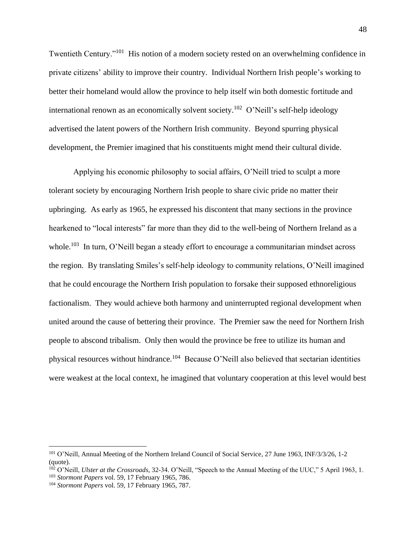Twentieth Century."<sup>101</sup> His notion of a modern society rested on an overwhelming confidence in private citizens' ability to improve their country. Individual Northern Irish people's working to better their homeland would allow the province to help itself win both domestic fortitude and international renown as an economically solvent society.<sup>102</sup> O'Neill's self-help ideology advertised the latent powers of the Northern Irish community. Beyond spurring physical development, the Premier imagined that his constituents might mend their cultural divide.

Applying his economic philosophy to social affairs, O'Neill tried to sculpt a more tolerant society by encouraging Northern Irish people to share civic pride no matter their upbringing. As early as 1965, he expressed his discontent that many sections in the province hearkened to "local interests" far more than they did to the well-being of Northern Ireland as a whole.<sup>103</sup> In turn, O'Neill began a steady effort to encourage a communitarian mindset across the region. By translating Smiles's self-help ideology to community relations, O'Neill imagined that he could encourage the Northern Irish population to forsake their supposed ethnoreligious factionalism. They would achieve both harmony and uninterrupted regional development when united around the cause of bettering their province. The Premier saw the need for Northern Irish people to abscond tribalism. Only then would the province be free to utilize its human and physical resources without hindrance.<sup>104</sup> Because O'Neill also believed that sectarian identities were weakest at the local context, he imagined that voluntary cooperation at this level would best

<sup>101</sup> O'Neill, Annual Meeting of the Northern Ireland Council of Social Service, 27 June 1963, INF/3/3/26, 1-2 (quote).

<sup>&</sup>lt;sup>102</sup> O'Neill, *Ulster at the Crossroads*, 32-34. O'Neill, "Speech to the Annual Meeting of the UUC," 5 April 1963, 1.

<sup>103</sup> *Stormont Papers* vol. 59, 17 February 1965, 786.

<sup>104</sup> *Stormont Papers* vol. 59, 17 February 1965, 787.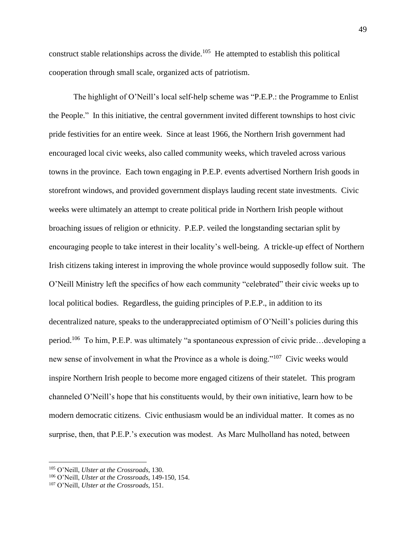construct stable relationships across the divide.<sup>105</sup> He attempted to establish this political cooperation through small scale, organized acts of patriotism.

The highlight of O'Neill's local self-help scheme was "P.E.P.: the Programme to Enlist the People." In this initiative, the central government invited different townships to host civic pride festivities for an entire week. Since at least 1966, the Northern Irish government had encouraged local civic weeks, also called community weeks, which traveled across various towns in the province. Each town engaging in P.E.P. events advertised Northern Irish goods in storefront windows, and provided government displays lauding recent state investments. Civic weeks were ultimately an attempt to create political pride in Northern Irish people without broaching issues of religion or ethnicity. P.E.P. veiled the longstanding sectarian split by encouraging people to take interest in their locality's well-being. A trickle-up effect of Northern Irish citizens taking interest in improving the whole province would supposedly follow suit. The O'Neill Ministry left the specifics of how each community "celebrated" their civic weeks up to local political bodies. Regardless, the guiding principles of P.E.P., in addition to its decentralized nature, speaks to the underappreciated optimism of O'Neill's policies during this period.<sup>106</sup> To him, P.E.P. was ultimately "a spontaneous expression of civic pride...developing a new sense of involvement in what the Province as a whole is doing."<sup>107</sup> Civic weeks would inspire Northern Irish people to become more engaged citizens of their statelet. This program channeled O'Neill's hope that his constituents would, by their own initiative, learn how to be modern democratic citizens. Civic enthusiasm would be an individual matter. It comes as no surprise, then, that P.E.P.'s execution was modest. As Marc Mulholland has noted, between

<sup>105</sup> O'Neill, *Ulster at the Crossroads*, 130.

<sup>106</sup> O'Neill, *Ulster at the Crossroads*, 149-150, 154.

<sup>107</sup> O'Neill, *Ulster at the Crossroads*, 151.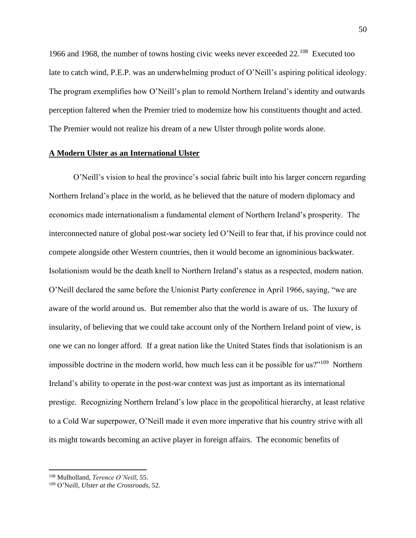1966 and 1968, the number of towns hosting civic weeks never exceeded 22.<sup>108</sup> Executed too late to catch wind, P.E.P. was an underwhelming product of O'Neill's aspiring political ideology. The program exemplifies how O'Neill's plan to remold Northern Ireland's identity and outwards perception faltered when the Premier tried to modernize how his constituents thought and acted. The Premier would not realize his dream of a new Ulster through polite words alone.

## **A Modern Ulster as an International Ulster**

O'Neill's vision to heal the province's social fabric built into his larger concern regarding Northern Ireland's place in the world, as he believed that the nature of modern diplomacy and economics made internationalism a fundamental element of Northern Ireland's prosperity. The interconnected nature of global post-war society led O'Neill to fear that, if his province could not compete alongside other Western countries, then it would become an ignominious backwater. Isolationism would be the death knell to Northern Ireland's status as a respected, modern nation. O'Neill declared the same before the Unionist Party conference in April 1966, saying, "we are aware of the world around us. But remember also that the world is aware of us. The luxury of insularity, of believing that we could take account only of the Northern Ireland point of view, is one we can no longer afford. If a great nation like the United States finds that isolationism is an impossible doctrine in the modern world, how much less can it be possible for us?"<sup>109</sup> Northern Ireland's ability to operate in the post-war context was just as important as its international prestige. Recognizing Northern Ireland's low place in the geopolitical hierarchy, at least relative to a Cold War superpower, O'Neill made it even more imperative that his country strive with all its might towards becoming an active player in foreign affairs. The economic benefits of

<sup>108</sup> Mulholland, *Terence O'Neill*, 55.

<sup>109</sup> O'Neill, *Ulster at the Crossroads*, 52.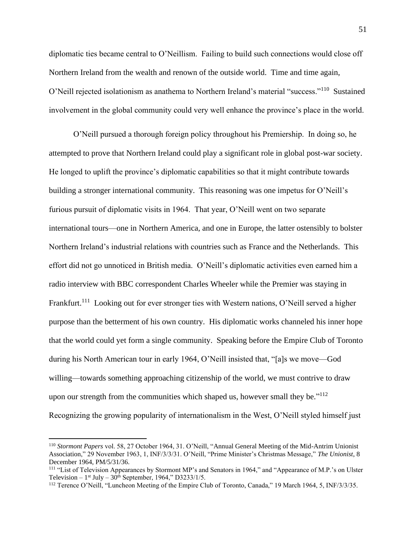diplomatic ties became central to O'Neillism. Failing to build such connections would close off Northern Ireland from the wealth and renown of the outside world. Time and time again, O'Neill rejected isolationism as anathema to Northern Ireland's material "success."<sup>110</sup> Sustained involvement in the global community could very well enhance the province's place in the world.

O'Neill pursued a thorough foreign policy throughout his Premiership. In doing so, he attempted to prove that Northern Ireland could play a significant role in global post-war society. He longed to uplift the province's diplomatic capabilities so that it might contribute towards building a stronger international community. This reasoning was one impetus for O'Neill's furious pursuit of diplomatic visits in 1964. That year, O'Neill went on two separate international tours—one in Northern America, and one in Europe, the latter ostensibly to bolster Northern Ireland's industrial relations with countries such as France and the Netherlands. This effort did not go unnoticed in British media. O'Neill's diplomatic activities even earned him a radio interview with BBC correspondent Charles Wheeler while the Premier was staying in Frankfurt.<sup>111</sup> Looking out for ever stronger ties with Western nations, O'Neill served a higher purpose than the betterment of his own country. His diplomatic works channeled his inner hope that the world could yet form a single community. Speaking before the Empire Club of Toronto during his North American tour in early 1964, O'Neill insisted that, "[a]s we move—God willing—towards something approaching citizenship of the world, we must contrive to draw upon our strength from the communities which shaped us, however small they be."<sup>112</sup> Recognizing the growing popularity of internationalism in the West, O'Neill styled himself just

<sup>110</sup> *Stormont Papers* vol. 58, 27 October 1964, 31. O'Neill, "Annual General Meeting of the Mid-Antrim Unionist Association," 29 November 1963, 1, INF/3/3/31. O'Neill, "Prime Minister's Christmas Message," *The Unionist*, 8 December 1964, PM/5/31/36.

<sup>111 &</sup>quot;List of Television Appearances by Stormont MP's and Senators in 1964," and "Appearance of M.P.'s on Ulster Television –  $1<sup>st</sup>$  July –  $30<sup>th</sup>$  September, 1964," D3233/1/5.

<sup>112</sup> Terence O'Neill, "Luncheon Meeting of the Empire Club of Toronto, Canada," 19 March 1964, 5, INF/3/3/35.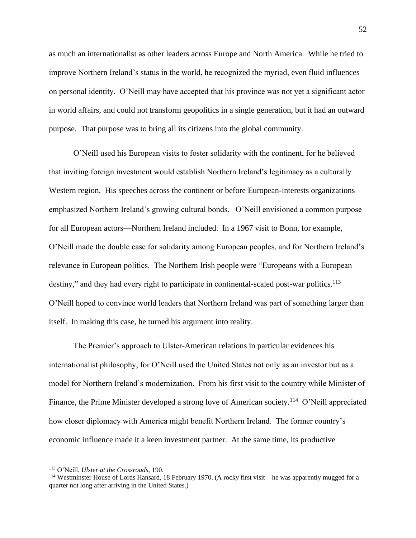as much an internationalist as other leaders across Europe and North America. While he tried to improve Northern Ireland's status in the world, he recognized the myriad, even fluid influences on personal identity. O'Neill may have accepted that his province was not yet a significant actor in world affairs, and could not transform geopolitics in a single generation, but it had an outward purpose. That purpose was to bring all its citizens into the global community.

O'Neill used his European visits to foster solidarity with the continent, for he believed that inviting foreign investment would establish Northern Ireland's legitimacy as a culturally Western region. His speeches across the continent or before European-interests organizations emphasized Northern Ireland's growing cultural bonds. O'Neill envisioned a common purpose for all European actors—Northern Ireland included. In a 1967 visit to Bonn, for example, O'Neill made the double case for solidarity among European peoples, and for Northern Ireland's relevance in European politics. The Northern Irish people were "Europeans with a European destiny," and they had every right to participate in continental-scaled post-war politics.<sup>113</sup> O'Neill hoped to convince world leaders that Northern Ireland was part of something larger than itself. In making this case, he turned his argument into reality.

The Premier's approach to Ulster-American relations in particular evidences his internationalist philosophy, for O'Neill used the United States not only as an investor but as a model for Northern Ireland's modernization. From his first visit to the country while Minister of Finance, the Prime Minister developed a strong love of American society.<sup>114</sup> O'Neill appreciated how closer diplomacy with America might benefit Northern Ireland. The former country's economic influence made it a keen investment partner. At the same time, its productive

<sup>113</sup> O'Neill, *Ulster at the Crossroads*, 190.

<sup>114</sup> Westminster House of Lords Hansard, 18 February 1970. (A rocky first visit—he was apparently mugged for a quarter not long after arriving in the United States.)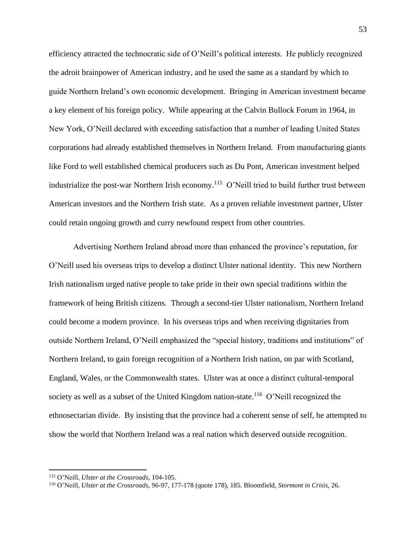efficiency attracted the technocratic side of O'Neill's political interests. He publicly recognized the adroit brainpower of American industry, and he used the same as a standard by which to guide Northern Ireland's own economic development. Bringing in American investment became a key element of his foreign policy. While appearing at the Calvin Bullock Forum in 1964, in New York, O'Neill declared with exceeding satisfaction that a number of leading United States corporations had already established themselves in Northern Ireland. From manufacturing giants like Ford to well established chemical producers such as Du Pont, American investment helped industrialize the post-war Northern Irish economy.<sup>115</sup> O'Neill tried to build further trust between American investors and the Northern Irish state. As a proven reliable investment partner, Ulster could retain ongoing growth and curry newfound respect from other countries.

Advertising Northern Ireland abroad more than enhanced the province's reputation, for O'Neill used his overseas trips to develop a distinct Ulster national identity. This new Northern Irish nationalism urged native people to take pride in their own special traditions within the framework of being British citizens. Through a second-tier Ulster nationalism, Northern Ireland could become a modern province. In his overseas trips and when receiving dignitaries from outside Northern Ireland, O'Neill emphasized the "special history, traditions and institutions" of Northern Ireland, to gain foreign recognition of a Northern Irish nation, on par with Scotland, England, Wales, or the Commonwealth states. Ulster was at once a distinct cultural-temporal society as well as a subset of the United Kingdom nation-state.<sup>116</sup> O'Neill recognized the ethnosectarian divide. By insisting that the province had a coherent sense of self, he attempted to show the world that Northern Ireland was a real nation which deserved outside recognition.

<sup>115</sup> O'Neill, *Ulster at the Crossroads*, 104-105.

<sup>116</sup> O'Neill, *Ulster at the Crossroads*, 96-97, 177-178 (quote 178), 185. Bloomfield, *Stormont in Crisis*, 26.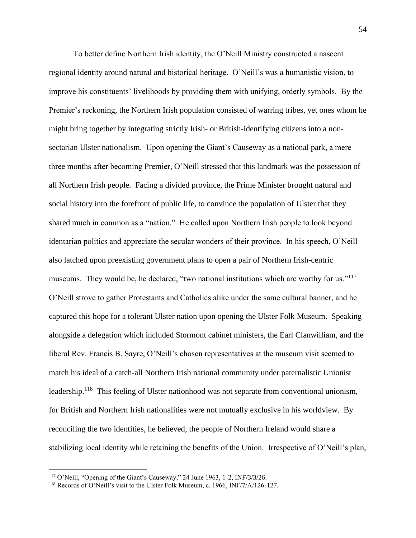To better define Northern Irish identity, the O'Neill Ministry constructed a nascent regional identity around natural and historical heritage. O'Neill's was a humanistic vision, to improve his constituents' livelihoods by providing them with unifying, orderly symbols. By the Premier's reckoning, the Northern Irish population consisted of warring tribes, yet ones whom he might bring together by integrating strictly Irish- or British-identifying citizens into a nonsectarian Ulster nationalism. Upon opening the Giant's Causeway as a national park, a mere three months after becoming Premier, O'Neill stressed that this landmark was the possession of all Northern Irish people. Facing a divided province, the Prime Minister brought natural and social history into the forefront of public life, to convince the population of Ulster that they shared much in common as a "nation." He called upon Northern Irish people to look beyond identarian politics and appreciate the secular wonders of their province. In his speech, O'Neill also latched upon preexisting government plans to open a pair of Northern Irish-centric museums. They would be, he declared, "two national institutions which are worthy for us."<sup>117</sup> O'Neill strove to gather Protestants and Catholics alike under the same cultural banner, and he captured this hope for a tolerant Ulster nation upon opening the Ulster Folk Museum. Speaking alongside a delegation which included Stormont cabinet ministers, the Earl Clanwilliam, and the liberal Rev. Francis B. Sayre, O'Neill's chosen representatives at the museum visit seemed to match his ideal of a catch-all Northern Irish national community under paternalistic Unionist leadership.<sup>118</sup> This feeling of Ulster nationhood was not separate from conventional unionism, for British and Northern Irish nationalities were not mutually exclusive in his worldview. By reconciling the two identities, he believed, the people of Northern Ireland would share a stabilizing local identity while retaining the benefits of the Union. Irrespective of O'Neill's plan,

<sup>117</sup> O'Neill, "Opening of the Giant's Causeway," 24 June 1963, 1-2, INF/3/3/26.

<sup>&</sup>lt;sup>118</sup> Records of O'Neill's visit to the Ulster Folk Museum, c. 1966, INF/7/A/126-127.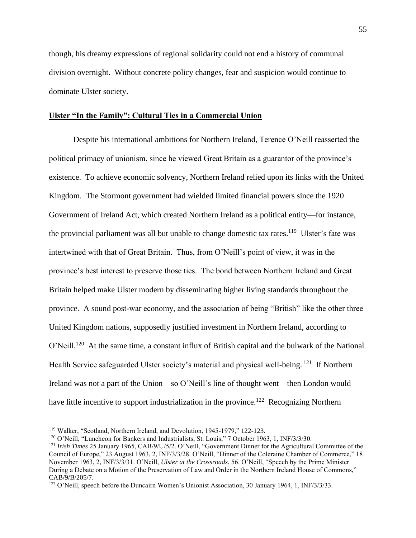though, his dreamy expressions of regional solidarity could not end a history of communal division overnight. Without concrete policy changes, fear and suspicion would continue to dominate Ulster society.

#### **Ulster "In the Family": Cultural Ties in a Commercial Union**

Despite his international ambitions for Northern Ireland, Terence O'Neill reasserted the political primacy of unionism, since he viewed Great Britain as a guarantor of the province's existence. To achieve economic solvency, Northern Ireland relied upon its links with the United Kingdom. The Stormont government had wielded limited financial powers since the 1920 Government of Ireland Act, which created Northern Ireland as a political entity—for instance, the provincial parliament was all but unable to change domestic tax rates.<sup>119</sup> Ulster's fate was intertwined with that of Great Britain. Thus, from O'Neill's point of view, it was in the province's best interest to preserve those ties. The bond between Northern Ireland and Great Britain helped make Ulster modern by disseminating higher living standards throughout the province. A sound post-war economy, and the association of being "British" like the other three United Kingdom nations, supposedly justified investment in Northern Ireland, according to O'Neill.<sup>120</sup> At the same time, a constant influx of British capital and the bulwark of the National Health Service safeguarded Ulster society's material and physical well-being. <sup>121</sup> If Northern Ireland was not a part of the Union—so O'Neill's line of thought went—then London would have little incentive to support industrialization in the province.<sup>122</sup> Recognizing Northern

<sup>119</sup> Walker, "Scotland, Northern Ireland, and Devolution, 1945-1979," 122-123.

<sup>120</sup> O'Neill, "Luncheon for Bankers and Industrialists, St. Louis," 7 October 1963, 1, INF/3/3/30.

<sup>121</sup> *Irish Times* 25 January 1965, CAB/9/U/5/2. O'Neill, "Government Dinner for the Agricultural Committee of the Council of Europe," 23 August 1963, 2, INF/3/3/28. O'Neill, "Dinner of the Coleraine Chamber of Commerce," 18 November 1963, 2, INF/3/3/31. O'Neill, *Ulster at the Crossroads*, 56. O'Neill, "Speech by the Prime Minister During a Debate on a Motion of the Preservation of Law and Order in the Northern Ireland House of Commons," CAB/9/B/205/7.

<sup>122</sup> O'Neill, speech before the Duncairn Women's Unionist Association, 30 January 1964, 1, INF/3/3/33.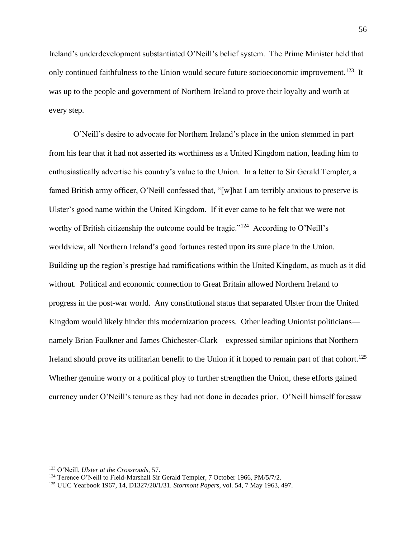Ireland's underdevelopment substantiated O'Neill's belief system. The Prime Minister held that only continued faithfulness to the Union would secure future socioeconomic improvement.<sup>123</sup> It was up to the people and government of Northern Ireland to prove their loyalty and worth at every step.

O'Neill's desire to advocate for Northern Ireland's place in the union stemmed in part from his fear that it had not asserted its worthiness as a United Kingdom nation, leading him to enthusiastically advertise his country's value to the Union. In a letter to Sir Gerald Templer, a famed British army officer, O'Neill confessed that, "[w]hat I am terribly anxious to preserve is Ulster's good name within the United Kingdom. If it ever came to be felt that we were not worthy of British citizenship the outcome could be tragic."<sup>124</sup> According to O'Neill's worldview, all Northern Ireland's good fortunes rested upon its sure place in the Union. Building up the region's prestige had ramifications within the United Kingdom, as much as it did without. Political and economic connection to Great Britain allowed Northern Ireland to progress in the post-war world. Any constitutional status that separated Ulster from the United Kingdom would likely hinder this modernization process. Other leading Unionist politicians namely Brian Faulkner and James Chichester-Clark—expressed similar opinions that Northern Ireland should prove its utilitarian benefit to the Union if it hoped to remain part of that cohort.<sup>125</sup> Whether genuine worry or a political ploy to further strengthen the Union, these efforts gained currency under O'Neill's tenure as they had not done in decades prior. O'Neill himself foresaw

<sup>123</sup> O'Neill, *Ulster at the Crossroads*, 57.

<sup>124</sup> Terence O'Neill to Field-Marshall Sir Gerald Templer, 7 October 1966, PM/5/7/2.

<sup>125</sup> UUC Yearbook 1967, 14, D1327/20/1/31. *Stormont Papers*, vol. 54, 7 May 1963, 497.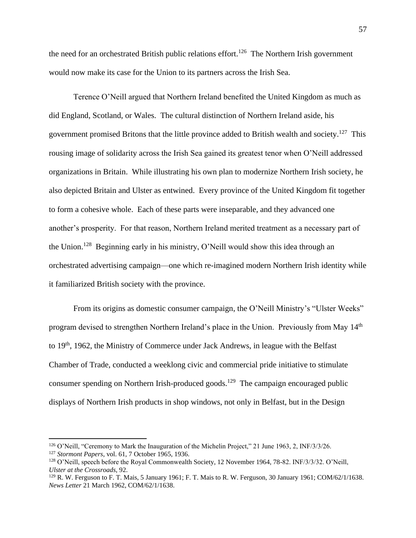the need for an orchestrated British public relations effort.<sup>126</sup> The Northern Irish government would now make its case for the Union to its partners across the Irish Sea.

Terence O'Neill argued that Northern Ireland benefited the United Kingdom as much as did England, Scotland, or Wales. The cultural distinction of Northern Ireland aside, his government promised Britons that the little province added to British wealth and society.<sup>127</sup> This rousing image of solidarity across the Irish Sea gained its greatest tenor when O'Neill addressed organizations in Britain. While illustrating his own plan to modernize Northern Irish society, he also depicted Britain and Ulster as entwined. Every province of the United Kingdom fit together to form a cohesive whole. Each of these parts were inseparable, and they advanced one another's prosperity. For that reason, Northern Ireland merited treatment as a necessary part of the Union.<sup>128</sup> Beginning early in his ministry, O'Neill would show this idea through an orchestrated advertising campaign—one which re-imagined modern Northern Irish identity while it familiarized British society with the province.

From its origins as domestic consumer campaign, the O'Neill Ministry's "Ulster Weeks" program devised to strengthen Northern Ireland's place in the Union. Previously from May 14<sup>th</sup> to  $19<sup>th</sup>$ , 1962, the Ministry of Commerce under Jack Andrews, in league with the Belfast Chamber of Trade, conducted a weeklong civic and commercial pride initiative to stimulate consumer spending on Northern Irish-produced goods.<sup>129</sup> The campaign encouraged public displays of Northern Irish products in shop windows, not only in Belfast, but in the Design

<sup>126</sup> O'Neill, "Ceremony to Mark the Inauguration of the Michelin Project," 21 June 1963, 2, INF/3/3/26. <sup>127</sup> *Stormont Papers*, vol. 61, 7 October 1965, 1936.

<sup>&</sup>lt;sup>128</sup> O'Neill, speech before the Royal Commonwealth Society, 12 November 1964, 78-82. INF/3/3/32. O'Neill, *Ulster at the Crossroads*, 92.

 $129$  R. W. Ferguson to F. T. Mais, 5 January 1961; F. T. Mais to R. W. Ferguson, 30 January 1961; COM/62/1/1638. *News Letter* 21 March 1962, COM/62/1/1638.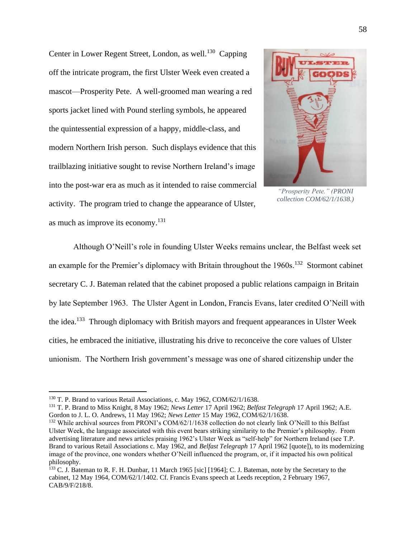Center in Lower Regent Street, London, as well.<sup>130</sup> Capping off the intricate program, the first Ulster Week even created a mascot—Prosperity Pete. A well-groomed man wearing a red sports jacket lined with Pound sterling symbols, he appeared the quintessential expression of a happy, middle-class, and modern Northern Irish person. Such displays evidence that this trailblazing initiative sought to revise Northern Ireland's image into the post-war era as much as it intended to raise commercial activity. The program tried to change the appearance of Ulster, as much as improve its economy.<sup>131</sup>



*"Prosperity Pete." (PRONI collection COM/62/1/1638.)*

Although O'Neill's role in founding Ulster Weeks remains unclear, the Belfast week set an example for the Premier's diplomacy with Britain throughout the  $1960s$ .<sup>132</sup> Stormont cabinet secretary C. J. Bateman related that the cabinet proposed a public relations campaign in Britain by late September 1963. The Ulster Agent in London, Francis Evans, later credited O'Neill with the idea.<sup>133</sup> Through diplomacy with British mayors and frequent appearances in Ulster Week cities, he embraced the initiative, illustrating his drive to reconceive the core values of Ulster unionism. The Northern Irish government's message was one of shared citizenship under the

<sup>&</sup>lt;sup>130</sup> T. P. Brand to various Retail Associations, c. May 1962, COM/62/1/1638.

<sup>131</sup> T. P. Brand to Miss Knight, 8 May 1962; *News Letter* 17 April 1962; *Belfast Telegraph* 17 April 1962; A.E. Gordon to J. L. O. Andrews, 11 May 1962; *News Letter* 15 May 1962, COM/62/1/1638.

<sup>132</sup> While archival sources from PRONI's COM/62/1/1638 collection do not clearly link O'Neill to this Belfast Ulster Week, the language associated with this event bears striking similarity to the Premier's philosophy. From advertising literature and news articles praising 1962's Ulster Week as "self-help" for Northern Ireland (see T.P. Brand to various Retail Associations c. May 1962, and *Belfast Telegraph* 17 April 1962 [quote]), to its modernizing image of the province, one wonders whether O'Neill influenced the program, or, if it impacted his own political philosophy.

<sup>&</sup>lt;sup>133</sup> C. J. Bateman to R. F. H. Dunbar, 11 March 1965 [sic] [1964]; C. J. Bateman, note by the Secretary to the cabinet, 12 May 1964, COM/62/1/1402. Cf. Francis Evans speech at Leeds reception, 2 February 1967, CAB/9/F/218/8.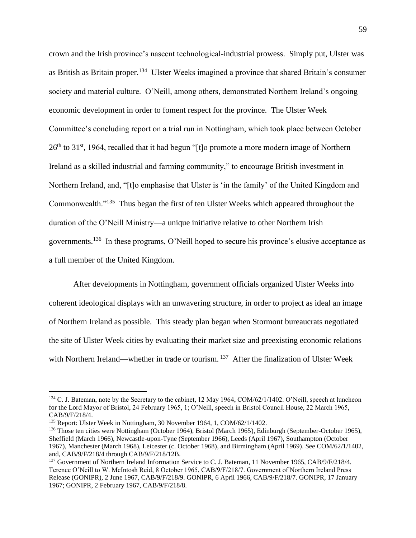crown and the Irish province's nascent technological-industrial prowess. Simply put, Ulster was as British as Britain proper.<sup>134</sup> Ulster Weeks imagined a province that shared Britain's consumer society and material culture. O'Neill, among others, demonstrated Northern Ireland's ongoing economic development in order to foment respect for the province. The Ulster Week Committee's concluding report on a trial run in Nottingham, which took place between October  $26<sup>th</sup>$  to 31<sup>st</sup>, 1964, recalled that it had begun "[t]o promote a more modern image of Northern Ireland as a skilled industrial and farming community," to encourage British investment in Northern Ireland, and, "[t]o emphasise that Ulster is 'in the family' of the United Kingdom and Commonwealth."<sup>135</sup> Thus began the first of ten Ulster Weeks which appeared throughout the duration of the O'Neill Ministry—a unique initiative relative to other Northern Irish governments.<sup>136</sup> In these programs, O'Neill hoped to secure his province's elusive acceptance as a full member of the United Kingdom.

After developments in Nottingham, government officials organized Ulster Weeks into coherent ideological displays with an unwavering structure, in order to project as ideal an image of Northern Ireland as possible. This steady plan began when Stormont bureaucrats negotiated the site of Ulster Week cities by evaluating their market size and preexisting economic relations with Northern Ireland—whether in trade or tourism. <sup>137</sup> After the finalization of Ulster Week

<sup>&</sup>lt;sup>134</sup> C. J. Bateman, note by the Secretary to the cabinet, 12 May 1964, COM/62/1/1402. O'Neill, speech at luncheon for the Lord Mayor of Bristol, 24 February 1965, 1; O'Neill, speech in Bristol Council House, 22 March 1965, CAB/9/F/218/4.

<sup>135</sup> Report: Ulster Week in Nottingham, 30 November 1964, 1, COM/62/1/1402.

<sup>136</sup> Those ten cities were Nottingham (October 1964), Bristol (March 1965), Edinburgh (September-October 1965), Sheffield (March 1966), Newcastle-upon-Tyne (September 1966), Leeds (April 1967), Southampton (October 1967), Manchester (March 1968), Leicester (c. October 1968), and Birmingham (April 1969). See COM/62/1/1402, and, CAB/9/F/218/4 through CAB/9/F/218/12B.

<sup>&</sup>lt;sup>137</sup> Government of Northern Ireland Information Service to C. J. Bateman, 11 November 1965, CAB/9/F/218/4. Terence O'Neill to W. McIntosh Reid, 8 October 1965, CAB/9/F/218/7. Government of Northern Ireland Press Release (GONIPR), 2 June 1967, CAB/9/F/218/9. GONIPR, 6 April 1966, CAB/9/F/218/7. GONIPR, 17 January 1967; GONIPR, 2 February 1967, CAB/9/F/218/8.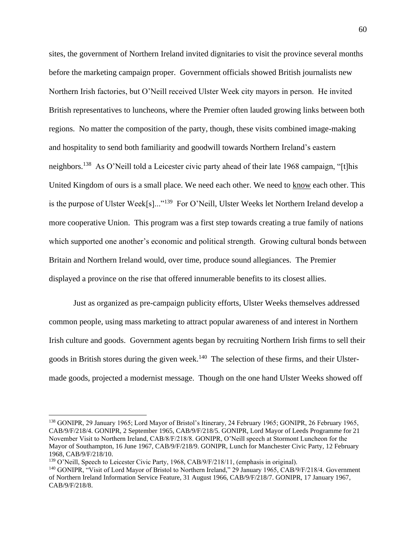sites, the government of Northern Ireland invited dignitaries to visit the province several months before the marketing campaign proper. Government officials showed British journalists new Northern Irish factories, but O'Neill received Ulster Week city mayors in person. He invited British representatives to luncheons, where the Premier often lauded growing links between both regions. No matter the composition of the party, though, these visits combined image-making and hospitality to send both familiarity and goodwill towards Northern Ireland's eastern neighbors.<sup>138</sup> As O'Neill told a Leicester civic party ahead of their late 1968 campaign, "[t]his United Kingdom of ours is a small place. We need each other. We need to know each other. This is the purpose of Ulster Week[s]..."<sup>139</sup> For O'Neill, Ulster Weeks let Northern Ireland develop a more cooperative Union. This program was a first step towards creating a true family of nations which supported one another's economic and political strength. Growing cultural bonds between Britain and Northern Ireland would, over time, produce sound allegiances. The Premier displayed a province on the rise that offered innumerable benefits to its closest allies.

Just as organized as pre-campaign publicity efforts, Ulster Weeks themselves addressed common people, using mass marketing to attract popular awareness of and interest in Northern Irish culture and goods. Government agents began by recruiting Northern Irish firms to sell their goods in British stores during the given week.<sup>140</sup> The selection of these firms, and their Ulstermade goods, projected a modernist message. Though on the one hand Ulster Weeks showed off

<sup>138</sup> GONIPR, 29 January 1965; Lord Mayor of Bristol's Itinerary, 24 February 1965; GONIPR, 26 February 1965, CAB/9/F/218/4. GONIPR, 2 September 1965, CAB/9/F/218/5. GONIPR, Lord Mayor of Leeds Programme for 21 November Visit to Northern Ireland, CAB/8/F/218/8. GONIPR, O'Neill speech at Stormont Luncheon for the Mayor of Southampton, 16 June 1967, CAB/9/F/218/9. GONIPR, Lunch for Manchester Civic Party, 12 February 1968, CAB/9/F/218/10.

 $139$  O'Neill, Speech to Leicester Civic Party, 1968, CAB/9/F/218/11, (emphasis in original).

<sup>140</sup> GONIPR, "Visit of Lord Mayor of Bristol to Northern Ireland," 29 January 1965, CAB/9/F/218/4. Government of Northern Ireland Information Service Feature, 31 August 1966, CAB/9/F/218/7. GONIPR, 17 January 1967, CAB/9/F/218/8.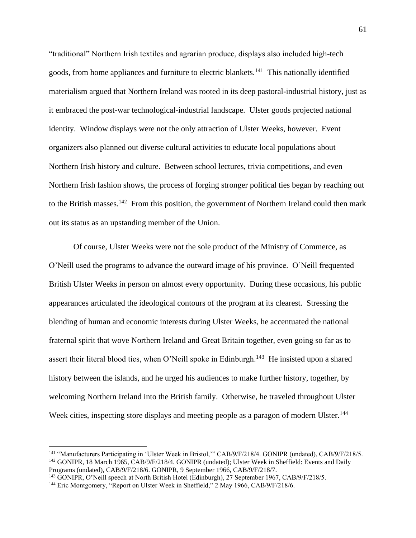"traditional" Northern Irish textiles and agrarian produce, displays also included high-tech goods, from home appliances and furniture to electric blankets.<sup>141</sup> This nationally identified materialism argued that Northern Ireland was rooted in its deep pastoral-industrial history, just as it embraced the post-war technological-industrial landscape. Ulster goods projected national identity. Window displays were not the only attraction of Ulster Weeks, however. Event organizers also planned out diverse cultural activities to educate local populations about Northern Irish history and culture. Between school lectures, trivia competitions, and even Northern Irish fashion shows, the process of forging stronger political ties began by reaching out to the British masses.<sup>142</sup> From this position, the government of Northern Ireland could then mark out its status as an upstanding member of the Union.

Of course, Ulster Weeks were not the sole product of the Ministry of Commerce, as O'Neill used the programs to advance the outward image of his province. O'Neill frequented British Ulster Weeks in person on almost every opportunity. During these occasions, his public appearances articulated the ideological contours of the program at its clearest. Stressing the blending of human and economic interests during Ulster Weeks, he accentuated the national fraternal spirit that wove Northern Ireland and Great Britain together, even going so far as to assert their literal blood ties, when O'Neill spoke in Edinburgh.<sup>143</sup> He insisted upon a shared history between the islands, and he urged his audiences to make further history, together, by welcoming Northern Ireland into the British family. Otherwise, he traveled throughout Ulster Week cities, inspecting store displays and meeting people as a paragon of modern Ulster.<sup>144</sup>

<sup>141</sup> "Manufacturers Participating in 'Ulster Week in Bristol,'" CAB/9/F/218/4. GONIPR (undated), CAB/9/F/218/5. <sup>142</sup> GONIPR, 18 March 1965, CAB/9/F/218/4. GONIPR (undated); Ulster Week in Sheffield: Events and Daily Programs (undated), CAB/9/F/218/6. GONIPR, 9 September 1966, CAB/9/F/218/7.

<sup>143</sup> GONIPR, O'Neill speech at North British Hotel (Edinburgh), 27 September 1967, CAB/9/F/218/5.

<sup>&</sup>lt;sup>144</sup> Eric Montgomery, "Report on Ulster Week in Sheffield," 2 May 1966, CAB/9/F/218/6.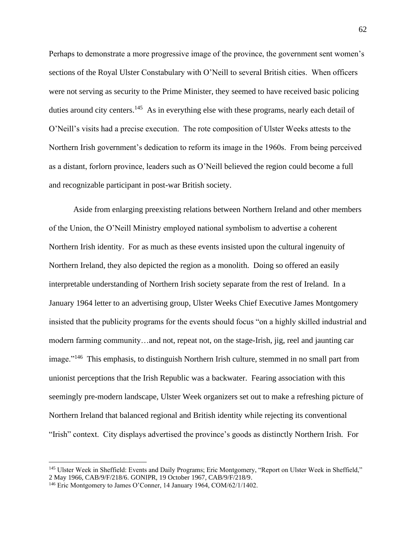Perhaps to demonstrate a more progressive image of the province, the government sent women's sections of the Royal Ulster Constabulary with O'Neill to several British cities. When officers were not serving as security to the Prime Minister, they seemed to have received basic policing duties around city centers.<sup>145</sup> As in everything else with these programs, nearly each detail of O'Neill's visits had a precise execution. The rote composition of Ulster Weeks attests to the Northern Irish government's dedication to reform its image in the 1960s. From being perceived as a distant, forlorn province, leaders such as O'Neill believed the region could become a full and recognizable participant in post-war British society.

Aside from enlarging preexisting relations between Northern Ireland and other members of the Union, the O'Neill Ministry employed national symbolism to advertise a coherent Northern Irish identity. For as much as these events insisted upon the cultural ingenuity of Northern Ireland, they also depicted the region as a monolith. Doing so offered an easily interpretable understanding of Northern Irish society separate from the rest of Ireland. In a January 1964 letter to an advertising group, Ulster Weeks Chief Executive James Montgomery insisted that the publicity programs for the events should focus "on a highly skilled industrial and modern farming community…and not, repeat not, on the stage-Irish, jig, reel and jaunting car image."<sup>146</sup> This emphasis, to distinguish Northern Irish culture, stemmed in no small part from unionist perceptions that the Irish Republic was a backwater. Fearing association with this seemingly pre-modern landscape, Ulster Week organizers set out to make a refreshing picture of Northern Ireland that balanced regional and British identity while rejecting its conventional "Irish" context. City displays advertised the province's goods as distinctly Northern Irish. For

<sup>&</sup>lt;sup>145</sup> Ulster Week in Sheffield: Events and Daily Programs; Eric Montgomery, "Report on Ulster Week in Sheffield," 2 May 1966, CAB/9/F/218/6. GONIPR, 19 October 1967, CAB/9/F/218/9.

<sup>146</sup> Eric Montgomery to James O'Conner, 14 January 1964, COM/62/1/1402.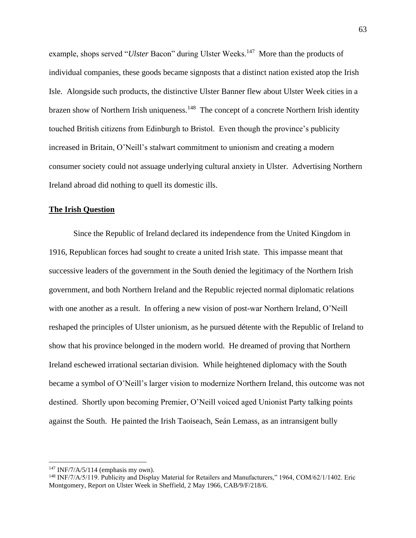example, shops served "*Ulster* Bacon" during Ulster Weeks.<sup>147</sup> More than the products of individual companies, these goods became signposts that a distinct nation existed atop the Irish Isle. Alongside such products, the distinctive Ulster Banner flew about Ulster Week cities in a brazen show of Northern Irish uniqueness.<sup>148</sup> The concept of a concrete Northern Irish identity touched British citizens from Edinburgh to Bristol. Even though the province's publicity increased in Britain, O'Neill's stalwart commitment to unionism and creating a modern consumer society could not assuage underlying cultural anxiety in Ulster. Advertising Northern Ireland abroad did nothing to quell its domestic ills.

## **The Irish Question**

Since the Republic of Ireland declared its independence from the United Kingdom in 1916, Republican forces had sought to create a united Irish state. This impasse meant that successive leaders of the government in the South denied the legitimacy of the Northern Irish government, and both Northern Ireland and the Republic rejected normal diplomatic relations with one another as a result. In offering a new vision of post-war Northern Ireland, O'Neill reshaped the principles of Ulster unionism, as he pursued détente with the Republic of Ireland to show that his province belonged in the modern world. He dreamed of proving that Northern Ireland eschewed irrational sectarian division. While heightened diplomacy with the South became a symbol of O'Neill's larger vision to modernize Northern Ireland, this outcome was not destined. Shortly upon becoming Premier, O'Neill voiced aged Unionist Party talking points against the South. He painted the Irish Taoiseach, Seán Lemass, as an intransigent bully

<sup>147</sup> INF/7/A/5/114 (emphasis my own).

<sup>&</sup>lt;sup>148</sup> INF/7/A/5/119. Publicity and Display Material for Retailers and Manufacturers," 1964, COM/62/1/1402. Eric Montgomery, Report on Ulster Week in Sheffield, 2 May 1966, CAB/9/F/218/6.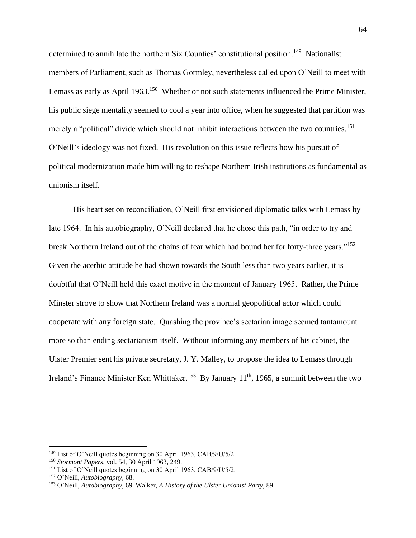determined to annihilate the northern Six Counties' constitutional position.<sup>149</sup> Nationalist members of Parliament, such as Thomas Gormley, nevertheless called upon O'Neill to meet with Lemass as early as April 1963.<sup>150</sup> Whether or not such statements influenced the Prime Minister, his public siege mentality seemed to cool a year into office, when he suggested that partition was merely a "political" divide which should not inhibit interactions between the two countries.<sup>151</sup> O'Neill's ideology was not fixed. His revolution on this issue reflects how his pursuit of political modernization made him willing to reshape Northern Irish institutions as fundamental as unionism itself.

His heart set on reconciliation, O'Neill first envisioned diplomatic talks with Lemass by late 1964. In his autobiography, O'Neill declared that he chose this path, "in order to try and break Northern Ireland out of the chains of fear which had bound her for forty-three years."<sup>152</sup> Given the acerbic attitude he had shown towards the South less than two years earlier, it is doubtful that O'Neill held this exact motive in the moment of January 1965. Rather, the Prime Minster strove to show that Northern Ireland was a normal geopolitical actor which could cooperate with any foreign state. Quashing the province's sectarian image seemed tantamount more so than ending sectarianism itself. Without informing any members of his cabinet, the Ulster Premier sent his private secretary, J. Y. Malley, to propose the idea to Lemass through Ireland's Finance Minister Ken Whittaker.<sup>153</sup> By January  $11<sup>th</sup>$ , 1965, a summit between the two

<sup>149</sup> List of O'Neill quotes beginning on 30 April 1963, CAB/9/U/5/2.

<sup>150</sup> *Stormont Papers*, vol. 54, 30 April 1963, 249.

<sup>151</sup> List of O'Neill quotes beginning on 30 April 1963, CAB/9/U/5/2.

<sup>152</sup> O'Neill, *Autobiography*, 68.

<sup>153</sup> O'Neill, *Autobiography*, 69. Walker, *A History of the Ulster Unionist Party*, 89.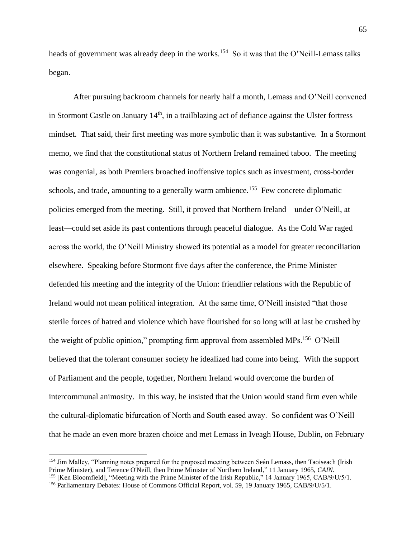heads of government was already deep in the works.<sup>154</sup> So it was that the O'Neill-Lemass talks began.

After pursuing backroom channels for nearly half a month, Lemass and O'Neill convened in Stormont Castle on January  $14<sup>th</sup>$ , in a trailblazing act of defiance against the Ulster fortress mindset. That said, their first meeting was more symbolic than it was substantive. In a Stormont memo, we find that the constitutional status of Northern Ireland remained taboo. The meeting was congenial, as both Premiers broached inoffensive topics such as investment, cross-border schools, and trade, amounting to a generally warm ambience.<sup>155</sup> Few concrete diplomatic policies emerged from the meeting. Still, it proved that Northern Ireland—under O'Neill, at least—could set aside its past contentions through peaceful dialogue. As the Cold War raged across the world, the O'Neill Ministry showed its potential as a model for greater reconciliation elsewhere. Speaking before Stormont five days after the conference, the Prime Minister defended his meeting and the integrity of the Union: friendlier relations with the Republic of Ireland would not mean political integration. At the same time, O'Neill insisted "that those sterile forces of hatred and violence which have flourished for so long will at last be crushed by the weight of public opinion," prompting firm approval from assembled MPs.<sup>156</sup> O'Neill believed that the tolerant consumer society he idealized had come into being. With the support of Parliament and the people, together, Northern Ireland would overcome the burden of intercommunal animosity. In this way, he insisted that the Union would stand firm even while the cultural-diplomatic bifurcation of North and South eased away. So confident was O'Neill that he made an even more brazen choice and met Lemass in Iveagh House, Dublin, on February

<sup>&</sup>lt;sup>154</sup> Jim Malley, "Planning notes prepared for the proposed meeting between Seán Lemass, then Taoiseach (Irish Prime Minister), and Terence O'Neill, then Prime Minister of Northern Ireland," 11 January 1965, *CAIN*.

<sup>155</sup> [Ken Bloomfield], "Meeting with the Prime Minister of the Irish Republic," 14 January 1965, CAB/9/U/5/1.

<sup>156</sup> Parliamentary Debates: House of Commons Official Report, vol. 59, 19 January 1965, CAB/9/U/5/1.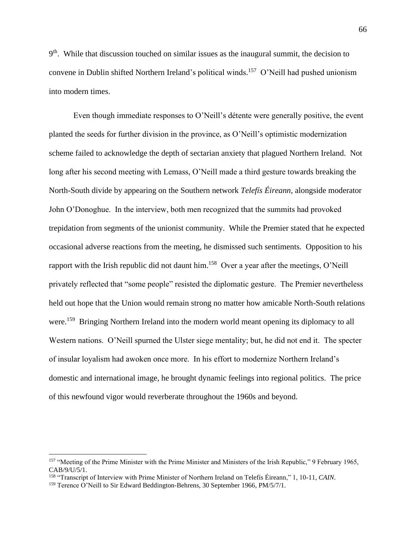9<sup>th</sup>. While that discussion touched on similar issues as the inaugural summit, the decision to convene in Dublin shifted Northern Ireland's political winds. 157 O'Neill had pushed unionism into modern times.

Even though immediate responses to O'Neill's détente were generally positive, the event planted the seeds for further division in the province, as O'Neill's optimistic modernization scheme failed to acknowledge the depth of sectarian anxiety that plagued Northern Ireland. Not long after his second meeting with Lemass, O'Neill made a third gesture towards breaking the North-South divide by appearing on the Southern network *Telefís Éireann*, alongside moderator John O'Donoghue. In the interview, both men recognized that the summits had provoked trepidation from segments of the unionist community. While the Premier stated that he expected occasional adverse reactions from the meeting, he dismissed such sentiments. Opposition to his rapport with the Irish republic did not daunt him.<sup>158</sup> Over a year after the meetings, O'Neill privately reflected that "some people" resisted the diplomatic gesture. The Premier nevertheless held out hope that the Union would remain strong no matter how amicable North-South relations were.<sup>159</sup> Bringing Northern Ireland into the modern world meant opening its diplomacy to all Western nations. O'Neill spurned the Ulster siege mentality; but, he did not end it. The specter of insular loyalism had awoken once more. In his effort to modernize Northern Ireland's domestic and international image, he brought dynamic feelings into regional politics. The price of this newfound vigor would reverberate throughout the 1960s and beyond.

<sup>&</sup>lt;sup>157</sup> "Meeting of the Prime Minister with the Prime Minister and Ministers of the Irish Republic," 9 February 1965, CAB/9/U/5/1.

<sup>158</sup> "Transcript of Interview with Prime Minister of Northern Ireland on Telefís Éireann," 1, 10-11, *CAIN*.

<sup>&</sup>lt;sup>159</sup> Terence O'Neill to Sir Edward Beddington-Behrens, 30 September 1966, PM/5/7/1.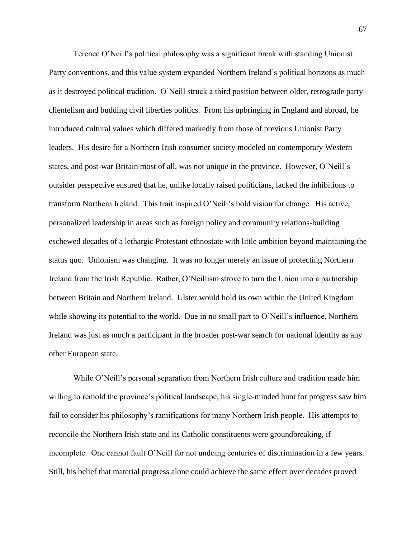Terence O'Neill's political philosophy was a significant break with standing Unionist Party conventions, and this value system expanded Northern Ireland's political horizons as much as it destroyed political tradition. O'Neill struck a third position between older, retrograde party clientelism and budding civil liberties politics. From his upbringing in England and abroad, he introduced cultural values which differed markedly from those of previous Unionist Party leaders. His desire for a Northern Irish consumer society modeled on contemporary Western states, and post-war Britain most of all, was not unique in the province. However, O'Neill's outsider perspective ensured that he, unlike locally raised politicians, lacked the inhibitions to transform Northern Ireland. This trait inspired O'Neill's bold vision for change. His active, personalized leadership in areas such as foreign policy and community relations-building eschewed decades of a lethargic Protestant ethnostate with little ambition beyond maintaining the status quo. Unionism was changing. It was no longer merely an issue of protecting Northern Ireland from the Irish Republic. Rather, O'Neillism strove to turn the Union into a partnership between Britain and Northern Ireland. Ulster would hold its own within the United Kingdom while showing its potential to the world. Due in no small part to O'Neill's influence, Northern Ireland was just as much a participant in the broader post-war search for national identity as any other European state.

While O'Neill's personal separation from Northern Irish culture and tradition made him willing to remold the province's political landscape, his single-minded hunt for progress saw him fail to consider his philosophy's ramifications for many Northern Irish people. His attempts to reconcile the Northern Irish state and its Catholic constituents were groundbreaking, if incomplete. One cannot fault O'Neill for not undoing centuries of discrimination in a few years. Still, his belief that material progress alone could achieve the same effect over decades proved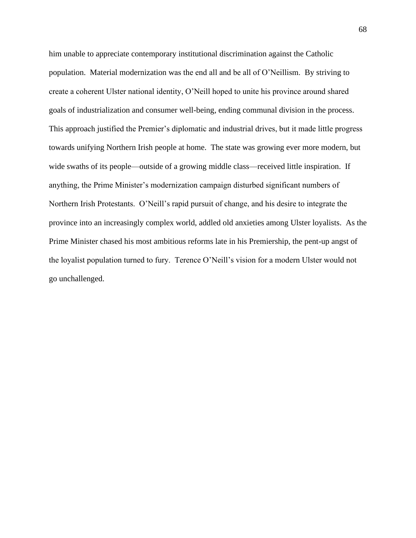him unable to appreciate contemporary institutional discrimination against the Catholic population. Material modernization was the end all and be all of O'Neillism. By striving to create a coherent Ulster national identity, O'Neill hoped to unite his province around shared goals of industrialization and consumer well-being, ending communal division in the process. This approach justified the Premier's diplomatic and industrial drives, but it made little progress towards unifying Northern Irish people at home. The state was growing ever more modern, but wide swaths of its people—outside of a growing middle class—received little inspiration. If anything, the Prime Minister's modernization campaign disturbed significant numbers of Northern Irish Protestants. O'Neill's rapid pursuit of change, and his desire to integrate the province into an increasingly complex world, addled old anxieties among Ulster loyalists. As the Prime Minister chased his most ambitious reforms late in his Premiership, the pent-up angst of the loyalist population turned to fury. Terence O'Neill's vision for a modern Ulster would not go unchallenged.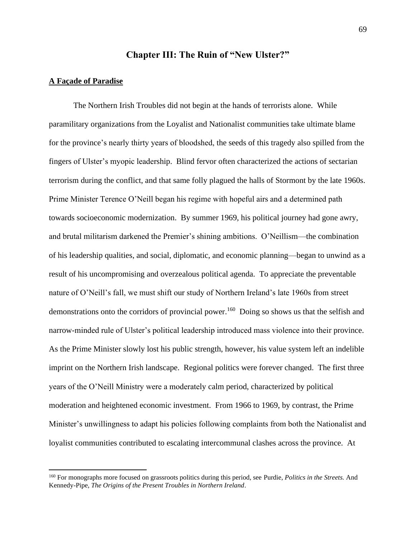# **Chapter III: The Ruin of "New Ulster?"**

#### **A Façade of Paradise**

The Northern Irish Troubles did not begin at the hands of terrorists alone. While paramilitary organizations from the Loyalist and Nationalist communities take ultimate blame for the province's nearly thirty years of bloodshed, the seeds of this tragedy also spilled from the fingers of Ulster's myopic leadership. Blind fervor often characterized the actions of sectarian terrorism during the conflict, and that same folly plagued the halls of Stormont by the late 1960s. Prime Minister Terence O'Neill began his regime with hopeful airs and a determined path towards socioeconomic modernization. By summer 1969, his political journey had gone awry, and brutal militarism darkened the Premier's shining ambitions. O'Neillism—the combination of his leadership qualities, and social, diplomatic, and economic planning—began to unwind as a result of his uncompromising and overzealous political agenda. To appreciate the preventable nature of O'Neill's fall, we must shift our study of Northern Ireland's late 1960s from street demonstrations onto the corridors of provincial power.<sup>160</sup> Doing so shows us that the selfish and narrow-minded rule of Ulster's political leadership introduced mass violence into their province. As the Prime Minister slowly lost his public strength, however, his value system left an indelible imprint on the Northern Irish landscape. Regional politics were forever changed. The first three years of the O'Neill Ministry were a moderately calm period, characterized by political moderation and heightened economic investment. From 1966 to 1969, by contrast, the Prime Minister's unwillingness to adapt his policies following complaints from both the Nationalist and loyalist communities contributed to escalating intercommunal clashes across the province. At

<sup>160</sup> For monographs more focused on grassroots politics during this period, see Purdie, *Politics in the Streets.* And Kennedy-Pipe, *The Origins of the Present Troubles in Northern Ireland*.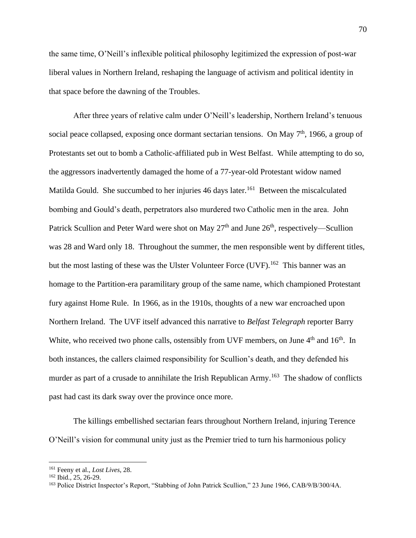the same time, O'Neill's inflexible political philosophy legitimized the expression of post-war liberal values in Northern Ireland, reshaping the language of activism and political identity in that space before the dawning of the Troubles.

After three years of relative calm under O'Neill's leadership, Northern Ireland's tenuous social peace collapsed, exposing once dormant sectarian tensions. On May  $7<sup>th</sup>$ , 1966, a group of Protestants set out to bomb a Catholic-affiliated pub in West Belfast. While attempting to do so, the aggressors inadvertently damaged the home of a 77-year-old Protestant widow named Matilda Gould. She succumbed to her injuries 46 days later.<sup>161</sup> Between the miscalculated bombing and Gould's death, perpetrators also murdered two Catholic men in the area. John Patrick Scullion and Peter Ward were shot on May  $27<sup>th</sup>$  and June  $26<sup>th</sup>$ , respectively—Scullion was 28 and Ward only 18. Throughout the summer, the men responsible went by different titles, but the most lasting of these was the Ulster Volunteer Force (UVF).<sup>162</sup> This banner was an homage to the Partition-era paramilitary group of the same name, which championed Protestant fury against Home Rule. In 1966, as in the 1910s, thoughts of a new war encroached upon Northern Ireland. The UVF itself advanced this narrative to *Belfast Telegraph* reporter Barry White, who received two phone calls, ostensibly from UVF members, on June  $4<sup>th</sup>$  and  $16<sup>th</sup>$ . In both instances, the callers claimed responsibility for Scullion's death, and they defended his murder as part of a crusade to annihilate the Irish Republican Army.<sup>163</sup> The shadow of conflicts past had cast its dark sway over the province once more.

The killings embellished sectarian fears throughout Northern Ireland, injuring Terence O'Neill's vision for communal unity just as the Premier tried to turn his harmonious policy

<sup>161</sup> Feeny et al., *Lost Lives*, 28.

<sup>162</sup> Ibid., 25, 26-29.

<sup>163</sup> Police District Inspector's Report, "Stabbing of John Patrick Scullion," 23 June 1966, CAB/9/B/300/4A.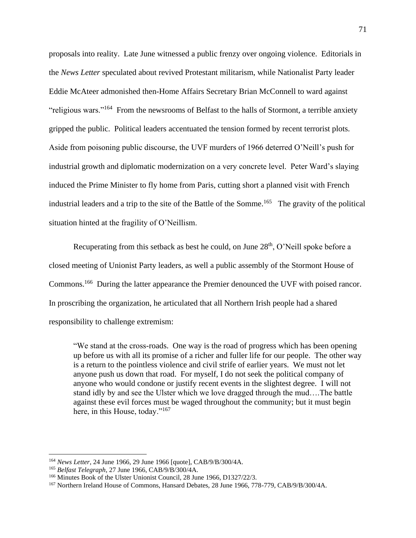proposals into reality. Late June witnessed a public frenzy over ongoing violence. Editorials in the *News Letter* speculated about revived Protestant militarism, while Nationalist Party leader Eddie McAteer admonished then-Home Affairs Secretary Brian McConnell to ward against "religious wars."<sup>164</sup> From the newsrooms of Belfast to the halls of Stormont, a terrible anxiety gripped the public. Political leaders accentuated the tension formed by recent terrorist plots. Aside from poisoning public discourse, the UVF murders of 1966 deterred O'Neill's push for industrial growth and diplomatic modernization on a very concrete level. Peter Ward's slaying induced the Prime Minister to fly home from Paris, cutting short a planned visit with French industrial leaders and a trip to the site of the Battle of the Somme.<sup>165</sup> The gravity of the political situation hinted at the fragility of O'Neillism.

Recuperating from this setback as best he could, on June 28<sup>th</sup>, O'Neill spoke before a closed meeting of Unionist Party leaders, as well a public assembly of the Stormont House of Commons.<sup>166</sup> During the latter appearance the Premier denounced the UVF with poised rancor. In proscribing the organization, he articulated that all Northern Irish people had a shared responsibility to challenge extremism:

"We stand at the cross-roads. One way is the road of progress which has been opening up before us with all its promise of a richer and fuller life for our people. The other way is a return to the pointless violence and civil strife of earlier years. We must not let anyone push us down that road. For myself, I do not seek the political company of anyone who would condone or justify recent events in the slightest degree. I will not stand idly by and see the Ulster which we love dragged through the mud….The battle against these evil forces must be waged throughout the community; but it must begin here, in this House, today."<sup>167</sup>

<sup>164</sup> *News Letter*, 24 June 1966, 29 June 1966 [quote], CAB/9/B/300/4A.

<sup>165</sup> *Belfast Telegraph*, 27 June 1966, CAB/9/B/300/4A.

<sup>&</sup>lt;sup>166</sup> Minutes Book of the Ulster Unionist Council, 28 June 1966, D1327/22/3.

<sup>167</sup> Northern Ireland House of Commons, Hansard Debates, 28 June 1966, 778-779, CAB/9/B/300/4A.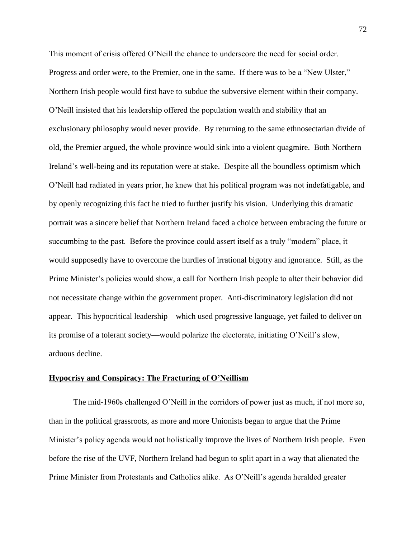This moment of crisis offered O'Neill the chance to underscore the need for social order. Progress and order were, to the Premier, one in the same.If there was to be a "New Ulster," Northern Irish people would first have to subdue the subversive element within their company. O'Neill insisted that his leadership offered the population wealth and stability that an exclusionary philosophy would never provide. By returning to the same ethnosectarian divide of old, the Premier argued, the whole province would sink into a violent quagmire. Both Northern Ireland's well-being and its reputation were at stake. Despite all the boundless optimism which O'Neill had radiated in years prior, he knew that his political program was not indefatigable, and by openly recognizing this fact he tried to further justify his vision. Underlying this dramatic portrait was a sincere belief that Northern Ireland faced a choice between embracing the future or succumbing to the past. Before the province could assert itself as a truly "modern" place, it would supposedly have to overcome the hurdles of irrational bigotry and ignorance. Still, as the Prime Minister's policies would show, a call for Northern Irish people to alter their behavior did not necessitate change within the government proper. Anti-discriminatory legislation did not appear. This hypocritical leadership—which used progressive language, yet failed to deliver on its promise of a tolerant society—would polarize the electorate, initiating O'Neill's slow, arduous decline.

### **Hypocrisy and Conspiracy: The Fracturing of O'Neillism**

The mid-1960s challenged O'Neill in the corridors of power just as much, if not more so, than in the political grassroots, as more and more Unionists began to argue that the Prime Minister's policy agenda would not holistically improve the lives of Northern Irish people. Even before the rise of the UVF, Northern Ireland had begun to split apart in a way that alienated the Prime Minister from Protestants and Catholics alike. As O'Neill's agenda heralded greater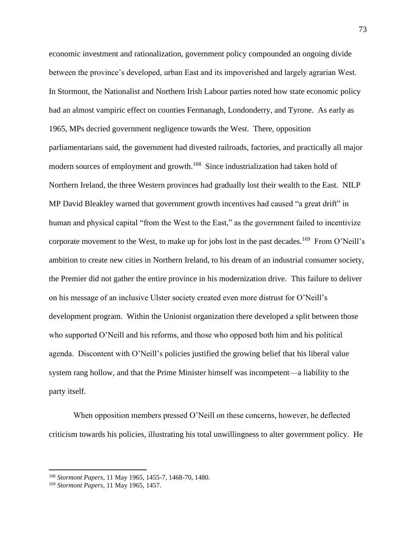economic investment and rationalization, government policy compounded an ongoing divide between the province's developed, urban East and its impoverished and largely agrarian West. In Stormont, the Nationalist and Northern Irish Labour parties noted how state economic policy had an almost vampiric effect on counties Fermanagh, Londonderry, and Tyrone. As early as 1965, MPs decried government negligence towards the West. There, opposition parliamentarians said, the government had divested railroads, factories, and practically all major modern sources of employment and growth.<sup>168</sup> Since industrialization had taken hold of Northern Ireland, the three Western provinces had gradually lost their wealth to the East. NILP MP David Bleakley warned that government growth incentives had caused "a great drift" in human and physical capital "from the West to the East," as the government failed to incentivize corporate movement to the West, to make up for jobs lost in the past decades.<sup>169</sup> From O'Neill's ambition to create new cities in Northern Ireland, to his dream of an industrial consumer society, the Premier did not gather the entire province in his modernization drive. This failure to deliver on his message of an inclusive Ulster society created even more distrust for O'Neill's development program. Within the Unionist organization there developed a split between those who supported O'Neill and his reforms, and those who opposed both him and his political agenda. Discontent with O'Neill's policies justified the growing belief that his liberal value system rang hollow, and that the Prime Minister himself was incompetent—a liability to the party itself.

When opposition members pressed O'Neill on these concerns, however, he deflected criticism towards his policies, illustrating his total unwillingness to alter government policy. He

<sup>168</sup> *Stormont Papers*, 11 May 1965, 1455-7, 1468-70, 1480.

<sup>169</sup> *Stormont Papers*, 11 May 1965, 1457.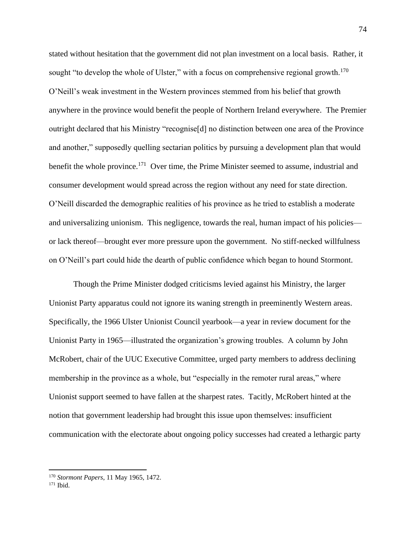stated without hesitation that the government did not plan investment on a local basis. Rather, it sought "to develop the whole of Ulster," with a focus on comprehensive regional growth.<sup>170</sup> O'Neill's weak investment in the Western provinces stemmed from his belief that growth anywhere in the province would benefit the people of Northern Ireland everywhere. The Premier outright declared that his Ministry "recognise[d] no distinction between one area of the Province and another," supposedly quelling sectarian politics by pursuing a development plan that would benefit the whole province.<sup>171</sup> Over time, the Prime Minister seemed to assume, industrial and consumer development would spread across the region without any need for state direction. O'Neill discarded the demographic realities of his province as he tried to establish a moderate and universalizing unionism. This negligence, towards the real, human impact of his policies or lack thereof—brought ever more pressure upon the government. No stiff-necked willfulness on O'Neill's part could hide the dearth of public confidence which began to hound Stormont.

Though the Prime Minister dodged criticisms levied against his Ministry, the larger Unionist Party apparatus could not ignore its waning strength in preeminently Western areas. Specifically, the 1966 Ulster Unionist Council yearbook—a year in review document for the Unionist Party in 1965—illustrated the organization's growing troubles. A column by John McRobert, chair of the UUC Executive Committee, urged party members to address declining membership in the province as a whole, but "especially in the remoter rural areas," where Unionist support seemed to have fallen at the sharpest rates. Tacitly, McRobert hinted at the notion that government leadership had brought this issue upon themselves: insufficient communication with the electorate about ongoing policy successes had created a lethargic party

<sup>170</sup> *Stormont Papers*, 11 May 1965, 1472.

<sup>171</sup> Ibid.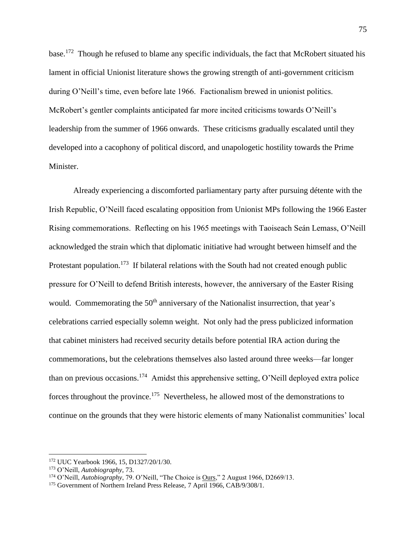base.<sup>172</sup> Though he refused to blame any specific individuals, the fact that McRobert situated his lament in official Unionist literature shows the growing strength of anti-government criticism during O'Neill's time, even before late 1966. Factionalism brewed in unionist politics. McRobert's gentler complaints anticipated far more incited criticisms towards O'Neill's leadership from the summer of 1966 onwards. These criticisms gradually escalated until they developed into a cacophony of political discord, and unapologetic hostility towards the Prime Minister.

Already experiencing a discomforted parliamentary party after pursuing détente with the Irish Republic, O'Neill faced escalating opposition from Unionist MPs following the 1966 Easter Rising commemorations. Reflecting on his 1965 meetings with Taoiseach Seán Lemass, O'Neill acknowledged the strain which that diplomatic initiative had wrought between himself and the Protestant population.<sup>173</sup> If bilateral relations with the South had not created enough public pressure for O'Neill to defend British interests, however, the anniversary of the Easter Rising would. Commemorating the 50<sup>th</sup> anniversary of the Nationalist insurrection, that year's celebrations carried especially solemn weight. Not only had the press publicized information that cabinet ministers had received security details before potential IRA action during the commemorations, but the celebrations themselves also lasted around three weeks—far longer than on previous occasions.<sup>174</sup> Amidst this apprehensive setting, O'Neill deployed extra police forces throughout the province.<sup>175</sup> Nevertheless, he allowed most of the demonstrations to continue on the grounds that they were historic elements of many Nationalist communities' local

<sup>172</sup> UUC Yearbook 1966, 15, D1327/20/1/30.

<sup>173</sup> O'Neill, *Autobiography*, 73.

<sup>&</sup>lt;sup>174</sup> O'Neill, *Autobiography*, 79. O'Neill, "The Choice is <u>Ours</u>," 2 August 1966, D2669/13.

<sup>&</sup>lt;sup>175</sup> Government of Northern Ireland Press Release, 7 April 1966, CAB/9/308/1.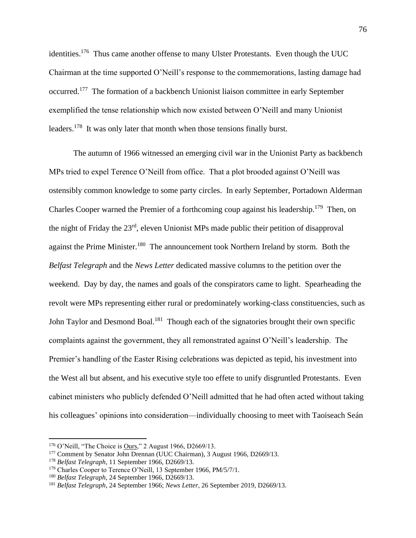identities.<sup>176</sup> Thus came another offense to many Ulster Protestants. Even though the UUC Chairman at the time supported O'Neill's response to the commemorations, lasting damage had occurred.<sup>177</sup> The formation of a backbench Unionist liaison committee in early September exemplified the tense relationship which now existed between O'Neill and many Unionist leaders.<sup>178</sup> It was only later that month when those tensions finally burst.

The autumn of 1966 witnessed an emerging civil war in the Unionist Party as backbench MPs tried to expel Terence O'Neill from office. That a plot brooded against O'Neill was ostensibly common knowledge to some party circles. In early September, Portadown Alderman Charles Cooper warned the Premier of a forthcoming coup against his leadership.<sup>179</sup> Then, on the night of Friday the 23rd, eleven Unionist MPs made public their petition of disapproval against the Prime Minister.<sup>180</sup> The announcement took Northern Ireland by storm. Both the *Belfast Telegraph* and the *News Letter* dedicated massive columns to the petition over the weekend. Day by day, the names and goals of the conspirators came to light. Spearheading the revolt were MPs representing either rural or predominately working-class constituencies, such as John Taylor and Desmond Boal.<sup>181</sup> Though each of the signatories brought their own specific complaints against the government, they all remonstrated against O'Neill's leadership. The Premier's handling of the Easter Rising celebrations was depicted as tepid, his investment into the West all but absent, and his executive style too effete to unify disgruntled Protestants. Even cabinet ministers who publicly defended O'Neill admitted that he had often acted without taking his colleagues' opinions into consideration—individually choosing to meet with Taoiseach Seán

<sup>176</sup> O'Neill, "The Choice is Ours," 2 August 1966, D2669/13.

<sup>&</sup>lt;sup>177</sup> Comment by Senator John Drennan (UUC Chairman), 3 August 1966, D2669/13.

<sup>178</sup> *Belfast Telegraph*, 11 September 1966, D2669/13.

<sup>&</sup>lt;sup>179</sup> Charles Cooper to Terence O'Neill, 13 September 1966, PM/5/7/1.

<sup>180</sup> *Belfast Telegraph*, 24 September 1966, D2669/13.

<sup>181</sup> *Belfast Telegraph*, 24 September 1966; *News Letter*, 26 September 2019, D2669/13.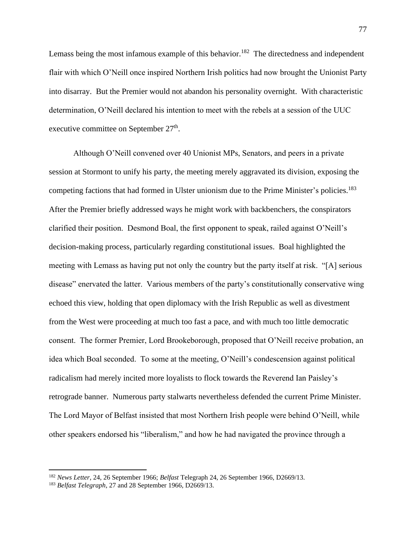Lemass being the most infamous example of this behavior.<sup>182</sup> The directedness and independent flair with which O'Neill once inspired Northern Irish politics had now brought the Unionist Party into disarray. But the Premier would not abandon his personality overnight. With characteristic determination, O'Neill declared his intention to meet with the rebels at a session of the UUC executive committee on September 27<sup>th</sup>.

Although O'Neill convened over 40 Unionist MPs, Senators, and peers in a private session at Stormont to unify his party, the meeting merely aggravated its division, exposing the competing factions that had formed in Ulster unionism due to the Prime Minister's policies.<sup>183</sup> After the Premier briefly addressed ways he might work with backbenchers, the conspirators clarified their position. Desmond Boal, the first opponent to speak, railed against O'Neill's decision-making process, particularly regarding constitutional issues. Boal highlighted the meeting with Lemass as having put not only the country but the party itself at risk. "[A] serious disease" enervated the latter. Various members of the party's constitutionally conservative wing echoed this view, holding that open diplomacy with the Irish Republic as well as divestment from the West were proceeding at much too fast a pace, and with much too little democratic consent. The former Premier, Lord Brookeborough, proposed that O'Neill receive probation, an idea which Boal seconded. To some at the meeting, O'Neill's condescension against political radicalism had merely incited more loyalists to flock towards the Reverend Ian Paisley's retrograde banner. Numerous party stalwarts nevertheless defended the current Prime Minister. The Lord Mayor of Belfast insisted that most Northern Irish people were behind O'Neill, while other speakers endorsed his "liberalism," and how he had navigated the province through a

<sup>182</sup> *News Letter*, 24, 26 September 1966; *Belfast* Telegraph 24, 26 September 1966, D2669/13.

<sup>183</sup> *Belfast Telegraph*, 27 and 28 September 1966, D2669/13.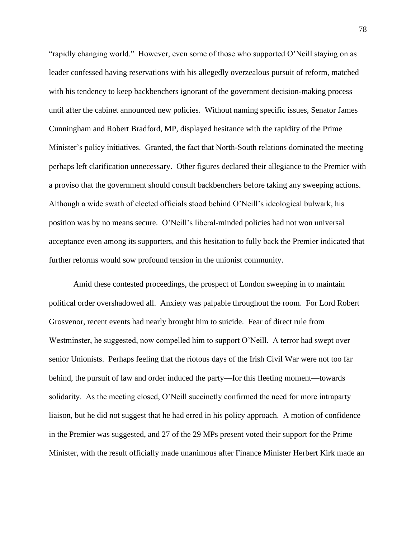"rapidly changing world." However, even some of those who supported O'Neill staying on as leader confessed having reservations with his allegedly overzealous pursuit of reform, matched with his tendency to keep backbenchers ignorant of the government decision-making process until after the cabinet announced new policies. Without naming specific issues, Senator James Cunningham and Robert Bradford, MP, displayed hesitance with the rapidity of the Prime Minister's policy initiatives. Granted, the fact that North-South relations dominated the meeting perhaps left clarification unnecessary. Other figures declared their allegiance to the Premier with a proviso that the government should consult backbenchers before taking any sweeping actions. Although a wide swath of elected officials stood behind O'Neill's ideological bulwark, his position was by no means secure. O'Neill's liberal-minded policies had not won universal acceptance even among its supporters, and this hesitation to fully back the Premier indicated that further reforms would sow profound tension in the unionist community.

Amid these contested proceedings, the prospect of London sweeping in to maintain political order overshadowed all. Anxiety was palpable throughout the room. For Lord Robert Grosvenor, recent events had nearly brought him to suicide. Fear of direct rule from Westminster, he suggested, now compelled him to support O'Neill. A terror had swept over senior Unionists. Perhaps feeling that the riotous days of the Irish Civil War were not too far behind, the pursuit of law and order induced the party—for this fleeting moment—towards solidarity. As the meeting closed, O'Neill succinctly confirmed the need for more intraparty liaison, but he did not suggest that he had erred in his policy approach. A motion of confidence in the Premier was suggested, and 27 of the 29 MPs present voted their support for the Prime Minister, with the result officially made unanimous after Finance Minister Herbert Kirk made an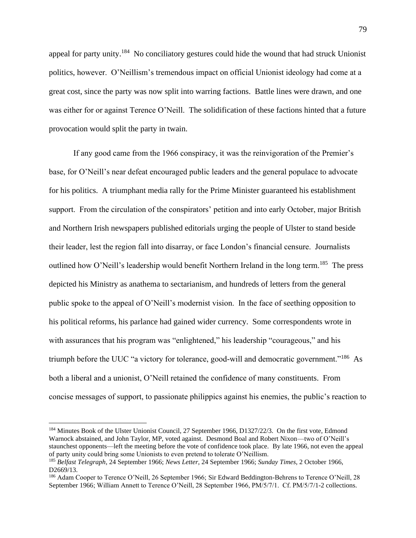appeal for party unity.<sup>184</sup> No conciliatory gestures could hide the wound that had struck Unionist politics, however. O'Neillism's tremendous impact on official Unionist ideology had come at a great cost, since the party was now split into warring factions. Battle lines were drawn, and one was either for or against Terence O'Neill. The solidification of these factions hinted that a future provocation would split the party in twain.

If any good came from the 1966 conspiracy, it was the reinvigoration of the Premier's base, for O'Neill's near defeat encouraged public leaders and the general populace to advocate for his politics. A triumphant media rally for the Prime Minister guaranteed his establishment support. From the circulation of the conspirators' petition and into early October, major British and Northern Irish newspapers published editorials urging the people of Ulster to stand beside their leader, lest the region fall into disarray, or face London's financial censure. Journalists outlined how O'Neill's leadership would benefit Northern Ireland in the long term.<sup>185</sup> The press depicted his Ministry as anathema to sectarianism, and hundreds of letters from the general public spoke to the appeal of O'Neill's modernist vision. In the face of seething opposition to his political reforms, his parlance had gained wider currency. Some correspondents wrote in with assurances that his program was "enlightened," his leadership "courageous," and his triumph before the UUC "a victory for tolerance, good-will and democratic government."<sup>186</sup> As both a liberal and a unionist, O'Neill retained the confidence of many constituents. From concise messages of support, to passionate philippics against his enemies, the public's reaction to

<sup>&</sup>lt;sup>184</sup> Minutes Book of the Ulster Unionist Council, 27 September 1966, D1327/22/3. On the first vote, Edmond Warnock abstained, and John Taylor, MP, voted against. Desmond Boal and Robert Nixon—two of O'Neill's staunchest opponents—left the meeting before the vote of confidence took place. By late 1966, not even the appeal of party unity could bring some Unionists to even pretend to tolerate O'Neillism.

<sup>185</sup> *Belfast Telegraph*, 24 September 1966; *News Letter*, 24 September 1966; *Sunday Times*, 2 October 1966, D2669/13.

<sup>&</sup>lt;sup>186</sup> Adam Cooper to Terence O'Neill, 26 September 1966; Sir Edward Beddington-Behrens to Terence O'Neill, 28 September 1966; William Annett to Terence O'Neill, 28 September 1966, PM/5/7/1. Cf. PM/5/7/1-2 collections.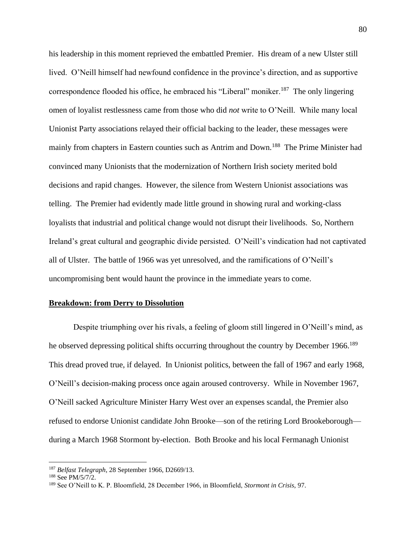his leadership in this moment reprieved the embattled Premier. His dream of a new Ulster still lived. O'Neill himself had newfound confidence in the province's direction, and as supportive correspondence flooded his office, he embraced his "Liberal" moniker.<sup>187</sup> The only lingering omen of loyalist restlessness came from those who did *not* write to O'Neill. While many local Unionist Party associations relayed their official backing to the leader, these messages were mainly from chapters in Eastern counties such as Antrim and Down.<sup>188</sup> The Prime Minister had convinced many Unionists that the modernization of Northern Irish society merited bold decisions and rapid changes. However, the silence from Western Unionist associations was telling. The Premier had evidently made little ground in showing rural and working-class loyalists that industrial and political change would not disrupt their livelihoods. So, Northern Ireland's great cultural and geographic divide persisted.O'Neill's vindication had not captivated all of Ulster. The battle of 1966 was yet unresolved, and the ramifications of O'Neill's uncompromising bent would haunt the province in the immediate years to come.

#### **Breakdown: from Derry to Dissolution**

Despite triumphing over his rivals, a feeling of gloom still lingered in O'Neill's mind, as he observed depressing political shifts occurring throughout the country by December 1966.<sup>189</sup> This dread proved true, if delayed. In Unionist politics, between the fall of 1967 and early 1968, O'Neill's decision-making process once again aroused controversy. While in November 1967, O'Neill sacked Agriculture Minister Harry West over an expenses scandal, the Premier also refused to endorse Unionist candidate John Brooke—son of the retiring Lord Brookeborough during a March 1968 Stormont by-election. Both Brooke and his local Fermanagh Unionist

<sup>187</sup> *Belfast Telegraph*, 28 September 1966, D2669/13.

<sup>188</sup> See PM/5/7/2.

<sup>189</sup> See O'Neill to K. P. Bloomfield, 28 December 1966, in Bloomfield, *Stormont in Crisis*, 97.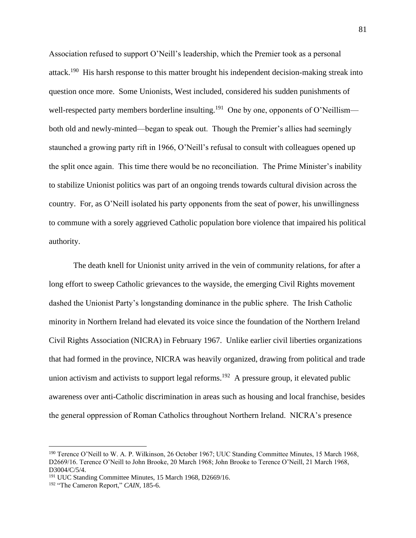Association refused to support O'Neill's leadership, which the Premier took as a personal attack.<sup>190</sup> His harsh response to this matter brought his independent decision-making streak into question once more. Some Unionists, West included, considered his sudden punishments of well-respected party members borderline insulting.<sup>191</sup> One by one, opponents of O'Neillism both old and newly-minted—began to speak out. Though the Premier's allies had seemingly staunched a growing party rift in 1966, O'Neill's refusal to consult with colleagues opened up the split once again. This time there would be no reconciliation. The Prime Minister's inability to stabilize Unionist politics was part of an ongoing trends towards cultural division across the country. For, as O'Neill isolated his party opponents from the seat of power, his unwillingness to commune with a sorely aggrieved Catholic population bore violence that impaired his political authority.

The death knell for Unionist unity arrived in the vein of community relations, for after a long effort to sweep Catholic grievances to the wayside, the emerging Civil Rights movement dashed the Unionist Party's longstanding dominance in the public sphere. The Irish Catholic minority in Northern Ireland had elevated its voice since the foundation of the Northern Ireland Civil Rights Association (NICRA) in February 1967. Unlike earlier civil liberties organizations that had formed in the province, NICRA was heavily organized, drawing from political and trade union activism and activists to support legal reforms.<sup>192</sup> A pressure group, it elevated public awareness over anti-Catholic discrimination in areas such as housing and local franchise, besides the general oppression of Roman Catholics throughout Northern Ireland. NICRA's presence

<sup>190</sup> Terence O'Neill to W. A. P. Wilkinson, 26 October 1967; UUC Standing Committee Minutes, 15 March 1968, D2669/16. Terence O'Neill to John Brooke, 20 March 1968; John Brooke to Terence O'Neill, 21 March 1968, D3004/C/5/4.

<sup>&</sup>lt;sup>191</sup> UUC Standing Committee Minutes, 15 March 1968, D2669/16.

<sup>192</sup> "The Cameron Report," *CAIN*, 185-6.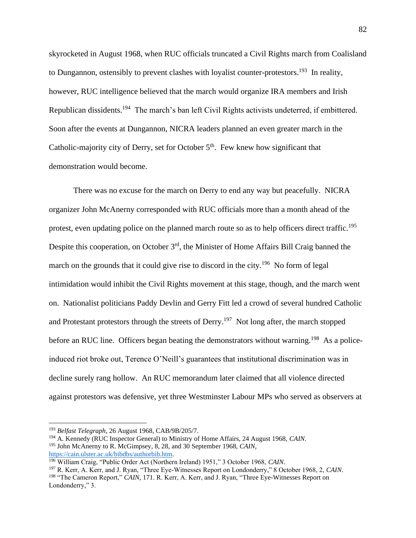skyrocketed in August 1968, when RUC officials truncated a Civil Rights march from Coalisland to Dungannon, ostensibly to prevent clashes with loyalist counter-protestors.<sup>193</sup> In reality, however, RUC intelligence believed that the march would organize IRA members and Irish Republican dissidents.<sup>194</sup> The march's ban left Civil Rights activists undeterred, if embittered. Soon after the events at Dungannon, NICRA leaders planned an even greater march in the Catholic-majority city of Derry, set for October  $5<sup>th</sup>$ . Few knew how significant that demonstration would become.

There was no excuse for the march on Derry to end any way but peacefully. NICRA organizer John McAnerny corresponded with RUC officials more than a month ahead of the protest, even updating police on the planned march route so as to help officers direct traffic.<sup>195</sup> Despite this cooperation, on October 3<sup>rd</sup>, the Minister of Home Affairs Bill Craig banned the march on the grounds that it could give rise to discord in the city.<sup>196</sup> No form of legal intimidation would inhibit the Civil Rights movement at this stage, though, and the march went on. Nationalist politicians Paddy Devlin and Gerry Fitt led a crowd of several hundred Catholic and Protestant protestors through the streets of Derry.<sup>197</sup> Not long after, the march stopped before an RUC line. Officers began beating the demonstrators without warning.<sup>198</sup> As a policeinduced riot broke out, Terence O'Neill's guarantees that institutional discrimination was in decline surely rang hollow. An RUC memorandum later claimed that all violence directed against protestors was defensive, yet three Westminster Labour MPs who served as observers at

<sup>193</sup> *Belfast Telegraph*, 26 August 1968, CAB/9B/205/7.

<sup>194</sup> A. Kennedy (RUC Inspector General) to Ministry of Home Affairs, 24 August 1968, *CAIN*.

<sup>195</sup> John McAnerny to R. McGimpsey, 8, 28, and 30 September 1968, *CAIN*, [https://cain.ulster.ac.uk/bibdbs/authorbib.htm.](https://cain.ulster.ac.uk/bibdbs/authorbib.htm)

<sup>196</sup> William Craig, "Public Order Act (Northern Ireland) 1951," 3 October 1968, *CAIN*.

<sup>197</sup> R. Kerr, A. Kerr, and J. Ryan, "Three Eye-Witnesses Report on Londonderry," 8 October 1968, 2, *CAIN*. <sup>198</sup> "The Cameron Report," *CAIN*, 171. R. Kerr, A. Kerr, and J. Ryan, "Three Eye-Witnesses Report on Londonderry," 3.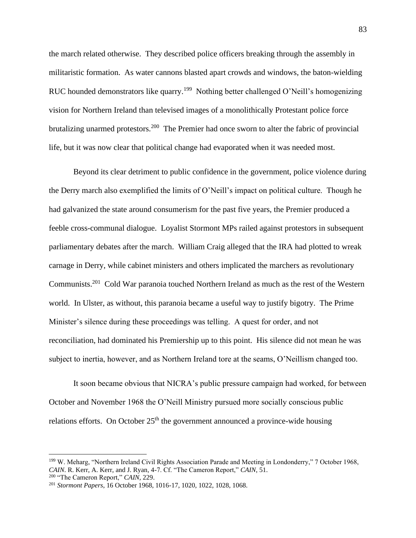the march related otherwise. They described police officers breaking through the assembly in militaristic formation. As water cannons blasted apart crowds and windows, the baton-wielding RUC hounded demonstrators like quarry.<sup>199</sup> Nothing better challenged O'Neill's homogenizing vision for Northern Ireland than televised images of a monolithically Protestant police force brutalizing unarmed protestors.<sup>200</sup> The Premier had once sworn to alter the fabric of provincial life, but it was now clear that political change had evaporated when it was needed most.

Beyond its clear detriment to public confidence in the government, police violence during the Derry march also exemplified the limits of O'Neill's impact on political culture. Though he had galvanized the state around consumerism for the past five years, the Premier produced a feeble cross-communal dialogue. Loyalist Stormont MPs railed against protestors in subsequent parliamentary debates after the march. William Craig alleged that the IRA had plotted to wreak carnage in Derry, while cabinet ministers and others implicated the marchers as revolutionary Communists.<sup>201</sup> Cold War paranoia touched Northern Ireland as much as the rest of the Western world. In Ulster, as without, this paranoia became a useful way to justify bigotry. The Prime Minister's silence during these proceedings was telling. A quest for order, and not reconciliation, had dominated his Premiership up to this point. His silence did not mean he was subject to inertia, however, and as Northern Ireland tore at the seams, O'Neillism changed too.

It soon became obvious that NICRA's public pressure campaign had worked, for between October and November 1968 the O'Neill Ministry pursued more socially conscious public relations efforts. On October  $25<sup>th</sup>$  the government announced a province-wide housing

<sup>199</sup> W. Meharg, "Northern Ireland Civil Rights Association Parade and Meeting in Londonderry," 7 October 1968, *CAIN*. R. Kerr, A. Kerr, and J. Ryan, 4-7. Cf. "The Cameron Report," *CAIN*, 51.

<sup>200</sup> "The Cameron Report," *CAIN*, 229.

<sup>201</sup> *Stormont Papers*, 16 October 1968, 1016-17, 1020, 1022, 1028, 1068.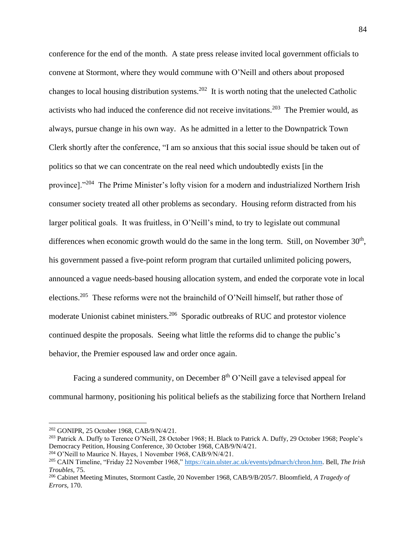conference for the end of the month. A state press release invited local government officials to convene at Stormont, where they would commune with O'Neill and others about proposed changes to local housing distribution systems.<sup>202</sup> It is worth noting that the unelected Catholic activists who had induced the conference did not receive invitations.<sup>203</sup> The Premier would, as always, pursue change in his own way. As he admitted in a letter to the Downpatrick Town Clerk shortly after the conference, "I am so anxious that this social issue should be taken out of politics so that we can concentrate on the real need which undoubtedly exists [in the province]."<sup>204</sup> The Prime Minister's lofty vision for a modern and industrialized Northern Irish consumer society treated all other problems as secondary. Housing reform distracted from his larger political goals. It was fruitless, in O'Neill's mind, to try to legislate out communal differences when economic growth would do the same in the long term. Still, on November  $30<sup>th</sup>$ , his government passed a five-point reform program that curtailed unlimited policing powers, announced a vague needs-based housing allocation system, and ended the corporate vote in local elections.<sup>205</sup> These reforms were not the brainchild of O'Neill himself, but rather those of moderate Unionist cabinet ministers.<sup>206</sup> Sporadic outbreaks of RUC and protestor violence continued despite the proposals. Seeing what little the reforms did to change the public's behavior, the Premier espoused law and order once again.

Facing a sundered community, on December 8<sup>th</sup> O'Neill gave a televised appeal for communal harmony, positioning his political beliefs as the stabilizing force that Northern Ireland

<sup>202</sup> GONIPR, 25 October 1968, CAB/9/N/4/21.

<sup>203</sup> Patrick A. Duffy to Terence O'Neill, 28 October 1968; H. Black to Patrick A. Duffy, 29 October 1968; People's Democracy Petition, Housing Conference, 30 October 1968, CAB/9/N/4/21.

<sup>&</sup>lt;sup>204</sup> O'Neill to Maurice N. Hayes, 1 November 1968, CAB/9/N/4/21.

<sup>205</sup> CAIN Timeline, "Friday 22 November 1968," [https://cain.ulster.ac.uk/events/pdmarch/chron.htm.](https://cain.ulster.ac.uk/events/pdmarch/chron.htm) Bell, *The Irish Troubles,* 75.

<sup>206</sup> Cabinet Meeting Minutes, Stormont Castle, 20 November 1968, CAB/9/B/205/7. Bloomfield, *A Tragedy of Errors*, 170.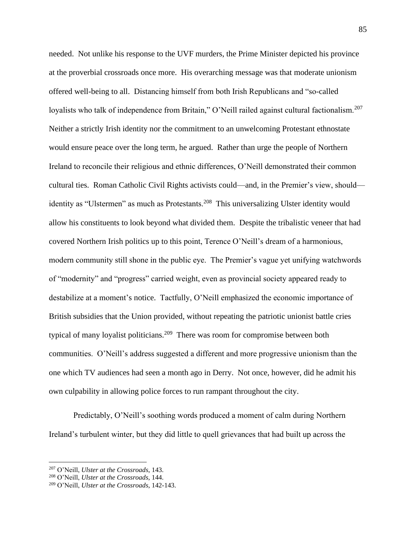needed. Not unlike his response to the UVF murders, the Prime Minister depicted his province at the proverbial crossroads once more. His overarching message was that moderate unionism offered well-being to all. Distancing himself from both Irish Republicans and "so-called loyalists who talk of independence from Britain," O'Neill railed against cultural factionalism.<sup>207</sup> Neither a strictly Irish identity nor the commitment to an unwelcoming Protestant ethnostate would ensure peace over the long term, he argued. Rather than urge the people of Northern Ireland to reconcile their religious and ethnic differences, O'Neill demonstrated their common cultural ties. Roman Catholic Civil Rights activists could—and, in the Premier's view, should identity as "Ulstermen" as much as Protestants.<sup>208</sup> This universalizing Ulster identity would allow his constituents to look beyond what divided them. Despite the tribalistic veneer that had covered Northern Irish politics up to this point, Terence O'Neill's dream of a harmonious, modern community still shone in the public eye. The Premier's vague yet unifying watchwords of "modernity" and "progress" carried weight, even as provincial society appeared ready to destabilize at a moment's notice.Tactfully, O'Neill emphasized the economic importance of British subsidies that the Union provided, without repeating the patriotic unionist battle cries typical of many loyalist politicians.<sup>209</sup> There was room for compromise between both communities. O'Neill's address suggested a different and more progressive unionism than the one which TV audiences had seen a month ago in Derry. Not once, however, did he admit his own culpability in allowing police forces to run rampant throughout the city.

Predictably, O'Neill's soothing words produced a moment of calm during Northern Ireland's turbulent winter, but they did little to quell grievances that had built up across the

<sup>207</sup> O'Neill, *Ulster at the Crossroads*, 143.

<sup>208</sup> O'Neill, *Ulster at the Crossroads*, 144.

<sup>209</sup> O'Neill, *Ulster at the Crossroads*, 142-143.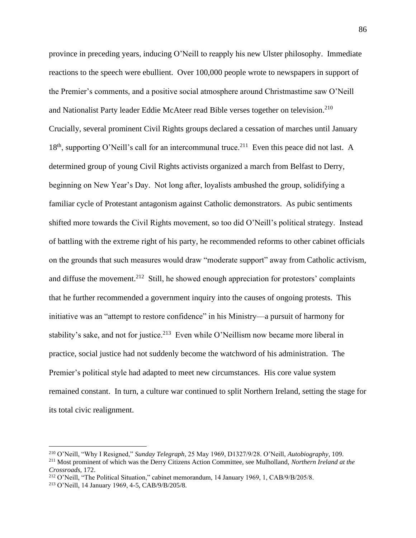province in preceding years, inducing O'Neill to reapply his new Ulster philosophy. Immediate reactions to the speech were ebullient. Over 100,000 people wrote to newspapers in support of the Premier's comments, and a positive social atmosphere around Christmastime saw O'Neill and Nationalist Party leader Eddie McAteer read Bible verses together on television.<sup>210</sup> Crucially, several prominent Civil Rights groups declared a cessation of marches until January 18<sup>th</sup>, supporting O'Neill's call for an intercommunal truce.<sup>211</sup> Even this peace did not last. A determined group of young Civil Rights activists organized a march from Belfast to Derry, beginning on New Year's Day. Not long after, loyalists ambushed the group, solidifying a familiar cycle of Protestant antagonism against Catholic demonstrators. As pubic sentiments shifted more towards the Civil Rights movement, so too did O'Neill's political strategy. Instead of battling with the extreme right of his party, he recommended reforms to other cabinet officials on the grounds that such measures would draw "moderate support" away from Catholic activism, and diffuse the movement.<sup>212</sup> Still, he showed enough appreciation for protestors' complaints that he further recommended a government inquiry into the causes of ongoing protests. This initiative was an "attempt to restore confidence" in his Ministry—a pursuit of harmony for stability's sake, and not for justice.<sup>213</sup> Even while O'Neillism now became more liberal in practice, social justice had not suddenly become the watchword of his administration. The Premier's political style had adapted to meet new circumstances. His core value system remained constant. In turn, a culture war continued to split Northern Ireland, setting the stage for its total civic realignment.

<sup>210</sup> O'Neill, "Why I Resigned," *Sunday Telegraph*, 25 May 1969, D1327/9/28. O'Neill, *Autobiography*, 109. <sup>211</sup> Most prominent of which was the Derry Citizens Action Committee, see Mulholland, *Northern Ireland at the* 

*Crossroads*, 172.

<sup>&</sup>lt;sup>212</sup> O'Neill, "The Political Situation," cabinet memorandum, 14 January 1969, 1, CAB/9/B/205/8.

<sup>213</sup> O'Neill, 14 January 1969, 4-5, CAB/9/B/205/8.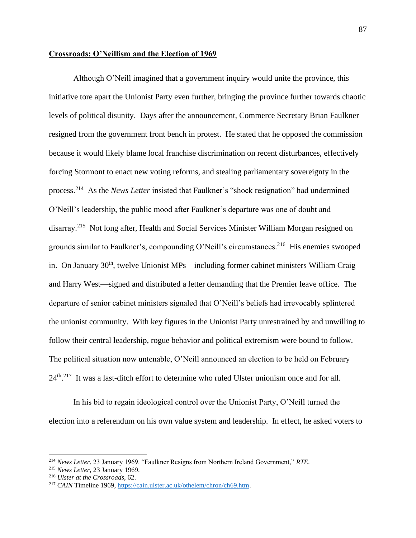#### **Crossroads: O'Neillism and the Election of 1969**

Although O'Neill imagined that a government inquiry would unite the province, this initiative tore apart the Unionist Party even further, bringing the province further towards chaotic levels of political disunity. Days after the announcement, Commerce Secretary Brian Faulkner resigned from the government front bench in protest. He stated that he opposed the commission because it would likely blame local franchise discrimination on recent disturbances, effectively forcing Stormont to enact new voting reforms, and stealing parliamentary sovereignty in the process.<sup>214</sup> As the *News Letter* insisted that Faulkner's "shock resignation" had undermined O'Neill's leadership, the public mood after Faulkner's departure was one of doubt and disarray.<sup>215</sup> Not long after, Health and Social Services Minister William Morgan resigned on grounds similar to Faulkner's, compounding O'Neill's circumstances.<sup>216</sup> His enemies swooped in. On January  $30<sup>th</sup>$ , twelve Unionist MPs—including former cabinet ministers William Craig and Harry West—signed and distributed a letter demanding that the Premier leave office. The departure of senior cabinet ministers signaled that O'Neill's beliefs had irrevocably splintered the unionist community. With key figures in the Unionist Party unrestrained by and unwilling to follow their central leadership, rogue behavior and political extremism were bound to follow. The political situation now untenable, O'Neill announced an election to be held on February 24<sup>th</sup>.<sup>217</sup> It was a last-ditch effort to determine who ruled Ulster unionism once and for all.

In his bid to regain ideological control over the Unionist Party, O'Neill turned the election into a referendum on his own value system and leadership. In effect, he asked voters to

<sup>214</sup> *News Letter*, 23 January 1969. "Faulkner Resigns from Northern Ireland Government," *RTE*.

<sup>215</sup> *News Letter*, 23 January 1969.

<sup>216</sup> *Ulster at the Crossroads*, 62.

<sup>217</sup> *CAIN* Timeline 1969, [https://cain.ulster.ac.uk/othelem/chron/ch69.htm.](https://cain.ulster.ac.uk/othelem/chron/ch69.htm)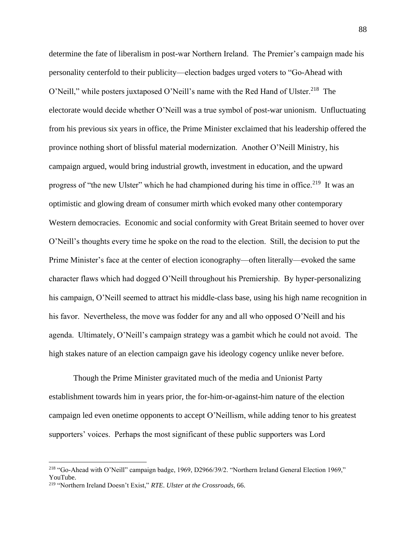determine the fate of liberalism in post-war Northern Ireland. The Premier's campaign made his personality centerfold to their publicity—election badges urged voters to "Go-Ahead with O'Neill," while posters juxtaposed O'Neill's name with the Red Hand of Ulster.<sup>218</sup> The electorate would decide whether O'Neill was a true symbol of post-war unionism. Unfluctuating from his previous six years in office, the Prime Minister exclaimed that his leadership offered the province nothing short of blissful material modernization. Another O'Neill Ministry, his campaign argued, would bring industrial growth, investment in education, and the upward progress of "the new Ulster" which he had championed during his time in office.<sup>219</sup> It was an optimistic and glowing dream of consumer mirth which evoked many other contemporary Western democracies. Economic and social conformity with Great Britain seemed to hover over O'Neill's thoughts every time he spoke on the road to the election. Still, the decision to put the Prime Minister's face at the center of election iconography—often literally—evoked the same character flaws which had dogged O'Neill throughout his Premiership. By hyper-personalizing his campaign, O'Neill seemed to attract his middle-class base, using his high name recognition in his favor. Nevertheless, the move was fodder for any and all who opposed O'Neill and his agenda. Ultimately, O'Neill's campaign strategy was a gambit which he could not avoid. The high stakes nature of an election campaign gave his ideology cogency unlike never before.

Though the Prime Minister gravitated much of the media and Unionist Party establishment towards him in years prior, the for-him-or-against-him nature of the election campaign led even onetime opponents to accept O'Neillism, while adding tenor to his greatest supporters' voices. Perhaps the most significant of these public supporters was Lord

<sup>218</sup> "Go-Ahead with O'Neill" campaign badge, 1969, D2966/39/2. "Northern Ireland General Election 1969," YouTube.

<sup>219</sup> "Northern Ireland Doesn't Exist," *RTE*. *Ulster at the Crossroads*, 66.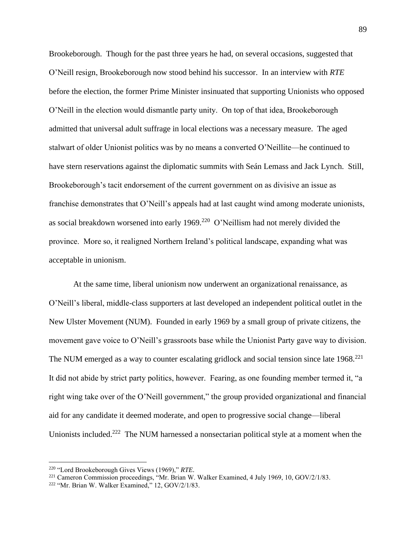Brookeborough. Though for the past three years he had, on several occasions, suggested that O'Neill resign, Brookeborough now stood behind his successor. In an interview with *RTE* before the election, the former Prime Minister insinuated that supporting Unionists who opposed O'Neill in the election would dismantle party unity. On top of that idea, Brookeborough admitted that universal adult suffrage in local elections was a necessary measure. The aged stalwart of older Unionist politics was by no means a converted O'Neillite—he continued to have stern reservations against the diplomatic summits with Seán Lemass and Jack Lynch. Still, Brookeborough's tacit endorsement of the current government on as divisive an issue as franchise demonstrates that O'Neill's appeals had at last caught wind among moderate unionists, as social breakdown worsened into early  $1969$ .<sup>220</sup> O'Neillism had not merely divided the province. More so, it realigned Northern Ireland's political landscape, expanding what was acceptable in unionism.

At the same time, liberal unionism now underwent an organizational renaissance, as O'Neill's liberal, middle-class supporters at last developed an independent political outlet in the New Ulster Movement (NUM). Founded in early 1969 by a small group of private citizens, the movement gave voice to O'Neill's grassroots base while the Unionist Party gave way to division. The NUM emerged as a way to counter escalating gridlock and social tension since late  $1968$ <sup>221</sup> It did not abide by strict party politics, however. Fearing, as one founding member termed it, "a right wing take over of the O'Neill government," the group provided organizational and financial aid for any candidate it deemed moderate, and open to progressive social change—liberal Unionists included.<sup>222</sup> The NUM harnessed a nonsectarian political style at a moment when the

<sup>220</sup> "Lord Brookeborough Gives Views (1969)," *RTE*.

<sup>&</sup>lt;sup>221</sup> Cameron Commission proceedings, "Mr. Brian W. Walker Examined, 4 July 1969, 10, GOV/2/1/83.

<sup>222</sup> "Mr. Brian W. Walker Examined," 12, GOV/2/1/83.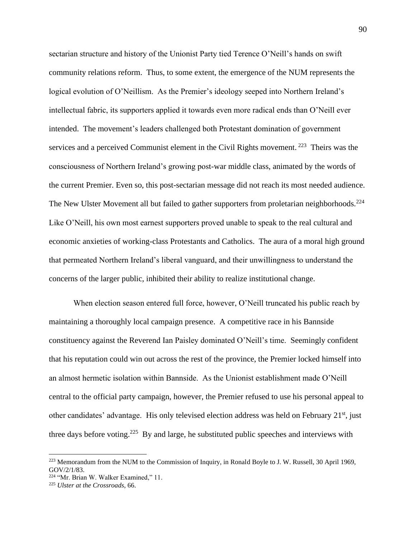sectarian structure and history of the Unionist Party tied Terence O'Neill's hands on swift community relations reform. Thus, to some extent, the emergence of the NUM represents the logical evolution of O'Neillism. As the Premier's ideology seeped into Northern Ireland's intellectual fabric, its supporters applied it towards even more radical ends than O'Neill ever intended. The movement's leaders challenged both Protestant domination of government services and a perceived Communist element in the Civil Rights movement.<sup>223</sup> Theirs was the consciousness of Northern Ireland's growing post-war middle class, animated by the words of the current Premier. Even so, this post-sectarian message did not reach its most needed audience. The New Ulster Movement all but failed to gather supporters from proletarian neighborhoods.<sup>224</sup> Like O'Neill, his own most earnest supporters proved unable to speak to the real cultural and economic anxieties of working-class Protestants and Catholics. The aura of a moral high ground that permeated Northern Ireland's liberal vanguard, and their unwillingness to understand the concerns of the larger public, inhibited their ability to realize institutional change.

When election season entered full force, however, O'Neill truncated his public reach by maintaining a thoroughly local campaign presence. A competitive race in his Bannside constituency against the Reverend Ian Paisley dominated O'Neill's time. Seemingly confident that his reputation could win out across the rest of the province, the Premier locked himself into an almost hermetic isolation within Bannside. As the Unionist establishment made O'Neill central to the official party campaign, however, the Premier refused to use his personal appeal to other candidates' advantage. His only televised election address was held on February 21<sup>st</sup>, just three days before voting.<sup>225</sup> By and large, he substituted public speeches and interviews with

<sup>&</sup>lt;sup>223</sup> Memorandum from the NUM to the Commission of Inquiry, in Ronald Boyle to J. W. Russell, 30 April 1969, GOV/2/1/83.

<sup>224</sup> "Mr. Brian W. Walker Examined," 11.

<sup>225</sup> *Ulster at the Crossroads*, 66.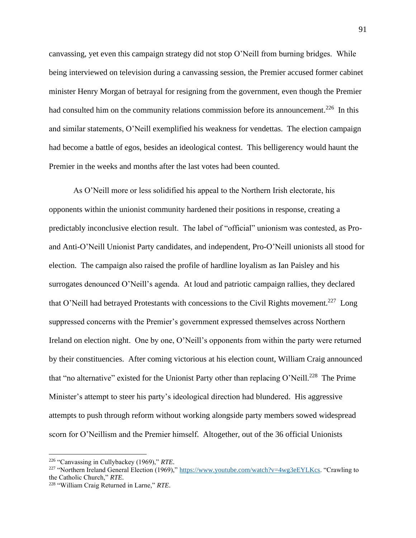canvassing, yet even this campaign strategy did not stop O'Neill from burning bridges. While being interviewed on television during a canvassing session, the Premier accused former cabinet minister Henry Morgan of betrayal for resigning from the government, even though the Premier had consulted him on the community relations commission before its announcement.<sup>226</sup> In this and similar statements, O'Neill exemplified his weakness for vendettas. The election campaign had become a battle of egos, besides an ideological contest. This belligerency would haunt the Premier in the weeks and months after the last votes had been counted.

As O'Neill more or less solidified his appeal to the Northern Irish electorate, his opponents within the unionist community hardened their positions in response, creating a predictably inconclusive election result. The label of "official" unionism was contested, as Proand Anti-O'Neill Unionist Party candidates, and independent, Pro-O'Neill unionists all stood for election. The campaign also raised the profile of hardline loyalism as Ian Paisley and his surrogates denounced O'Neill's agenda. At loud and patriotic campaign rallies, they declared that O'Neill had betrayed Protestants with concessions to the Civil Rights movement.<sup>227</sup> Long suppressed concerns with the Premier's government expressed themselves across Northern Ireland on election night. One by one, O'Neill's opponents from within the party were returned by their constituencies. After coming victorious at his election count, William Craig announced that "no alternative" existed for the Unionist Party other than replacing O'Neill.<sup>228</sup> The Prime Minister's attempt to steer his party's ideological direction had blundered. His aggressive attempts to push through reform without working alongside party members sowed widespread scorn for O'Neillism and the Premier himself. Altogether, out of the 36 official Unionists

<sup>226</sup> "Canvassing in Cullybackey (1969)," *RTE*.

<sup>&</sup>lt;sup>227</sup> "Northern Ireland General Election (1969)," [https://www.youtube.com/watch?v=4wg3eEYLKcs.](https://www.youtube.com/watch?v=4wg3eEYLKcs) "Crawling to the Catholic Church," *RTE*.

<sup>228</sup> "William Craig Returned in Larne," *RTE*.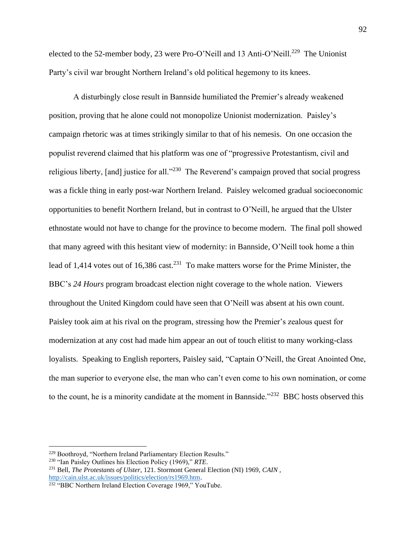elected to the 52-member body, 23 were Pro-O'Neill and 13 Anti-O'Neill.<sup>229</sup> The Unionist Party's civil war brought Northern Ireland's old political hegemony to its knees.

A disturbingly close result in Bannside humiliated the Premier's already weakened position, proving that he alone could not monopolize Unionist modernization. Paisley's campaign rhetoric was at times strikingly similar to that of his nemesis. On one occasion the populist reverend claimed that his platform was one of "progressive Protestantism, civil and religious liberty, [and] justice for all."<sup>230</sup> The Reverend's campaign proved that social progress was a fickle thing in early post-war Northern Ireland. Paisley welcomed gradual socioeconomic opportunities to benefit Northern Ireland, but in contrast to O'Neill, he argued that the Ulster ethnostate would not have to change for the province to become modern. The final poll showed that many agreed with this hesitant view of modernity: in Bannside, O'Neill took home a thin lead of 1,414 votes out of 16,386 cast.<sup>231</sup> To make matters worse for the Prime Minister, the BBC's *24 Hours* program broadcast election night coverage to the whole nation. Viewers throughout the United Kingdom could have seen that O'Neill was absent at his own count. Paisley took aim at his rival on the program, stressing how the Premier's zealous quest for modernization at any cost had made him appear an out of touch elitist to many working-class loyalists. Speaking to English reporters, Paisley said, "Captain O'Neill, the Great Anointed One, the man superior to everyone else, the man who can't even come to his own nomination, or come to the count, he is a minority candidate at the moment in Bannside."<sup>232</sup> BBC hosts observed this

<sup>229</sup> Boothroyd, "Northern Ireland Parliamentary Election Results."

<sup>230</sup> "Ian Paisley Outlines his Election Policy (1969)," *RTE*.

<sup>231</sup> Bell, *The Protestants of Ulster*, 121. Stormont General Election (NI) 1969, *CAIN* , [http://cain.ulst.ac.uk/issues/politics/election/rs1969.htm.](http://cain.ulst.ac.uk/issues/politics/election/rs1969.htm)

<sup>&</sup>lt;sup>232</sup> "BBC Northern Ireland Election Coverage 1969," YouTube.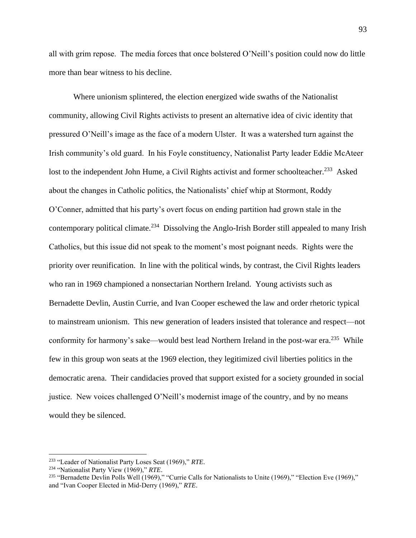all with grim repose. The media forces that once bolstered O'Neill's position could now do little more than bear witness to his decline.

Where unionism splintered, the election energized wide swaths of the Nationalist community, allowing Civil Rights activists to present an alternative idea of civic identity that pressured O'Neill's image as the face of a modern Ulster. It was a watershed turn against the Irish community's old guard. In his Foyle constituency, Nationalist Party leader Eddie McAteer lost to the independent John Hume, a Civil Rights activist and former schoolteacher.<sup>233</sup> Asked about the changes in Catholic politics, the Nationalists' chief whip at Stormont, Roddy O'Conner, admitted that his party's overt focus on ending partition had grown stale in the contemporary political climate.<sup>234</sup> Dissolving the Anglo-Irish Border still appealed to many Irish Catholics, but this issue did not speak to the moment's most poignant needs. Rights were the priority over reunification. In line with the political winds, by contrast, the Civil Rights leaders who ran in 1969 championed a nonsectarian Northern Ireland. Young activists such as Bernadette Devlin, Austin Currie, and Ivan Cooper eschewed the law and order rhetoric typical to mainstream unionism. This new generation of leaders insisted that tolerance and respect—not conformity for harmony's sake—would best lead Northern Ireland in the post-war era.<sup>235</sup> While few in this group won seats at the 1969 election, they legitimized civil liberties politics in the democratic arena. Their candidacies proved that support existed for a society grounded in social justice. New voices challenged O'Neill's modernist image of the country, and by no means would they be silenced.

<sup>233</sup> "Leader of Nationalist Party Loses Seat (1969)," *RTE*.

<sup>234</sup> "Nationalist Party View (1969)," *RTE*.

<sup>&</sup>lt;sup>235</sup> "Bernadette Devlin Polls Well (1969)," "Currie Calls for Nationalists to Unite (1969)," "Election Eve (1969)," and "Ivan Cooper Elected in Mid-Derry (1969)," *RTE*.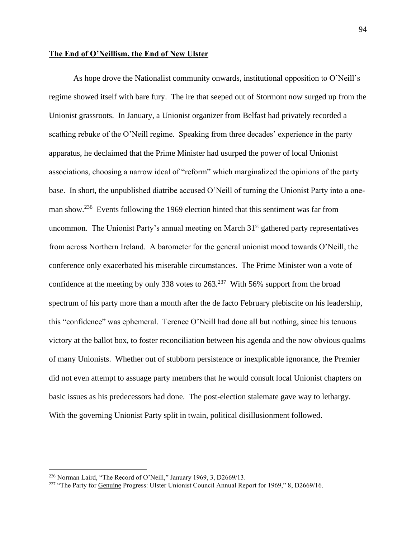#### **The End of O'Neillism, the End of New Ulster**

As hope drove the Nationalist community onwards, institutional opposition to O'Neill's regime showed itself with bare fury. The ire that seeped out of Stormont now surged up from the Unionist grassroots. In January, a Unionist organizer from Belfast had privately recorded a scathing rebuke of the O'Neill regime. Speaking from three decades' experience in the party apparatus, he declaimed that the Prime Minister had usurped the power of local Unionist associations, choosing a narrow ideal of "reform" which marginalized the opinions of the party base. In short, the unpublished diatribe accused O'Neill of turning the Unionist Party into a oneman show.<sup>236</sup> Events following the 1969 election hinted that this sentiment was far from uncommon. The Unionist Party's annual meeting on March  $31<sup>st</sup>$  gathered party representatives from across Northern Ireland. A barometer for the general unionist mood towards O'Neill, the conference only exacerbated his miserable circumstances. The Prime Minister won a vote of confidence at the meeting by only 338 votes to  $263<sup>237</sup>$  With 56% support from the broad spectrum of his party more than a month after the de facto February plebiscite on his leadership, this "confidence" was ephemeral. Terence O'Neill had done all but nothing, since his tenuous victory at the ballot box, to foster reconciliation between his agenda and the now obvious qualms of many Unionists. Whether out of stubborn persistence or inexplicable ignorance, the Premier did not even attempt to assuage party members that he would consult local Unionist chapters on basic issues as his predecessors had done. The post-election stalemate gave way to lethargy. With the governing Unionist Party split in twain, political disillusionment followed.

<sup>236</sup> Norman Laird, "The Record of O'Neill," January 1969, 3, D2669/13.

<sup>&</sup>lt;sup>237</sup> "The Party for Genuine Progress: Ulster Unionist Council Annual Report for 1969," 8, D2669/16.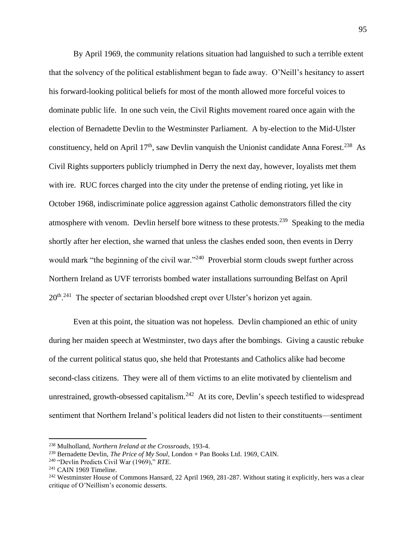By April 1969, the community relations situation had languished to such a terrible extent that the solvency of the political establishment began to fade away. O'Neill's hesitancy to assert his forward-looking political beliefs for most of the month allowed more forceful voices to dominate public life. In one such vein, the Civil Rights movement roared once again with the election of Bernadette Devlin to the Westminster Parliament. A by-election to the Mid-Ulster constituency, held on April  $17<sup>th</sup>$ , saw Devlin vanquish the Unionist candidate Anna Forest.<sup>238</sup> As Civil Rights supporters publicly triumphed in Derry the next day, however, loyalists met them with ire. RUC forces charged into the city under the pretense of ending rioting, yet like in October 1968, indiscriminate police aggression against Catholic demonstrators filled the city atmosphere with venom. Devlin herself bore witness to these protests.<sup>239</sup> Speaking to the media shortly after her election, she warned that unless the clashes ended soon, then events in Derry would mark "the beginning of the civil war."<sup>240</sup> Proverbial storm clouds swept further across Northern Ireland as UVF terrorists bombed water installations surrounding Belfast on April 20<sup>th</sup>.<sup>241</sup> The specter of sectarian bloodshed crept over Ulster's horizon yet again.

Even at this point, the situation was not hopeless. Devlin championed an ethic of unity during her maiden speech at Westminster, two days after the bombings. Giving a caustic rebuke of the current political status quo, she held that Protestants and Catholics alike had become second-class citizens. They were all of them victims to an elite motivated by clientelism and unrestrained, growth-obsessed capitalism.<sup>242</sup> At its core, Devlin's speech testified to widespread sentiment that Northern Ireland's political leaders did not listen to their constituents—sentiment

<sup>238</sup> Mulholland, *Northern Ireland at the Crossroads*, 193-4.

<sup>239</sup> Bernadette Devlin, *The Price of My Soul*, London + Pan Books Ltd. 1969, CAIN.

<sup>240</sup> "Devlin Predicts Civil War (1969)," *RTE*.

<sup>241</sup> CAIN 1969 Timeline.

<sup>&</sup>lt;sup>242</sup> Westminster House of Commons Hansard, 22 April 1969, 281-287. Without stating it explicitly, hers was a clear critique of O'Neillism's economic desserts.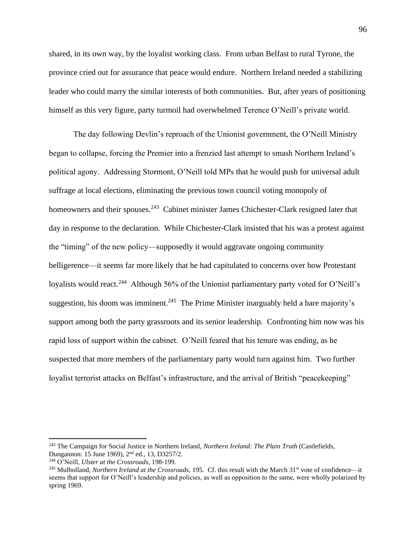shared, in its own way, by the loyalist working class. From urban Belfast to rural Tyrone, the province cried out for assurance that peace would endure. Northern Ireland needed a stabilizing leader who could marry the similar interests of both communities. But, after years of positioning himself as this very figure, party turmoil had overwhelmed Terence O'Neill's private world.

The day following Devlin's reproach of the Unionist government, the O'Neill Ministry began to collapse, forcing the Premier into a frenzied last attempt to smash Northern Ireland's political agony. Addressing Stormont, O'Neill told MPs that he would push for universal adult suffrage at local elections, eliminating the previous town council voting monopoly of homeowners and their spouses.<sup>243</sup> Cabinet minister James Chichester-Clark resigned later that day in response to the declaration. While Chichester-Clark insisted that his was a protest against the "timing" of the new policy—supposedly it would aggravate ongoing community belligerence—it seems far more likely that he had capitulated to concerns over how Protestant loyalists would react.<sup>244</sup> Although 56% of the Unionist parliamentary party voted for O'Neill's suggestion, his doom was imminent.<sup>245</sup> The Prime Minister inarguably held a bare majority's support among both the party grassroots and its senior leadership. Confronting him now was his rapid loss of support within the cabinet. O'Neill feared that his tenure was ending, as he suspected that more members of the parliamentary party would turn against him. Two further loyalist terrorist attacks on Belfast's infrastructure, and the arrival of British "peacekeeping"

<sup>243</sup> The Campaign for Social Justice in Northern Ireland, *Northern Ireland: The Plain Truth* (Castlefields, Dungannon: 15 June 1969), 2nd ed., 13, D3257/2.

<sup>244</sup> O'Neill, *Ulster at the Crossroads*, 198-199.

<sup>&</sup>lt;sup>245</sup> Mulholland, *Northern Ireland at the Crossroads*, 195. Cf. this result with the March 31<sup>st</sup> vote of confidence—it seems that support for O'Neill's leadership and policies, as well as opposition to the same, were wholly polarized by spring 1969.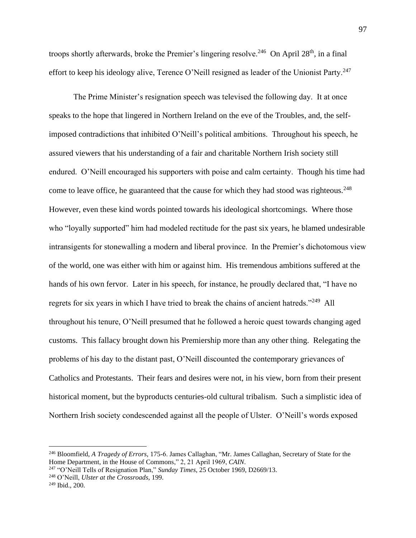troops shortly afterwards, broke the Premier's lingering resolve.<sup>246</sup> On April  $28<sup>th</sup>$ , in a final effort to keep his ideology alive, Terence O'Neill resigned as leader of the Unionist Party.<sup>247</sup>

The Prime Minister's resignation speech was televised the following day. It at once speaks to the hope that lingered in Northern Ireland on the eve of the Troubles, and, the selfimposed contradictions that inhibited O'Neill's political ambitions. Throughout his speech, he assured viewers that his understanding of a fair and charitable Northern Irish society still endured. O'Neill encouraged his supporters with poise and calm certainty. Though his time had come to leave office, he guaranteed that the cause for which they had stood was righteous.<sup>248</sup> However, even these kind words pointed towards his ideological shortcomings. Where those who "loyally supported" him had modeled rectitude for the past six years, he blamed undesirable intransigents for stonewalling a modern and liberal province. In the Premier's dichotomous view of the world, one was either with him or against him. His tremendous ambitions suffered at the hands of his own fervor. Later in his speech, for instance, he proudly declared that, "I have no regrets for six years in which I have tried to break the chains of ancient hatreds."<sup>249</sup> All throughout his tenure, O'Neill presumed that he followed a heroic quest towards changing aged customs. This fallacy brought down his Premiership more than any other thing. Relegating the problems of his day to the distant past, O'Neill discounted the contemporary grievances of Catholics and Protestants. Their fears and desires were not, in his view, born from their present historical moment, but the byproducts centuries-old cultural tribalism. Such a simplistic idea of Northern Irish society condescended against all the people of Ulster. O'Neill's words exposed

<sup>248</sup> O'Neill, *Ulster at the Crossroads*, 199.

<sup>246</sup> Bloomfield, *A Tragedy of Errors*, 175-6. James Callaghan, "Mr. James Callaghan, Secretary of State for the Home Department, in the House of Commons," 2, 21 April 1969, *CAIN*.

<sup>247</sup> "O'Neill Tells of Resignation Plan," *Sunday Times*, 25 October 1969, D2669/13.

<sup>249</sup> Ibid., 200.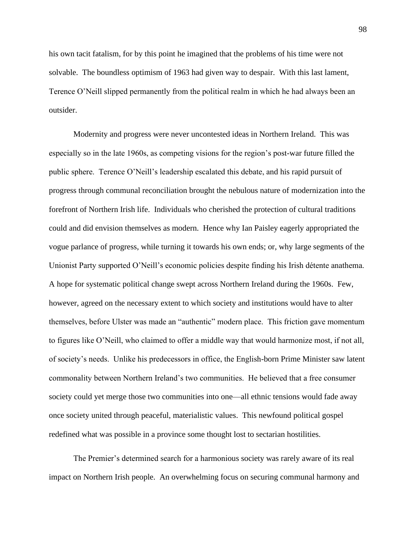his own tacit fatalism, for by this point he imagined that the problems of his time were not solvable. The boundless optimism of 1963 had given way to despair. With this last lament, Terence O'Neill slipped permanently from the political realm in which he had always been an outsider.

Modernity and progress were never uncontested ideas in Northern Ireland. This was especially so in the late 1960s, as competing visions for the region's post-war future filled the public sphere. Terence O'Neill's leadership escalated this debate, and his rapid pursuit of progress through communal reconciliation brought the nebulous nature of modernization into the forefront of Northern Irish life. Individuals who cherished the protection of cultural traditions could and did envision themselves as modern. Hence why Ian Paisley eagerly appropriated the vogue parlance of progress, while turning it towards his own ends; or, why large segments of the Unionist Party supported O'Neill's economic policies despite finding his Irish détente anathema. A hope for systematic political change swept across Northern Ireland during the 1960s. Few, however, agreed on the necessary extent to which society and institutions would have to alter themselves, before Ulster was made an "authentic" modern place. This friction gave momentum to figures like O'Neill, who claimed to offer a middle way that would harmonize most, if not all, of society's needs. Unlike his predecessors in office, the English-born Prime Minister saw latent commonality between Northern Ireland's two communities. He believed that a free consumer society could yet merge those two communities into one—all ethnic tensions would fade away once society united through peaceful, materialistic values. This newfound political gospel redefined what was possible in a province some thought lost to sectarian hostilities.

The Premier's determined search for a harmonious society was rarely aware of its real impact on Northern Irish people. An overwhelming focus on securing communal harmony and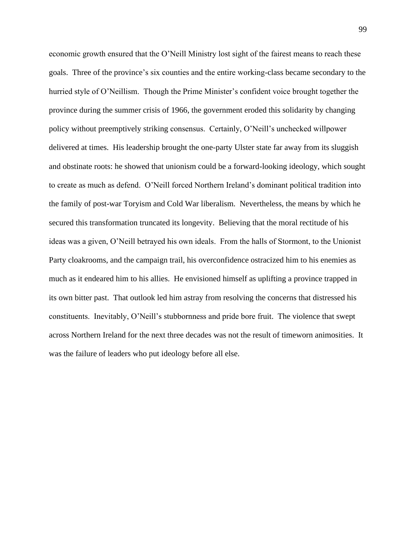economic growth ensured that the O'Neill Ministry lost sight of the fairest means to reach these goals. Three of the province's six counties and the entire working-class became secondary to the hurried style of O'Neillism. Though the Prime Minister's confident voice brought together the province during the summer crisis of 1966, the government eroded this solidarity by changing policy without preemptively striking consensus. Certainly, O'Neill's unchecked willpower delivered at times. His leadership brought the one-party Ulster state far away from its sluggish and obstinate roots: he showed that unionism could be a forward-looking ideology, which sought to create as much as defend. O'Neill forced Northern Ireland's dominant political tradition into the family of post-war Toryism and Cold War liberalism. Nevertheless, the means by which he secured this transformation truncated its longevity. Believing that the moral rectitude of his ideas was a given, O'Neill betrayed his own ideals. From the halls of Stormont, to the Unionist Party cloakrooms, and the campaign trail, his overconfidence ostracized him to his enemies as much as it endeared him to his allies. He envisioned himself as uplifting a province trapped in its own bitter past. That outlook led him astray from resolving the concerns that distressed his constituents. Inevitably, O'Neill's stubbornness and pride bore fruit. The violence that swept across Northern Ireland for the next three decades was not the result of timeworn animosities. It was the failure of leaders who put ideology before all else.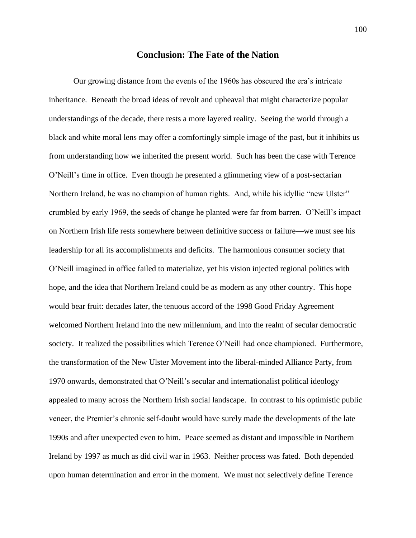# **Conclusion: The Fate of the Nation**

Our growing distance from the events of the 1960s has obscured the era's intricate inheritance. Beneath the broad ideas of revolt and upheaval that might characterize popular understandings of the decade, there rests a more layered reality. Seeing the world through a black and white moral lens may offer a comfortingly simple image of the past, but it inhibits us from understanding how we inherited the present world. Such has been the case with Terence O'Neill's time in office. Even though he presented a glimmering view of a post-sectarian Northern Ireland, he was no champion of human rights. And, while his idyllic "new Ulster" crumbled by early 1969, the seeds of change he planted were far from barren. O'Neill's impact on Northern Irish life rests somewhere between definitive success or failure—we must see his leadership for all its accomplishments and deficits. The harmonious consumer society that O'Neill imagined in office failed to materialize, yet his vision injected regional politics with hope, and the idea that Northern Ireland could be as modern as any other country. This hope would bear fruit: decades later, the tenuous accord of the 1998 Good Friday Agreement welcomed Northern Ireland into the new millennium, and into the realm of secular democratic society. It realized the possibilities which Terence O'Neill had once championed. Furthermore, the transformation of the New Ulster Movement into the liberal-minded Alliance Party, from 1970 onwards, demonstrated that O'Neill's secular and internationalist political ideology appealed to many across the Northern Irish social landscape. In contrast to his optimistic public veneer, the Premier's chronic self-doubt would have surely made the developments of the late 1990s and after unexpected even to him. Peace seemed as distant and impossible in Northern Ireland by 1997 as much as did civil war in 1963. Neither process was fated. Both depended upon human determination and error in the moment. We must not selectively define Terence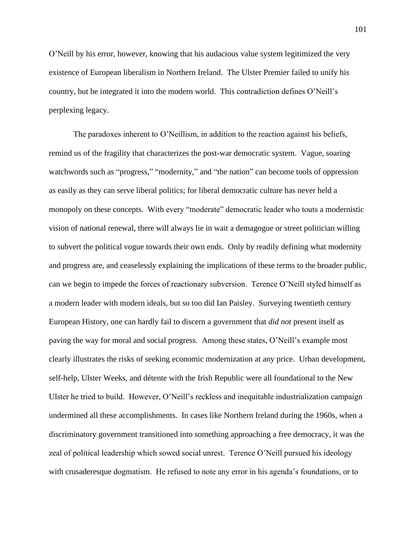O'Neill by his error, however, knowing that his audacious value system legitimized the very existence of European liberalism in Northern Ireland. The Ulster Premier failed to unify his country, but he integrated it into the modern world. This contradiction defines O'Neill's perplexing legacy.

The paradoxes inherent to O'Neillism, in addition to the reaction against his beliefs, remind us of the fragility that characterizes the post-war democratic system. Vague, soaring watchwords such as "progress," "modernity," and "the nation" can become tools of oppression as easily as they can serve liberal politics; for liberal democratic culture has never held a monopoly on these concepts. With every "moderate" democratic leader who touts a modernistic vision of national renewal, there will always lie in wait a demagogue or street politician willing to subvert the political vogue towards their own ends. Only by readily defining what modernity and progress are, and ceaselessly explaining the implications of these terms to the broader public, can we begin to impede the forces of reactionary subversion. Terence O'Neill styled himself as a modern leader with modern ideals, but so too did Ian Paisley. Surveying twentieth century European History, one can hardly fail to discern a government that *did not* present itself as paving the way for moral and social progress. Among these states, O'Neill's example most clearly illustrates the risks of seeking economic modernization at any price. Urban development, self-help, Ulster Weeks, and détente with the Irish Republic were all foundational to the New Ulster he tried to build. However, O'Neill's reckless and inequitable industrialization campaign undermined all these accomplishments. In cases like Northern Ireland during the 1960s, when a discriminatory government transitioned into something approaching a free democracy, it was the zeal of political leadership which sowed social unrest. Terence O'Neill pursued his ideology with crusaderesque dogmatism. He refused to note any error in his agenda's foundations, or to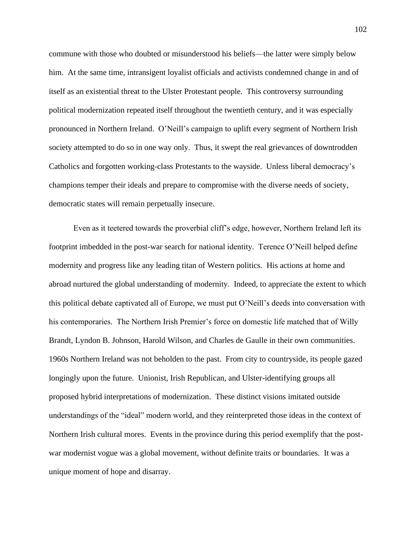commune with those who doubted or misunderstood his beliefs—the latter were simply below him. At the same time, intransigent loyalist officials and activists condemned change in and of itself as an existential threat to the Ulster Protestant people. This controversy surrounding political modernization repeated itself throughout the twentieth century, and it was especially pronounced in Northern Ireland. O'Neill's campaign to uplift every segment of Northern Irish society attempted to do so in one way only. Thus, it swept the real grievances of downtrodden Catholics and forgotten working-class Protestants to the wayside. Unless liberal democracy's champions temper their ideals and prepare to compromise with the diverse needs of society, democratic states will remain perpetually insecure.

Even as it teetered towards the proverbial cliff's edge, however, Northern Ireland left its footprint imbedded in the post-war search for national identity. Terence O'Neill helped define modernity and progress like any leading titan of Western politics. His actions at home and abroad nurtured the global understanding of modernity. Indeed, to appreciate the extent to which this political debate captivated all of Europe, we must put O'Neill's deeds into conversation with his contemporaries. The Northern Irish Premier's force on domestic life matched that of Willy Brandt, Lyndon B. Johnson, Harold Wilson, and Charles de Gaulle in their own communities. 1960s Northern Ireland was not beholden to the past. From city to countryside, its people gazed longingly upon the future. Unionist, Irish Republican, and Ulster-identifying groups all proposed hybrid interpretations of modernization. These distinct visions imitated outside understandings of the "ideal" modern world, and they reinterpreted those ideas in the context of Northern Irish cultural mores. Events in the province during this period exemplify that the postwar modernist vogue was a global movement, without definite traits or boundaries. It was a unique moment of hope and disarray.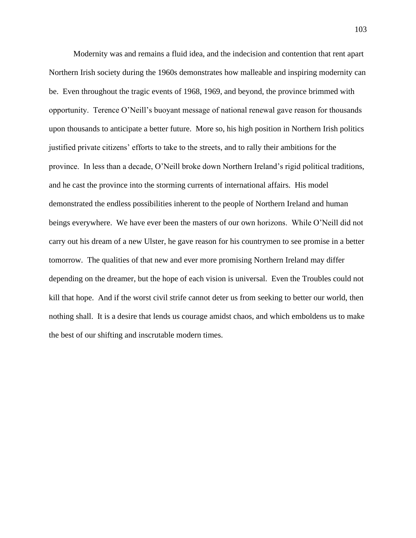Modernity was and remains a fluid idea, and the indecision and contention that rent apart Northern Irish society during the 1960s demonstrates how malleable and inspiring modernity can be. Even throughout the tragic events of 1968, 1969, and beyond, the province brimmed with opportunity. Terence O'Neill's buoyant message of national renewal gave reason for thousands upon thousands to anticipate a better future. More so, his high position in Northern Irish politics justified private citizens' efforts to take to the streets, and to rally their ambitions for the province. In less than a decade, O'Neill broke down Northern Ireland's rigid political traditions, and he cast the province into the storming currents of international affairs. His model demonstrated the endless possibilities inherent to the people of Northern Ireland and human beings everywhere. We have ever been the masters of our own horizons. While O'Neill did not carry out his dream of a new Ulster, he gave reason for his countrymen to see promise in a better tomorrow. The qualities of that new and ever more promising Northern Ireland may differ depending on the dreamer, but the hope of each vision is universal. Even the Troubles could not kill that hope. And if the worst civil strife cannot deter us from seeking to better our world, then nothing shall. It is a desire that lends us courage amidst chaos, and which emboldens us to make the best of our shifting and inscrutable modern times.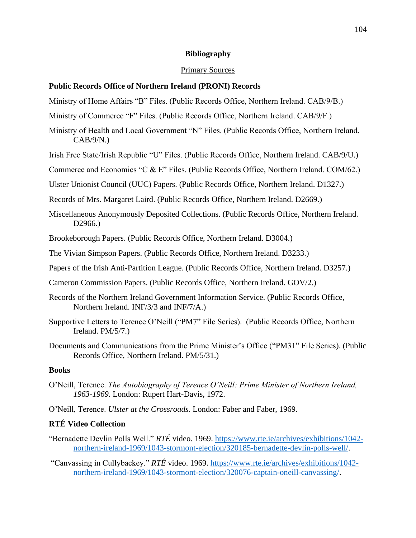### **Bibliography**

#### Primary Sources

### **Public Records Office of Northern Ireland (PRONI) Records**

- Ministry of Home Affairs "B" Files. (Public Records Office, Northern Ireland. CAB/9/B.)
- Ministry of Commerce "F" Files. (Public Records Office, Northern Ireland. CAB/9/F.)
- Ministry of Health and Local Government "N" Files. (Public Records Office, Northern Ireland.  $CAB/9/N.$
- Irish Free State/Irish Republic "U" Files. (Public Records Office, Northern Ireland. CAB/9/U.)
- Commerce and Economics "C & E" Files. (Public Records Office, Northern Ireland. COM/62.)
- Ulster Unionist Council (UUC) Papers. (Public Records Office, Northern Ireland. D1327.)
- Records of Mrs. Margaret Laird. (Public Records Office, Northern Ireland. D2669.)
- Miscellaneous Anonymously Deposited Collections. (Public Records Office, Northern Ireland. D2966.)
- Brookeborough Papers. (Public Records Office, Northern Ireland. D3004.)
- The Vivian Simpson Papers. (Public Records Office, Northern Ireland. D3233.)
- Papers of the Irish Anti-Partition League. (Public Records Office, Northern Ireland. D3257.)
- Cameron Commission Papers. (Public Records Office, Northern Ireland. GOV/2.)
- Records of the Northern Ireland Government Information Service. (Public Records Office, Northern Ireland. INF/3/3 and INF/7/A.)
- Supportive Letters to Terence O'Neill ("PM7" File Series). (Public Records Office, Northern Ireland. PM/5/7.)
- Documents and Communications from the Prime Minister's Office ("PM31" File Series). (Public Records Office, Northern Ireland. PM/5/31.)

# **Books**

- O'Neill, Terence. *The Autobiography of Terence O'Neill: Prime Minister of Northern Ireland, 1963-1969*. London: Rupert Hart-Davis, 1972.
- O'Neill, Terence. *Ulster at the Crossroads*. London: Faber and Faber, 1969.

# **RTÉ Video Collection**

- "Bernadette Devlin Polls Well." *RTÉ* video. 1969. [https://www.rte.ie/archives/exhibitions/1042](https://www.rte.ie/archives/exhibitions/1042-northern-ireland-1969/1043-stormont-election/320185-bernadette-devlin-polls-well/) [northern-ireland-1969/1043-stormont-election/320185-bernadette-devlin-polls-well/.](https://www.rte.ie/archives/exhibitions/1042-northern-ireland-1969/1043-stormont-election/320185-bernadette-devlin-polls-well/)
- "Canvassing in Cullybackey." *RTÉ* video. 1969. [https://www.rte.ie/archives/exhibitions/1042](https://www.rte.ie/archives/exhibitions/1042-northern-ireland-1969/1043-stormont-election/320076-captain-oneill-canvassing/) [northern-ireland-1969/1043-stormont-election/320076-captain-oneill-canvassing/.](https://www.rte.ie/archives/exhibitions/1042-northern-ireland-1969/1043-stormont-election/320076-captain-oneill-canvassing/)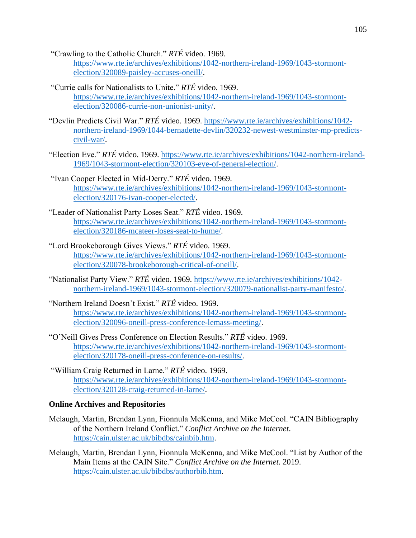"Crawling to the Catholic Church." *RTÉ* video. 1969.

[https://www.rte.ie/archives/exhibitions/1042-northern-ireland-1969/1043-stormont](https://www.rte.ie/archives/exhibitions/1042-northern-ireland-1969/1043-stormont-election/320089-paisley-accuses-oneill/)[election/320089-paisley-accuses-oneill/.](https://www.rte.ie/archives/exhibitions/1042-northern-ireland-1969/1043-stormont-election/320089-paisley-accuses-oneill/)

- "Currie calls for Nationalists to Unite." *RTÉ* video. 1969. [https://www.rte.ie/archives/exhibitions/1042-northern-ireland-1969/1043-stormont](https://www.rte.ie/archives/exhibitions/1042-northern-ireland-1969/1043-stormont-election/320086-currie-non-unionist-unity/)[election/320086-currie-non-unionist-unity/.](https://www.rte.ie/archives/exhibitions/1042-northern-ireland-1969/1043-stormont-election/320086-currie-non-unionist-unity/)
- "Devlin Predicts Civil War." *RTÉ* video. 1969. [https://www.rte.ie/archives/exhibitions/1042](https://www.rte.ie/archives/exhibitions/1042-northern-ireland-1969/1044-bernadette-devlin/320232-newest-westminster-mp-predicts-civil-war/) [northern-ireland-1969/1044-bernadette-devlin/320232-newest-westminster-mp-predicts](https://www.rte.ie/archives/exhibitions/1042-northern-ireland-1969/1044-bernadette-devlin/320232-newest-westminster-mp-predicts-civil-war/)[civil-war/.](https://www.rte.ie/archives/exhibitions/1042-northern-ireland-1969/1044-bernadette-devlin/320232-newest-westminster-mp-predicts-civil-war/)
- "Election Eve." *RTÉ* video. 1969. [https://www.rte.ie/archives/exhibitions/1042-northern-ireland-](https://www.rte.ie/archives/exhibitions/1042-northern-ireland-1969/1043-stormont-election/320103-eve-of-general-election/)[1969/1043-stormont-election/320103-eve-of-general-election/.](https://www.rte.ie/archives/exhibitions/1042-northern-ireland-1969/1043-stormont-election/320103-eve-of-general-election/)
- "Ivan Cooper Elected in Mid-Derry." *RTÉ* video. 1969. [https://www.rte.ie/archives/exhibitions/1042-northern-ireland-1969/1043-stormont](https://www.rte.ie/archives/exhibitions/1042-northern-ireland-1969/1043-stormont-election/320176-ivan-cooper-elected/)[election/320176-ivan-cooper-elected/.](https://www.rte.ie/archives/exhibitions/1042-northern-ireland-1969/1043-stormont-election/320176-ivan-cooper-elected/)
- "Leader of Nationalist Party Loses Seat." *RTÉ* video. 1969. [https://www.rte.ie/archives/exhibitions/1042-northern-ireland-1969/1043-stormont](https://www.rte.ie/archives/exhibitions/1042-northern-ireland-1969/1043-stormont-election/320186-mcateer-loses-seat-to-hume/)[election/320186-mcateer-loses-seat-to-hume/.](https://www.rte.ie/archives/exhibitions/1042-northern-ireland-1969/1043-stormont-election/320186-mcateer-loses-seat-to-hume/)
- "Lord Brookeborough Gives Views." *RTÉ* video. 1969. [https://www.rte.ie/archives/exhibitions/1042-northern-ireland-1969/1043-stormont](https://www.rte.ie/archives/exhibitions/1042-northern-ireland-1969/1043-stormont-election/320078-brookeborough-critical-of-oneill/)[election/320078-brookeborough-critical-of-oneill/.](https://www.rte.ie/archives/exhibitions/1042-northern-ireland-1969/1043-stormont-election/320078-brookeborough-critical-of-oneill/)
- "Nationalist Party View." *RTÉ* video. 1969. [https://www.rte.ie/archives/exhibitions/1042](https://www.rte.ie/archives/exhibitions/1042-northern-ireland-1969/1043-stormont-election/320079-nationalist-party-manifesto/) [northern-ireland-1969/1043-stormont-election/320079-nationalist-party-manifesto/.](https://www.rte.ie/archives/exhibitions/1042-northern-ireland-1969/1043-stormont-election/320079-nationalist-party-manifesto/)
- "Northern Ireland Doesn't Exist." *RTÉ* video. 1969. [https://www.rte.ie/archives/exhibitions/1042-northern-ireland-1969/1043-stormont](https://www.rte.ie/archives/exhibitions/1042-northern-ireland-1969/1043-stormont-election/320096-oneill-press-conference-lemass-meeting/)[election/320096-oneill-press-conference-lemass-meeting/.](https://www.rte.ie/archives/exhibitions/1042-northern-ireland-1969/1043-stormont-election/320096-oneill-press-conference-lemass-meeting/)
- "O'Neill Gives Press Conference on Election Results." *RTÉ* video. 1969. [https://www.rte.ie/archives/exhibitions/1042-northern-ireland-1969/1043-stormont](https://www.rte.ie/archives/exhibitions/1042-northern-ireland-1969/1043-stormont-election/320178-oneill-press-conference-on-results/)[election/320178-oneill-press-conference-on-results/.](https://www.rte.ie/archives/exhibitions/1042-northern-ireland-1969/1043-stormont-election/320178-oneill-press-conference-on-results/)
- "William Craig Returned in Larne." *RTÉ* video. 1969. [https://www.rte.ie/archives/exhibitions/1042-northern-ireland-1969/1043-stormont](https://www.rte.ie/archives/exhibitions/1042-northern-ireland-1969/1043-stormont-election/320128-craig-returned-in-larne/)[election/320128-craig-returned-in-larne/.](https://www.rte.ie/archives/exhibitions/1042-northern-ireland-1969/1043-stormont-election/320128-craig-returned-in-larne/)

# **Online Archives and Repositories**

- Melaugh, Martin, Brendan Lynn, Fionnula McKenna, and Mike McCool. "CAIN Bibliography of the Northern Ireland Conflict." *Conflict Archive on the Internet*. [https://cain.ulster.ac.uk/bibdbs/cainbib.htm.](https://cain.ulster.ac.uk/bibdbs/cainbib.htm)
- Melaugh, Martin, Brendan Lynn, Fionnula McKenna, and Mike McCool. "List by Author of the Main Items at the CAIN Site." *Conflict Archive on the Internet*. 2019. [https://cain.ulster.ac.uk/bibdbs/authorbib.htm.](https://cain.ulster.ac.uk/bibdbs/authorbib.htm)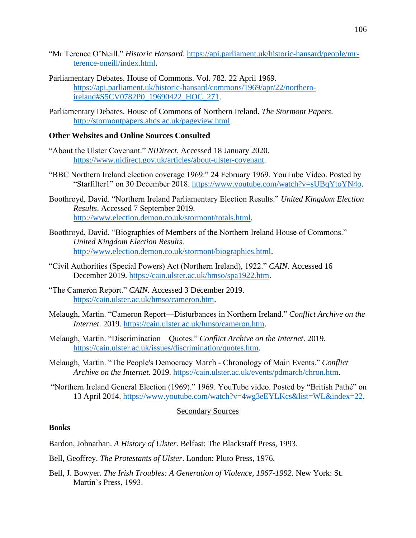- "Mr Terence O'Neill." *Historic Hansard*. [https://api.parliament.uk/historic-hansard/people/mr](https://api.parliament.uk/historic-hansard/people/mr-terence-oneill/index.html)[terence-oneill/index.html.](https://api.parliament.uk/historic-hansard/people/mr-terence-oneill/index.html)
- Parliamentary Debates. House of Commons. Vol. 782. 22 April 1969. [https://api.parliament.uk/historic-hansard/commons/1969/apr/22/northern](https://api.parliament.uk/historic-hansard/commons/1969/apr/22/northern-ireland#S5CV0782P0_19690422_HOC_271)[ireland#S5CV0782P0\\_19690422\\_HOC\\_271.](https://api.parliament.uk/historic-hansard/commons/1969/apr/22/northern-ireland#S5CV0782P0_19690422_HOC_271)
- Parliamentary Debates. House of Commons of Northern Ireland. *The Stormont Papers*. [http://stormontpapers.ahds.ac.uk/pageview.html.](http://stormontpapers.ahds.ac.uk/pageview.html)

### **Other Websites and Online Sources Consulted**

- "About the Ulster Covenant." *NIDirect*. Accessed 18 January 2020. [https://www.nidirect.gov.uk/articles/about-ulster-covenant.](https://www.nidirect.gov.uk/articles/about-ulster-covenant)
- "BBC Northern Ireland election coverage 1969." 24 February 1969. YouTube Video. Posted by "Starfilter1" on 30 December 2018. [https://www.youtube.com/watch?v=sUBqYtoYN4o.](https://www.youtube.com/watch?v=sUBqYtoYN4o)
- Boothroyd, David. "Northern Ireland Parliamentary Election Results." *United Kingdom Election Results*. Accessed 7 September 2019. [http://www.election.demon.co.uk/stormont/totals.html.](http://www.election.demon.co.uk/stormont/totals.html)
- Boothroyd, David. "Biographies of Members of the Northern Ireland House of Commons." *United Kingdom Election Results*. [http://www.election.demon.co.uk/stormont/biographies.html.](http://www.election.demon.co.uk/stormont/biographies.html)
- "Civil Authorities (Special Powers) Act (Northern Ireland), 1922." *CAIN*. Accessed 16 December 2019. [https://cain.ulster.ac.uk/hmso/spa1922.htm.](https://cain.ulster.ac.uk/hmso/spa1922.htm)
- "The Cameron Report." *CAIN*. Accessed 3 December 2019. [https://cain.ulster.ac.uk/hmso/cameron.htm.](https://cain.ulster.ac.uk/hmso/cameron.htm)
- Melaugh, Martin. "Cameron Report—Disturbances in Northern Ireland." *Conflict Archive on the Internet*. 2019. [https://cain.ulster.ac.uk/hmso/cameron.htm.](https://cain.ulster.ac.uk/hmso/cameron.htm)
- Melaugh, Martin. "Discrimination—Quotes." *Conflict Archive on the Internet*. 2019. [https://cain.ulster.ac.uk/issues/discrimination/quotes.htm.](https://cain.ulster.ac.uk/issues/discrimination/quotes.htm)
- Melaugh, Martin. "The People's Democracy March Chronology of Main Events." *Conflict Archive on the Internet*. 2019. [https://cain.ulster.ac.uk/events/pdmarch/chron.htm.](https://cain.ulster.ac.uk/events/pdmarch/chron.htm)
- "Northern Ireland General Election (1969)." 1969. YouTube video. Posted by "British Pathé" on 13 April 2014. [https://www.youtube.com/watch?v=4wg3eEYLKcs&list=WL&index=22.](https://www.youtube.com/watch?v=4wg3eEYLKcs&list=WL&index=22)

### Secondary Sources

### **Books**

Bardon, Johnathan. *A History of Ulster*. Belfast: The Blackstaff Press, 1993.

Bell, Geoffrey. *The Protestants of Ulster*. London: Pluto Press, 1976.

Bell, J. Bowyer. *The Irish Troubles: A Generation of Violence, 1967-1992*. New York: St. Martin's Press, 1993.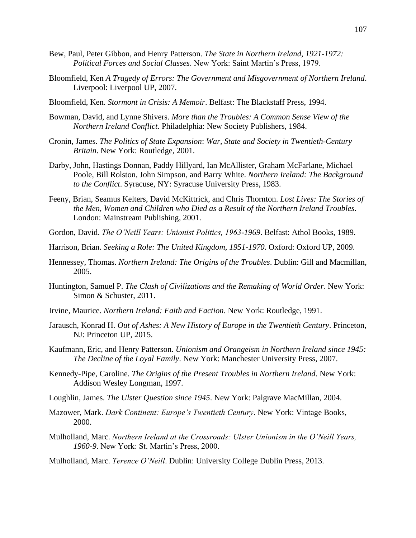- Bew, Paul, Peter Gibbon, and Henry Patterson. *The State in Northern Ireland, 1921-1972: Political Forces and Social Classes*. New York: Saint Martin's Press, 1979.
- Bloomfield, Ken *A Tragedy of Errors: The Government and Misgovernment of Northern Ireland*. Liverpool: Liverpool UP, 2007.
- Bloomfield, Ken. *Stormont in Crisis: A Memoir*. Belfast: The Blackstaff Press, 1994.
- Bowman, David, and Lynne Shivers. *More than the Troubles: A Common Sense View of the Northern Ireland Conflict*. Philadelphia: New Society Publishers, 1984.
- Cronin, James. *The Politics of State Expansion*: *War, State and Society in Twentieth-Century Britain*. New York: Routledge, 2001.
- Darby, John, Hastings Donnan, Paddy Hillyard, Ian McAllister, Graham McFarlane, Michael Poole, Bill Rolston, John Simpson, and Barry White. *Northern Ireland: The Background to the Conflict*. Syracuse, NY: Syracuse University Press, 1983.
- Feeny, Brian, Seamus Kelters, David McKittrick, and Chris Thornton. *Lost Lives: The Stories of the Men, Women and Children who Died as a Result of the Northern Ireland Troubles*. London: Mainstream Publishing, 2001.
- Gordon, David. *The O'Neill Years: Unionist Politics, 1963-1969*. Belfast: Athol Books, 1989.
- Harrison, Brian. *Seeking a Role: The United Kingdom, 1951-1970*. Oxford: Oxford UP, 2009.
- Hennessey, Thomas. *Northern Ireland: The Origins of the Troubles*. Dublin: Gill and Macmillan, 2005.
- Huntington, Samuel P. *The Clash of Civilizations and the Remaking of World Order*. New York: Simon & Schuster, 2011.
- Irvine, Maurice. *Northern Ireland: Faith and Faction*. New York: Routledge, 1991.
- Jarausch, Konrad H. *Out of Ashes: A New History of Europe in the Twentieth Century*. Princeton, NJ: Princeton UP, 2015.
- Kaufmann, Eric, and Henry Patterson. *Unionism and Orangeism in Northern Ireland since 1945: The Decline of the Loyal Family*. New York: Manchester University Press, 2007.
- Kennedy-Pipe, Caroline. *The Origins of the Present Troubles in Northern Ireland*. New York: Addison Wesley Longman, 1997.
- Loughlin, James. *The Ulster Question since 1945*. New York: Palgrave MacMillan, 2004.
- Mazower, Mark. *Dark Continent: Europe's Twentieth Century*. New York: Vintage Books, 2000.
- Mulholland, Marc. *Northern Ireland at the Crossroads: Ulster Unionism in the O'Neill Years, 1960-9*. New York: St. Martin's Press, 2000.

Mulholland, Marc. *Terence O'Neill*. Dublin: University College Dublin Press, 2013.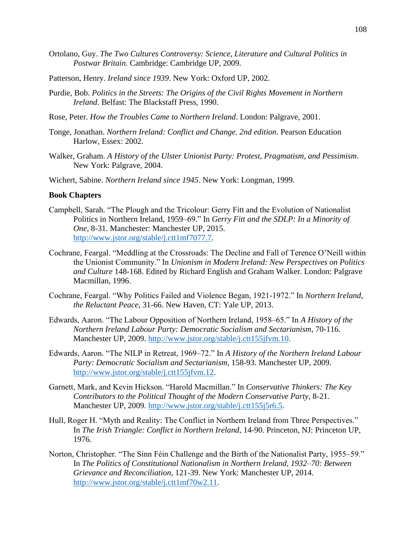- Ortolano, Guy. *The Two Cultures Controversy: Science, Literature and Cultural Politics in Postwar Britain*. Cambridge: Cambridge UP, 2009.
- Patterson, Henry. *Ireland since 1939*. New York: Oxford UP, 2002.
- Purdie, Bob. *Politics in the Streets: The Origins of the Civil Rights Movement in Northern Ireland*. Belfast: The Blackstaff Press, 1990.
- Rose, Peter. *How the Troubles Came to Northern Ireland*. London: Palgrave, 2001.
- Tonge, Jonathan. *Northern Ireland: Conflict and Change. 2nd edition*. Pearson Education Harlow, Essex: 2002.
- Walker, Graham. *A History of the Ulster Unionist Party: Protest, Pragmatism, and Pessimism*. New York: Palgrave, 2004.
- Wichert, Sabine. *Northern Ireland since 1945*. New York: Longman, 1999.

## **Book Chapters**

- Campbell, Sarah. "The Plough and the Tricolour: Gerry Fitt and the Evolution of Nationalist Politics in Northern Ireland, 1959–69." In *Gerry Fitt and the SDLP: In a Minority of One*, 8-31. Manchester: Manchester UP, 2015. [http://www.jstor.org/stable/j.ctt1mf7077.7.](http://www.jstor.org/stable/j.ctt1mf7077.7)
- Cochrane, Feargal. "Meddling at the Crossroads: The Decline and Fall of Terence O'Neill within the Unionist Community." In *Unionism in Modern Ireland: New Perspectives on Politics and Culture* 148-168. Edited by Richard English and Graham Walker. London: Palgrave Macmillan, 1996.
- Cochrane, Feargal. "Why Politics Failed and Violence Began, 1921-1972." In *Northern Ireland, the Reluctant Peace*, 31-66. New Haven, CT: Yale UP, 2013.
- Edwards, Aaron. "The Labour Opposition of Northern Ireland, 1958–65." In *A History of the Northern Ireland Labour Party: Democratic Socialism and Sectarianism*, 70-116. Manchester UP, 2009. [http://www.jstor.org/stable/j.ctt155jfvm.10.](http://www.jstor.org/stable/j.ctt155jfvm.10)
- Edwards, Aaron. "The NILP in Retreat, 1969–72." In *A History of the Northern Ireland Labour Party: Democratic Socialism and Sectarianism*, 158-93. Manchester UP, 2009. [http://www.jstor.org/stable/j.ctt155jfvm.12.](http://www.jstor.org/stable/j.ctt155jfvm.12)
- Garnett, Mark, and Kevin Hickson. "Harold Macmillan." In *Conservative Thinkers: The Key Contributors to the Political Thought of the Modern Conservative Party*, 8-21. Manchester UP, 2009. [http://www.jstor.org/stable/j.ctt155j5r6.5.](http://www.jstor.org/stable/j.ctt155j5r6.5)
- Hull, Roger H. "Myth and Reality: The Conflict in Northern Ireland from Three Perspectives." In *The Irish Triangle: Conflict in Northern Ireland*, 14-90. Princeton, NJ: Princeton UP, 1976.
- Norton, Christopher. "The Sinn Féin Challenge and the Birth of the Nationalist Party, 1955–59." In *The Politics of Constitutional Nationalism in Northern Ireland, 1932–70: Between Grievance and Reconciliation*, 121-39. New York: Manchester UP, 2014. [http://www.jstor.org/stable/j.ctt1mf70w2.11.](http://www.jstor.org/stable/j.ctt1mf70w2.11)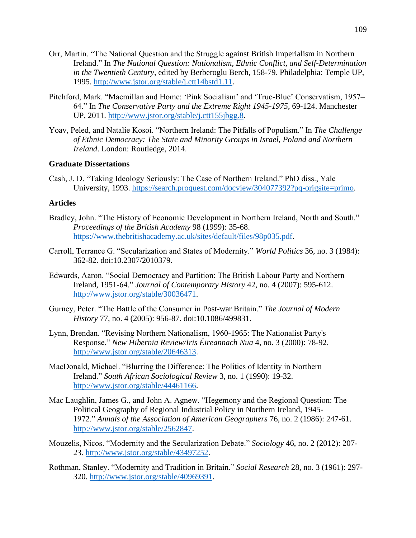- Orr, Martin. "The National Question and the Struggle against British Imperialism in Northern Ireland." In *The National Question: Nationalism, Ethnic Conflict, and Self-Determination in the Twentieth Century*, edited by Berberoglu Berch, 158-79. Philadelphia: Temple UP, 1995. [http://www.jstor.org/stable/j.ctt14bstd1.11.](http://www.jstor.org/stable/j.ctt14bstd1.11)
- Pitchford, Mark. "Macmillan and Home: 'Pink Socialism' and 'True-Blue' Conservatism, 1957– 64." In *The Conservative Party and the Extreme Right 1945-1975*, 69-124. Manchester UP, 2011. [http://www.jstor.org/stable/j.ctt155jbgg.8.](http://www.jstor.org/stable/j.ctt155jbgg.8)
- Yoav, Peled, and Natalie Kosoi. "Northern Ireland: The Pitfalls of Populism." In *The Challenge of Ethnic Democracy: The State and Minority Groups in Israel, Poland and Northern Ireland*. London: Routledge, 2014.

## **Graduate Dissertations**

Cash, J. D. "Taking Ideology Seriously: The Case of Northern Ireland." PhD diss., Yale University, 1993. [https://search.proquest.com/docview/304077392?pq-origsite=primo.](https://search.proquest.com/docview/304077392?pq-origsite=primo)

## **Articles**

- Bradley, John. "The History of Economic Development in Northern Ireland, North and South." *Proceedings of the British Academy* 98 (1999): 35-68. [https://www.thebritishacademy.ac.uk/sites/default/files/98p035.pdf.](https://www.thebritishacademy.ac.uk/sites/default/files/98p035.pdf)
- Carroll, Terrance G. "Secularization and States of Modernity." *World Politics* 36, no. 3 (1984): 362-82. doi:10.2307/2010379.
- Edwards, Aaron. "Social Democracy and Partition: The British Labour Party and Northern Ireland, 1951-64." *Journal of Contemporary History* 42, no. 4 (2007): 595-612. [http://www.jstor.org/stable/30036471.](http://www.jstor.org/stable/30036471)
- Gurney, Peter. "The Battle of the Consumer in Post-war Britain." *The Journal of Modern History* 77, no. 4 (2005): 956-87. doi:10.1086/499831.
- Lynn, Brendan. "Revising Northern Nationalism, 1960-1965: The Nationalist Party's Response." *New Hibernia Review/Iris Éireannach Nua* 4, no. 3 (2000): 78-92. [http://www.jstor.org/stable/20646313.](http://www.jstor.org/stable/20646313)
- MacDonald, Michael. "Blurring the Difference: The Politics of Identity in Northern Ireland." *South African Sociological Review* 3, no. 1 (1990): 19-32. [http://www.jstor.org/stable/44461166.](http://www.jstor.org/stable/44461166)
- Mac Laughlin, James G., and John A. Agnew. "Hegemony and the Regional Question: The Political Geography of Regional Industrial Policy in Northern Ireland, 1945- 1972." *Annals of the Association of American Geographers* 76, no. 2 (1986): 247-61. [http://www.jstor.org/stable/2562847.](http://www.jstor.org/stable/2562847)
- Mouzelis, Nicos. "Modernity and the Secularization Debate." *Sociology* 46, no. 2 (2012): 207- 23. [http://www.jstor.org/stable/43497252.](http://www.jstor.org/stable/43497252)
- Rothman, Stanley. "Modernity and Tradition in Britain." *Social Research* 28, no. 3 (1961): 297- 320. [http://www.jstor.org/stable/40969391.](http://www.jstor.org/stable/40969391)